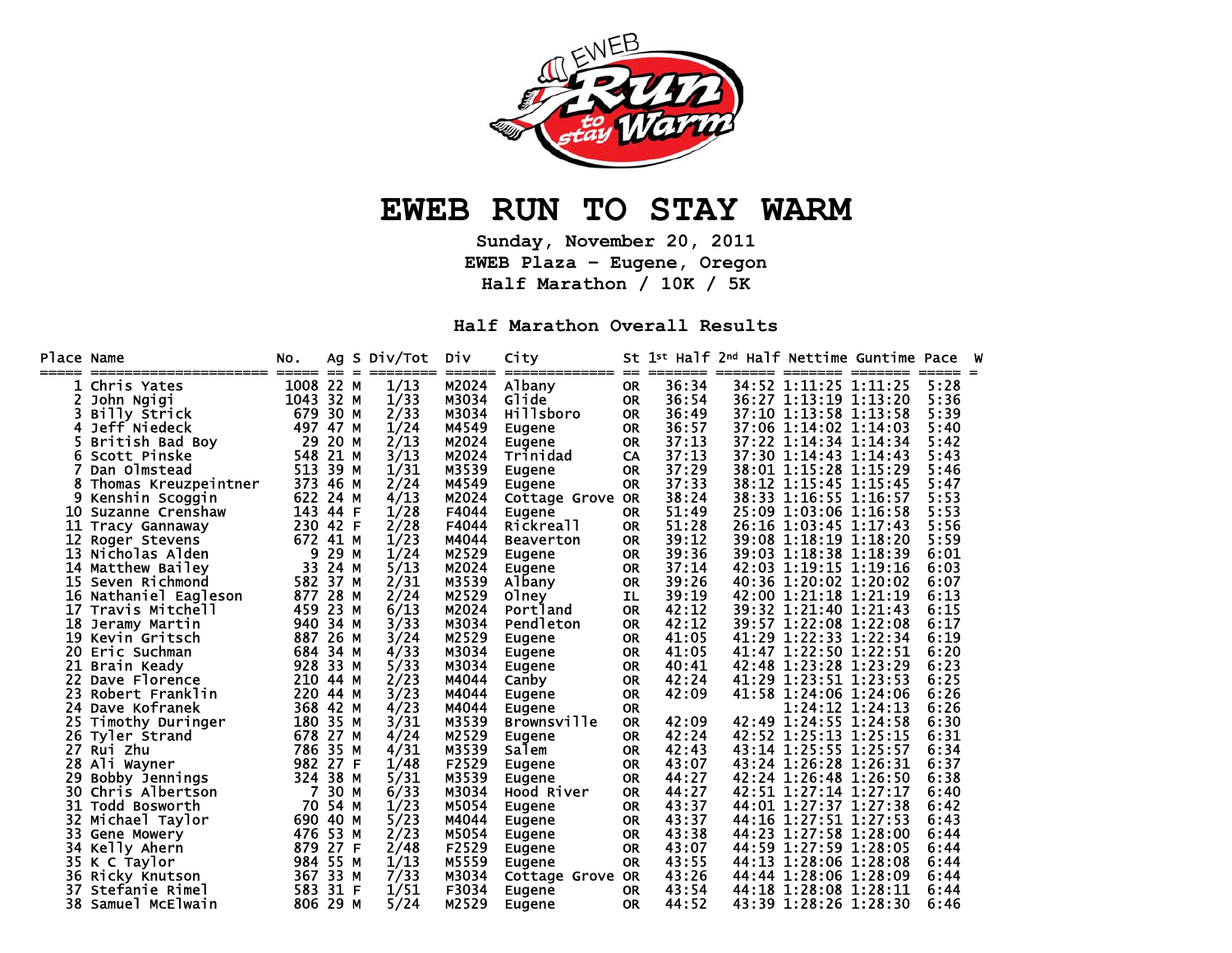

## **EWEB RUN TO STAY WARM**

**Sunday, November 20, 2011 EWEB Plaza – Eugene, Oregon Half Marathon / 10K / 5K** 

**Half Marathon Overall Results** 

| Place Name<br>===== |                      | NO.<br>===== | ==       | Ag S Div/Tot | <b>Div</b> | City<br>---------  | $==$      | St 1st Half 2nd Half Nettime Guntime Pace |       |                       |         |      |  |
|---------------------|----------------------|--------------|----------|--------------|------------|--------------------|-----------|-------------------------------------------|-------|-----------------------|---------|------|--|
|                     | Chris Yates          | 1008 22 M    |          | 1/13         | M2024      | Albany             | <b>OR</b> | 36:34                                     |       | 34:52 1:11:25 1:11:25 |         | 5:28 |  |
|                     | John Ngigi           | 1043 32 M    |          | 1/33         | M3034      | Glide              | <b>OR</b> | 36:54                                     |       | 36:27 1:13:19 1:13:20 |         | 5:36 |  |
|                     | Billy Strick         | 679          | 30 M     | 2/33         | M3034      | Hillsboro          | <b>OR</b> | 36:49                                     |       | 37:10 1:13:58         | 1:13:58 | 5:39 |  |
| 4                   | Jeff Niedeck         | 497 47 M     |          | 1/24         | M4549      | Eugene             | <b>OR</b> | 36:57                                     |       | 37:06 1:14:02 1:14:03 |         | 5:40 |  |
|                     | British Bad Boy      | 29           | 20 M     | 2/13         | M2024      | Eugene             | <b>OR</b> | 37:13                                     |       | 37:22 1:14:34 1:14:34 |         | 5:42 |  |
| 6                   | Scott Pinske         | 548          | 21 M     | 3/13         | M2024      | Trinidad           | CA        | 37:13                                     |       | 37:30 1:14:43 1:14:43 |         | 5:43 |  |
|                     | Dan Olmstead         | 513          | 39 M     | 1/31         | M3539      | Eugene             | <b>OR</b> | 37:29                                     |       | 38:01 1:15:28 1:15:29 |         | 5:46 |  |
|                     | Thomas Kreuzpeintner | 373          | 46 M     | 2/24         | M4549      | Eugene             | <b>OR</b> | 37:33                                     | 38:12 | 1:15:45 1:15:45       |         | 5:47 |  |
|                     | Kenshin Scoggin      | 622          | 24 M     | 4/13         | M2024      | Cottage Grove      | <b>OR</b> | 38:24                                     | 38:33 | 1:16:55 1:16:57       |         | 5:53 |  |
| 10                  | Suzanne Crenshaw     | 143          | 44 F     | 1/28         | F4044      | Eugene             | <b>OR</b> | 51:49                                     | 25:09 | 1:03:06 1:16:58       |         | 5:53 |  |
| 11                  | Tracy Gannaway       | 230 42 F     |          | 2/28         | F4044      | Rickreall          | <b>OR</b> | 51:28                                     |       | 26:16 1:03:45 1:17:43 |         | 5:56 |  |
| 12                  | Roger Stevens        | 672 41 M     |          | 1/23         | M4044      | <b>Beaverton</b>   | <b>OR</b> | 39:12                                     |       | 39:08 1:18:19 1:18:20 |         | 5:59 |  |
| 13                  | Nicholas Alden       | 9            | 29 M     | 1/24         | M2529      | Eugene             | <b>OR</b> | 39:36                                     |       | 39:03 1:18:38 1:18:39 |         | 6:01 |  |
| 14                  | Matthew Bailey       | 33           | 24 M     | 5/13         | M2024      | Eugene             | <b>OR</b> | 37:14                                     |       | 42:03 1:19:15 1:19:16 |         | 6:03 |  |
| 15                  | Seven Richmond       |              | 582 37 M | 2/31         | M3539      | Albany             | <b>OR</b> | 39:26                                     |       | 40:36 1:20:02 1:20:02 |         | 6:07 |  |
| 16                  | Nathaniel Eagleson   | 877          | 28 M     | 2/24         | M2529      | 01 <sub>ney</sub>  | IL        | 39:19                                     |       | 42:00 1:21:18 1:21:19 |         | 6:13 |  |
| 17                  | Travis Mitchell      | 459          | 23 M     | 6/13         | M2024      | Portland           | <b>OR</b> | 42:12                                     |       | 39:32 1:21:40 1:21:43 |         | 6:15 |  |
| 18                  | Jeramy Martin        | 940 34 M     |          | 3/33         | M3034      | Pendleton          | <b>OR</b> | 42:12                                     |       | 39:57 1:22:08 1:22:08 |         | 6:17 |  |
| 19                  | Kevin Gritsch        | 887          | 26 M     | 3/24         | M2529      | Eugene             | <b>OR</b> | 41:05                                     |       | 41:29 1:22:33 1:22:34 |         | 6:19 |  |
| 20                  | Eric Suchman         | 684 34 M     |          | 4/33         | M3034      | Eugene             | <b>OR</b> | 41:05                                     |       | 41:47 1:22:50 1:22:51 |         | 6:20 |  |
| 21                  | Brain Keady          | 928          | 33 M     | 5/33         | M3034      | Eugene             | <b>OR</b> | 40:41                                     |       | 42:48 1:23:28 1:23:29 |         | 6:23 |  |
| 22                  | Dave Florence        |              | 210 44 M | 2/23         | M4044      | Canby              | <b>OR</b> | 42:24                                     | 41:29 | 1:23:51 1:23:53       |         | 6:25 |  |
| 23                  | Robert Franklin      |              | 220 44 M | 3/23         | M4044      | Eugene             | <b>OR</b> | 42:09                                     | 41:58 | 1:24:06 1:24:06       |         | 6:26 |  |
| 24                  | Dave Kofranek        |              | 368 42 M | 4/23         | M4044      | Eugene             | <b>OR</b> |                                           |       | 1:24:12 1:24:13       |         | 6:26 |  |
| 25                  | Timothy Duringer     | 180 35 M     |          | 3/31         | M3539      | <b>Brownsville</b> | <b>OR</b> | 42:09                                     |       | 42:49 1:24:55 1:24:58 |         | 6:30 |  |
| 26                  | Tyler Strand         | 678          | 27 M     | 4/24         | M2529      | Eugene             | <b>OR</b> | 42:24                                     |       | 42:52 1:25:13 1:25:15 |         | 6:31 |  |
| 27                  | Rui Zhu              | 786 35 M     |          | 4/31         | M3539      | Salem              | <b>OR</b> | 42:43                                     |       | 43:14 1:25:55 1:25:57 |         | 6:34 |  |
| 28                  | Ali Wayner           | 982 27 F     |          | 1/48         | F2529      | Eugene             | <b>OR</b> | 43:07                                     |       | 43:24 1:26:28 1:26:31 |         | 6:37 |  |
| 29                  | Bobby Jennings       | 324          | 38 M     | 5/31         | M3539      | Eugene             | <b>OR</b> | 44:27                                     |       | 42:24 1:26:48 1:26:50 |         | 6:38 |  |
| 30                  | Chris Albertson      | 7            | 30 M     | 6/33         | M3034      | Hood River         | <b>OR</b> | 44:27                                     |       | 42:51 1:27:14 1:27:17 |         | 6:40 |  |
| 31                  | Todd Bosworth        | 70           | 54 M     | 1/23         | M5054      | Eugene             | <b>OR</b> | 43:37                                     |       | 44:01 1:27:37 1:27:38 |         | 6:42 |  |
| 32                  | Michael Taylor       | 690 40 M     |          | 5/23         | M4044      | Eugene             | <b>OR</b> | 43:37                                     |       | 44:16 1:27:51 1:27:53 |         | 6:43 |  |
| 33                  | Gene Mowery          | 476 53 M     |          | 2/23         | M5054      | Eugene             | <b>OR</b> | 43:38                                     |       | 44:23 1:27:58 1:28:00 |         | 6:44 |  |
| 34                  | Kelly Ahern          | 879          | 27 F     | 2/48         | F2529      | Eugene             | <b>OR</b> | 43:07                                     |       | 44:59 1:27:59 1:28:05 |         | 6:44 |  |
| 35                  | K C Taylor           | 984          | 55 M     | 1/13         | M5559      | Eugene             | <b>OR</b> | 43:55                                     | 44:13 | 1:28:06 1:28:08       |         | 6:44 |  |
| 36                  | Ricky Knutson        | 367          | 33 M     | 7/33         | M3034      | Cottage Grove      | <b>OR</b> | 43:26                                     | 44:44 | 1:28:06               | 1:28:09 | 6:44 |  |
| 37                  | Stefanie Rimel       | 583          | 31 F     | 1/51         | F3034      | Eugene             | <b>OR</b> | 43:54                                     | 44:18 | 1:28:08               | 1:28:11 | 6:44 |  |
|                     | 38 Samuel McElwain   | 806 29 M     |          | 5/24         | M2529      | Eugene             | <b>OR</b> | 44:52                                     |       | 43:39 1:28:26 1:28:30 |         | 6:46 |  |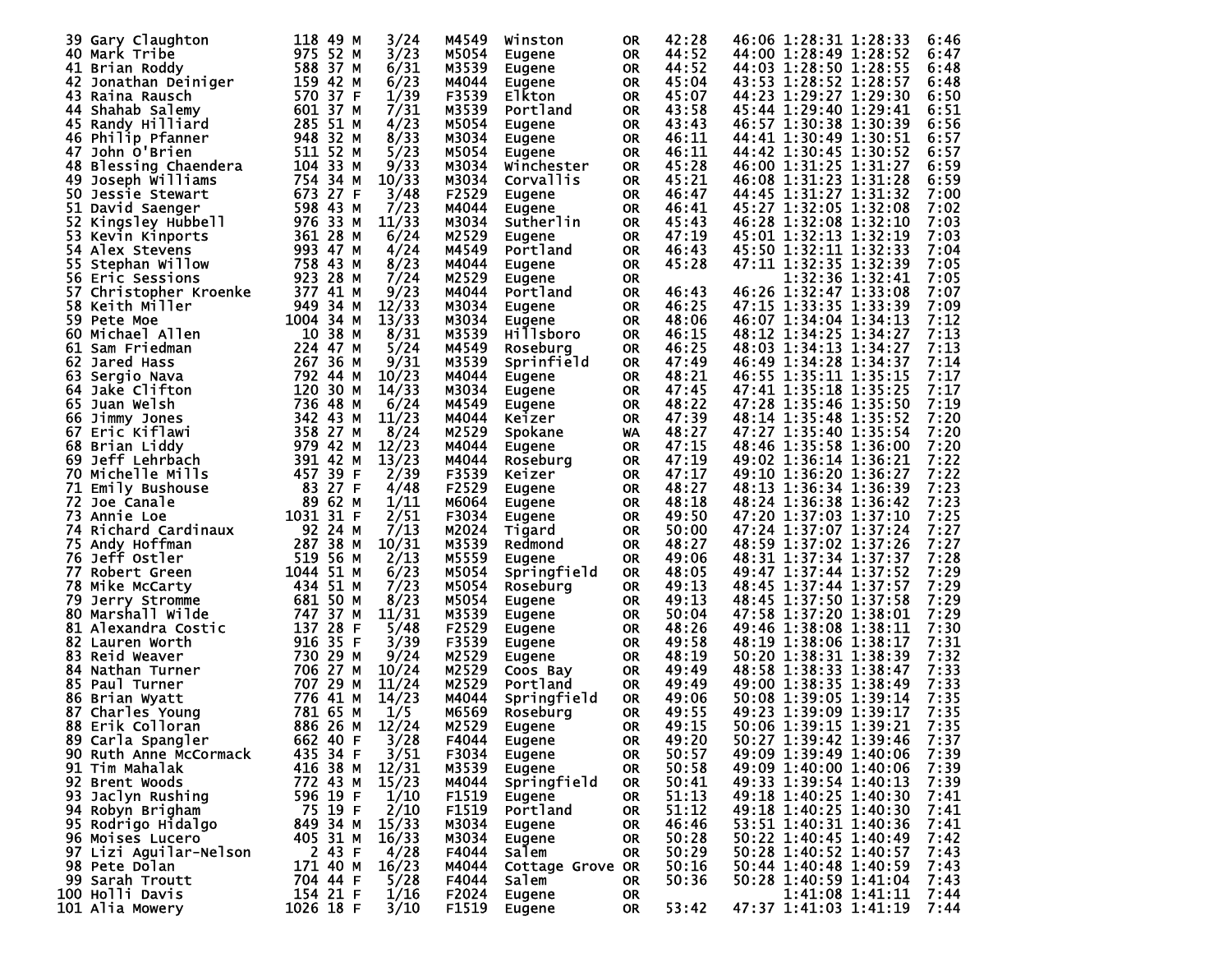|     | 39 Gary Claughton      | 118 49 M  |        | 3/24  | M4549 | Winston          | 0R        | 42:28 | 46:06 1:28:31 1:28:33 | 6:46 |
|-----|------------------------|-----------|--------|-------|-------|------------------|-----------|-------|-----------------------|------|
|     | 40 Mark Tribe          | 975 52 M  |        | 3/23  | M5054 | Eugene           | <b>OR</b> | 44:52 | 44:00 1:28:49 1:28:52 | 6:47 |
|     |                        | 588 37 M  |        | 6/31  | M3539 |                  |           | 44:52 | 44:03 1:28:50 1:28:55 | 6:48 |
|     | 41 Brian Roddy         |           |        |       |       | Eugene           | <b>OR</b> |       |                       |      |
| 42  | Jonathan Deiniger      | 159 42 M  |        | 6/23  | M4044 | Eugene           | <b>OR</b> | 45:04 | 43:53 1:28:52 1:28:57 | 6:48 |
| 43  | Raina Rausch           | 570 37 F  |        | 1/39  | F3539 | <b>Elkton</b>    | <b>OR</b> | 45:07 | 44:23 1:29:27 1:29:30 | 6:50 |
|     | 44 Shahab Salemy       | 601 37 M  |        | 7/31  | M3539 | Portland         | <b>OR</b> | 43:58 | 45:44 1:29:40 1:29:41 | 6:51 |
|     | 45 Randy Hilliard      | 285 51 M  |        | 4/23  | M5054 | Eugene           | <b>OR</b> | 43:43 | 46:57 1:30:38 1:30:39 | 6:56 |
|     | 46 Philip Pfanner      | 948 32 M  |        | 8/33  | M3034 | Eugene           | <b>OR</b> | 46:11 | 44:41 1:30:49 1:30:51 | 6:57 |
| 47  | John O'Brien           | 511 52 M  |        | 5/23  | M5054 | Eugene           | <b>OR</b> | 46:11 | 44:42 1:30:45 1:30:52 | 6:57 |
|     | 48 Blessing Chaendera  | 104 33 M  |        | 9/33  | M3034 | Winchester       | <b>OR</b> | 45:28 | 46:00 1:31:25 1:31:27 | 6:59 |
| 49  | Joseph Williams        | 754 34 M  |        | 10/33 | M3034 | Corvallis        | <b>OR</b> | 45:21 | 46:08 1:31:23 1:31:28 | 6:59 |
|     |                        | 673 27 F  |        |       |       |                  |           |       | 44:45 1:31:27 1:31:32 |      |
| 50. | Jessie Stewart         |           |        | 3/48  | F2529 | Eugene           | <b>OR</b> | 46:47 |                       | 7:00 |
|     | 51 David Saenger       | 598 43 M  |        | 7/23  | M4044 | Eugene           | <b>OR</b> | 46:41 | 45:27 1:32:05 1:32:08 | 7:02 |
| 52  | Kingsley Hubbell       | 976 33 M  |        | 11/33 | M3034 | Sutherlin        | <b>OR</b> | 45:43 | 46:28 1:32:08 1:32:10 | 7:03 |
| 53. | Kevin Kinports         | 361 28 M  |        | 6/24  | M2529 | Eugene           | <b>OR</b> | 47:19 | 45:01 1:32:13 1:32:19 | 7:03 |
|     | 54 Alex Stevens        | 993 47 M  |        | 4/24  | M4549 | Portland         | <b>OR</b> | 46:43 | 45:50 1:32:11 1:32:33 | 7:04 |
| 55  | Stephan Willow         | 758 43 M  |        | 8/23  | M4044 | Eugene           | <b>OR</b> | 45:28 | 47:11 1:32:35 1:32:39 | 7:05 |
|     | 56 Eric Sessions       | 923 28 M  |        | 7/24  | M2529 | Eugene           | <b>OR</b> |       | 1:32:36 1:32:41       | 7:05 |
| 57  | Christopher Kroenke    | 377 41 M  |        | 9/23  | M4044 | Portland         | <b>OR</b> | 46:43 | 46:26 1:32:47 1:33:08 | 7:07 |
|     | 58 Keith Miller        | 949 34 M  |        | 12/33 | M3034 |                  |           | 46:25 | 47:15 1:33:35 1:33:39 | 7:09 |
|     |                        |           |        |       |       | Eugene           | <b>OR</b> |       |                       |      |
| 59. | Pete Moe               | 1004 34 M |        | 13/33 | M3034 | Eugene           | <b>OR</b> | 48:06 | 46:07 1:34:04 1:34:13 | 7:12 |
|     | 60 Michael Allen       | 10 38 M   |        | 8/31  | M3539 | <b>Hillsboro</b> | <b>OR</b> | 46:15 | 48:12 1:34:25 1:34:27 | 7:13 |
| 61  | Sam Friedman           | 224 47 M  |        | 5/24  | M4549 | Roseburg         | <b>OR</b> | 46:25 | 48:03 1:34:13 1:34:27 | 7:13 |
|     | 62 Jared Hass          | 267 36 M  |        | 9/31  | M3539 | Sprinfield       | <b>OR</b> | 47:49 | 46:49 1:34:28 1:34:37 | 7:14 |
| 63  | Sergio Nava            | 792 44 M  |        | 10/23 | M4044 | Eugene           | <b>OR</b> | 48:21 | 46:55 1:35:11 1:35:15 | 7:17 |
| 64  | Jake Clifton           | 120 30 M  |        | 14/33 | M3034 | Eugene           | <b>OR</b> | 47:45 | 47:41 1:35:18 1:35:25 | 7:17 |
| 65  | Juan Welsh             | 736 48 M  |        | 6/24  | M4549 | Eugene           | <b>OR</b> | 48:22 | 47:28 1:35:46 1:35:50 | 7:19 |
|     |                        | 342 43 M  |        | 11/23 | M4044 |                  |           | 47:39 | 48:14 1:35:48 1:35:52 | 7:20 |
| 66  | Jimmy Jones            |           |        |       |       | Keizer           | <b>OR</b> |       |                       |      |
| 67  | Eric Kiflawi           | 358 27    | м      | 8/24  | M2529 | Spokane          | WA        | 48:27 | 47:27 1:35:40 1:35:54 | 7:20 |
|     | 68 Brian Liddy         | 979 42 M  |        | 12/23 | M4044 | Eugene           | <b>OR</b> | 47:15 | 48:46 1:35:58 1:36:00 | 7:20 |
| 69  | Jeff Lehrbach          | 391 42 M  |        | 13/23 | M4044 | Roseburg         | <b>OR</b> | 47:19 | 49:02 1:36:14 1:36:21 | 7:22 |
| 70  | Michelle Mills         | 457 39 F  |        | 2/39  | F3539 | Keizer           | <b>OR</b> | 47:17 | 49:10 1:36:20 1:36:27 | 7:22 |
| 71  | Emily Bushouse         | 83        | 27 F   | 4/48  | F2529 | Eugene           | <b>OR</b> | 48:27 | 48:13 1:36:34 1:36:39 | 7:23 |
| 72  | Joe Canale             | 89 62 M   |        | 1/11  | M6064 | Eugene           | <b>OR</b> | 48:18 | 48:24 1:36:38 1:36:42 | 7:23 |
| 73  | Annie Loe              | 1031 31 F |        | 2/51  | F3034 | Eugene           | <b>OR</b> | 49:50 | 47:20 1:37:03 1:37:10 | 7:25 |
|     | 74 Richard Cardinaux   | 92 24 M   |        | 7/13  | M2024 | Tigard           | <b>OR</b> | 50:00 | 47:24 1:37:07 1:37:24 | 7:27 |
| 75  | Andy Hoffman           | 287 38 M  |        | 10/31 | M3539 |                  |           | 48:27 | 48:59 1:37:02 1:37:26 | 7:27 |
|     |                        |           |        |       |       | Redmond          | <b>OR</b> |       |                       |      |
|     | 76 Jeff Ostler         | 519 56 M  |        | 2/13  | M5559 | Eugene           | <b>OR</b> | 49:06 | 48:31 1:37:34 1:37:37 | 7:28 |
| 77  | Robert Green           | 1044 51 M |        | 6/23  | M5054 | Springfield      | <b>OR</b> | 48:05 | 49:47 1:37:44 1:37:52 | 7:29 |
|     | 78 Mike McCarty        | 434 51 M  |        | 7/23  | M5054 | Roseburg         | <b>OR</b> | 49:13 | 48:45 1:37:44 1:37:57 | 7:29 |
| 79  | Jerry Stromme          | 681 50 M  |        | 8/23  | M5054 | Eugene           | <b>OR</b> | 49:13 | 48:45 1:37:50 1:37:58 | 7:29 |
| 80. | Marshall Wilde         | 747 37 M  |        | 11/31 | M3539 | Eugene           | <b>OR</b> | 50:04 | 47:58 1:37:20 1:38:01 | 7:29 |
| 81  | Alexandra Costic       | 137       | 28 F   | 5/48  | F2529 | Eugene           | <b>OR</b> | 48:26 | 49:46 1:38:08 1:38:11 | 7:30 |
| 82. | Lauren Worth           | 916 35 F  |        | 3/39  | F3539 | Eugene           | <b>OR</b> | 49:58 | 48:19 1:38:06 1:38:17 | 7:31 |
| 83  | Reid Weaver            | 730 29 M  |        | 9/24  | M2529 | Eugene           | <b>OR</b> | 48:19 | 50:20 1:38:31 1:38:39 | 7:32 |
|     | 84 Nathan Turner       | 706 27 M  |        | 10/24 | M2529 |                  |           | 49:49 | 48:58 1:38:33 1:38:47 | 7:33 |
|     |                        |           |        |       |       | Coos Bay         | <b>OR</b> |       |                       |      |
| 85  | Paul Turner            | 707 29 M  |        | 11/24 | M2529 | Portland         | <b>OR</b> | 49:49 | 49:00 1:38:35 1:38:49 | 7:33 |
| 86  | Brian Wyatt            | 776 41 M  |        | 14/23 | M4044 | Springfield      | <b>OR</b> | 49:06 | 50:08 1:39:05 1:39:14 | 7:35 |
| 87  | Charles Young          | 781 65 M  |        | 1/5   | M6569 | Roseburg         | <b>OR</b> | 49:55 | 49:23 1:39:09 1:39:17 | 7:35 |
|     | 88 Erik Colloran       | 886 26 M  |        | 12/24 | M2529 | <b>Eugene</b>    | <b>OR</b> | 49:15 | 50:06 1:39:15 1:39:21 | 7:35 |
|     | 89 Carla Spangler      | 662 40 F  |        | 3/28  | F4044 | <b>Eugene</b>    | OR.       | 49:20 | 50:27 1:39:42 1:39:46 | 7:37 |
|     | 90 Ruth Anne McCormack | 435 34 F  |        | 3/51  | F3034 | Eugene           | OR.       | 50:57 | 49:09 1:39:49 1:40:06 | 7:39 |
|     | 91 Tim Mahalak         | 416 38 M  |        | 12/31 | M3539 | Eugene           | <b>OR</b> | 50:58 | 49:09 1:40:00 1:40:06 | 7:39 |
|     | 92 Brent Woods         | 772 43 M  |        | 15/23 | M4044 | Springfield      |           | 50:41 | 49:33 1:39:54 1:40:13 | 7:39 |
|     |                        |           |        | 1/10  |       |                  | OR.       | 51:13 |                       |      |
|     | 93 Jaclyn Rushing      | 596 19 F  |        |       | F1519 | Eugene           | <b>OR</b> |       | 49:18 1:40:25 1:40:30 | 7:41 |
|     | 94 Robyn Brigham       | 75 19 F   |        | 2/10  | F1519 | Portland         | <b>OR</b> | 51:12 | 49:18 1:40:25 1:40:30 | 7:41 |
|     | 95 Rodrigo Hidalgo     | 849 34 M  |        | 15/33 | M3034 | Eugene           | <b>OR</b> | 46:46 | 53:51 1:40:31 1:40:36 | 7:41 |
|     | 96 Moises Lucero       | 405 31 M  |        | 16/33 | M3034 | Eugene           | <b>OR</b> | 50:28 | 50:22 1:40:45 1:40:49 | 7:42 |
|     | 97 Lizi Aguilar-Nelson |           | 2 43 F | 4/28  | F4044 | Salem            | <b>OR</b> | 50:29 | 50:28 1:40:52 1:40:57 | 7:43 |
|     | 98 Pete Dolan          | 171 40 M  |        | 16/23 | M4044 | Cottage Grove OR |           | 50:16 | 50:44 1:40:48 1:40:59 | 7:43 |
|     | 99 Sarah Troutt        | 704 44 F  |        | 5/28  | F4044 | Salem            | <b>OR</b> | 50:36 | 50:28 1:40:59 1:41:04 | 7:43 |
|     | 100 Holli Davis        | 154 21 F  |        | 1/16  | F2024 | Eugene           | 0R        |       | 1:41:08 1:41:11       | 7:44 |
|     | 101 Alia Mowery        | 1026 18 F |        | 3/10  | F1519 | Eugene           | OR.       | 53:42 | 47:37 1:41:03 1:41:19 | 7:44 |
|     |                        |           |        |       |       |                  |           |       |                       |      |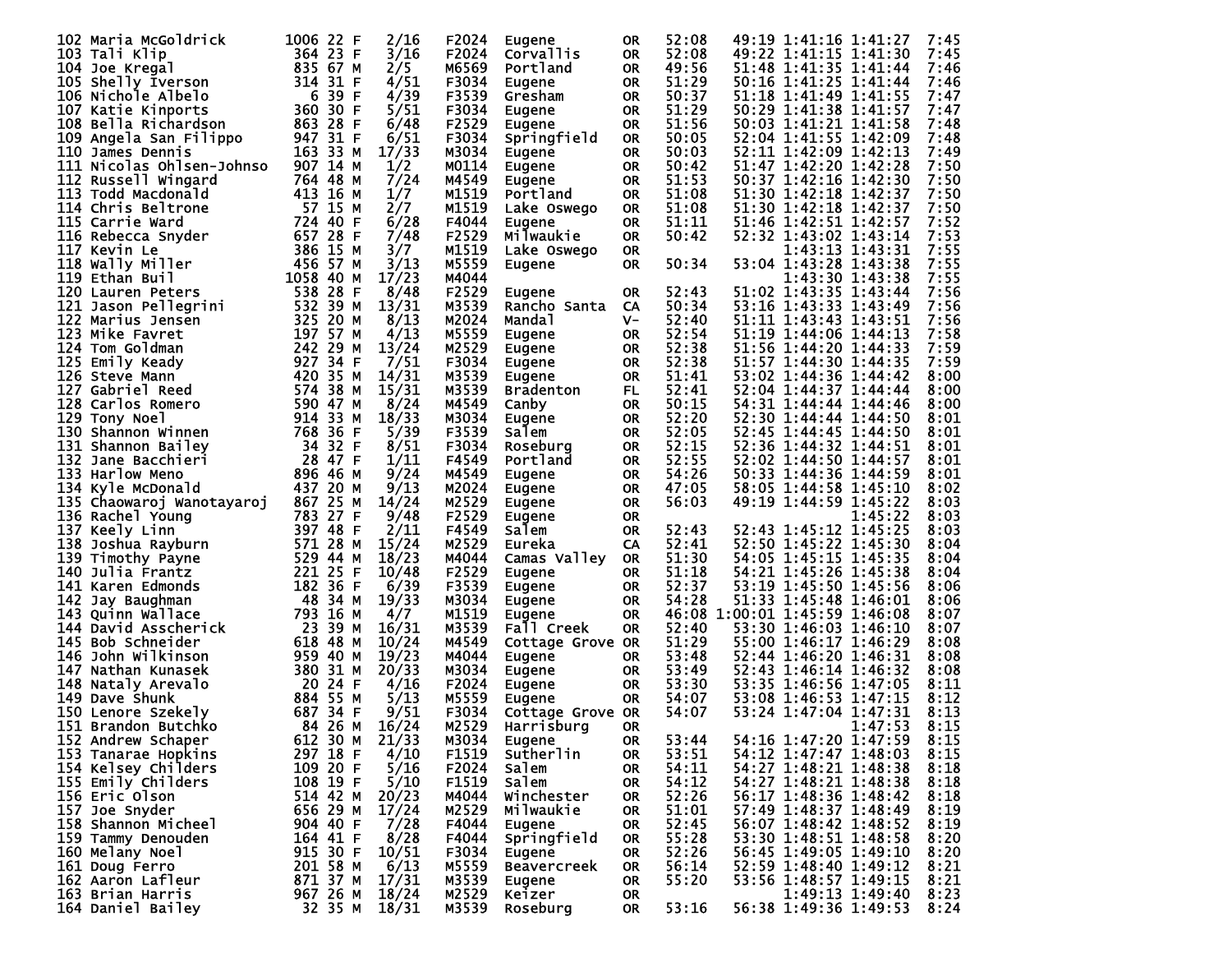| 102 Maria McGoldrick      | 1006 22 F | 2/16  | F2024 | Eugene             | 0R        | 52:08 |                               | 49:19 1:41:16 1:41:27 |                 | 7:45 |
|---------------------------|-----------|-------|-------|--------------------|-----------|-------|-------------------------------|-----------------------|-----------------|------|
| 103 Tali Klip             | 364 23 F  | 3/16  | F2024 | Corvallis          | <b>OR</b> | 52:08 |                               | 49:22 1:41:15 1:41:30 |                 | 7:45 |
|                           | 835 67 M  |       | M6569 | Portland           |           | 49:56 |                               |                       |                 | 7:46 |
| 104 Joe Kregal            |           | 2/5   |       |                    | <b>OR</b> |       |                               | 51:48 1:41:35 1:41:44 |                 |      |
| 105 Shelly Iverson        | 314 31 F  | 4/51  | F3034 | Eugene             | <b>OR</b> | 51:29 |                               | 50:16 1:41:25 1:41:44 |                 | 7:46 |
| 106 Nichole Albelo        | 6 39 F    | 4/39  | F3539 | Gresham            | <b>OR</b> | 50:37 |                               | 51:18 1:41:49 1:41:55 |                 | 7:47 |
| 107 Katie Kinports        | 360 30 F  | 5/51  | F3034 | Eugene             | <b>OR</b> | 51:29 |                               | 50:29 1:41:38 1:41:57 |                 | 7:47 |
| 108 Bella Richardson      | 863 28 F  | 6/48  | F2529 | Eugene             | <b>OR</b> | 51:56 |                               | 50:03 1:41:21 1:41:58 |                 | 7:48 |
| 109 Angela San Filippo    | 947 31 F  | 6/51  | F3034 | Springfield        | <b>OR</b> | 50:05 |                               | 52:04 1:41:55 1:42:09 |                 | 7:48 |
| 110 James Dennis          | 163 33 M  | 17/33 | M3034 |                    |           | 50:03 |                               | 52:11 1:42:09 1:42:13 |                 | 7:49 |
|                           |           |       |       | <b>Eugene</b>      | <b>OR</b> |       |                               |                       |                 |      |
| 111 Nicolas Ohlsen-Johnso | 907 14 M  | 1/2   | M0114 | <b>Eugene</b>      | <b>OR</b> | 50:42 |                               | 51:47 1:42:20 1:42:28 |                 | 7:50 |
| 112 Russell Wingard       | 764 48 M  | 7/24  | M4549 | Eugene             | <b>OR</b> | 51:53 |                               | 50:37 1:42:16 1:42:30 |                 | 7:50 |
| 113 Todd Macdonald        | 413 16 M  | 1/7   | M1519 | Portland           | <b>OR</b> | 51:08 |                               | 51:30 1:42:18 1:42:37 |                 | 7:50 |
| 114 Chris Beltrone        | 57 15 M   | 2/7   | M1519 | Lake Oswego        | <b>OR</b> | 51:08 |                               | 51:30 1:42:18 1:42:37 |                 | 7:50 |
| 115 Carrie Ward           | 724 40 F  | 6/28  | F4044 | Eugene             | <b>OR</b> | 51:11 |                               | 51:46 1:42:51 1:42:57 |                 | 7:52 |
|                           | 657 28 F  | 7/48  | F2529 |                    |           |       |                               |                       |                 | 7:53 |
| 116 Rebecca Snyder        |           |       |       | Milwaukie          | <b>OR</b> | 50:42 |                               | 52:32 1:43:02 1:43:14 |                 |      |
| 117 Kevin Le              | 386 15 M  | 3/7   | M1519 | Lake Oswego        | 0R        |       |                               | 1:43:13 1:43:31       |                 | 7:55 |
| 118 Wally Miller          | 456 57 M  | 3/13  | M5559 | Eugene             | <b>OR</b> | 50:34 |                               | 53:04 1:43:28 1:43:38 |                 | 7:55 |
| 119 Ethan Buil            | 1058 40 M | 17/23 | M4044 |                    |           |       |                               | 1:43:30 1:43:38       |                 | 7:55 |
| 120 Lauren Peters         | 538 28 F  | 8/48  | F2529 | Eugene             | <b>OR</b> | 52:43 |                               | 51:02 1:43:35 1:43:44 |                 | 7:56 |
| 121 Jason Pellegrini      | 532 39 M  | 13/31 | M3539 | Rancho Santa       | CA        | 50:34 |                               | 53:16 1:43:33 1:43:49 |                 | 7:56 |
|                           | 325 20 M  |       | M2024 |                    |           | 52:40 |                               |                       |                 |      |
| 122 Marius Jensen         |           | 8/13  |       | Manda I            | V-        |       |                               | 51:11 1:43:43 1:43:51 |                 | 7:56 |
| 123 Mike Favret           | 197 57 M  | 4/13  | M5559 | Eugene             | <b>OR</b> | 52:54 |                               | 51:19 1:44:06 1:44:13 |                 | 7:58 |
| 124 Tom Goldman           | 242 29 M  | 13/24 | M2529 | Eugene             | <b>OR</b> | 52:38 |                               | 51:56 1:44:20 1:44:33 |                 | 7:59 |
| 125 Emily Keady           | 927 34 F  | 7/51  | F3034 | Eugene             | <b>OR</b> | 52:38 |                               | 51:57 1:44:30 1:44:35 |                 | 7:59 |
| 126 Steve Mann            | 420 35 M  | 14/31 | M3539 | Eugene             | 0R        | 51:41 |                               | 53:02 1:44:36 1:44:42 |                 | 8:00 |
| 127 Gabriel Reed          | 574 38 M  | 15/31 | M3539 | <b>Bradenton</b>   | FL        | 52:41 |                               | 52:04 1:44:37 1:44:44 |                 | 8:00 |
|                           |           |       |       |                    |           |       |                               |                       |                 |      |
| 128 Carlos Romero         | 590 47 M  | 8/24  | M4549 | Canby              | <b>OR</b> | 50:15 |                               | 54:31 1:44:44 1:44:46 |                 | 8:00 |
| 129 Tony Noel             | 914 33 M  | 18/33 | M3034 | Eugene             | <b>OR</b> | 52:20 |                               | 52:30 1:44:44 1:44:50 |                 | 8:01 |
| 130 Shannon Winnen        | 768 36 F  | 5/39  | F3539 | Salem              | <b>OR</b> | 52:05 |                               | 52:45 1:44:45 1:44:50 |                 | 8:01 |
| 131 Shannon Bailey        | 34 32 F   | 8/51  | F3034 | Roseburg           | <b>OR</b> | 52:15 |                               | 52:36 1:44:32 1:44:51 |                 | 8:01 |
| 132 Jane Bacchieri        | 28 47 F   | 1/11  | F4549 | Portland           | <b>OR</b> | 52:55 |                               | 52:02 1:44:50 1:44:57 |                 | 8:01 |
| 133 Harlow Meno           | 896 46 M  | 9/24  | M4549 | Eugene             | <b>OR</b> | 54:26 |                               | 50:33 1:44:36 1:44:59 |                 | 8:01 |
|                           | 437 20 M  | 9/13  | M2024 |                    |           | 47:05 |                               |                       |                 |      |
| 134 Kyle McDonald         |           |       |       | Eugene             | <b>OR</b> |       |                               | 58:05 1:44:58 1:45:10 |                 | 8:02 |
| 135 Chaowaroj Wanotayaroj | 867 25 M  | 14/24 | M2529 | Eugene             | <b>OR</b> | 56:03 |                               | 49:19 1:44:59 1:45:22 |                 | 8:03 |
| 136 Rachel Young          | 783 27 F  | 9/48  | F2529 | Eugene             | <b>OR</b> |       |                               |                       | 1:45:22         | 8:03 |
| 137 Keely Linn            | 397 48 F  | 2/11  | F4549 | Salem              | <b>OR</b> | 52:43 |                               | 52:43 1:45:12 1:45:25 |                 | 8:03 |
| 138 Joshua Rayburn        | 571 28 M  | 15/24 | M2529 | Eureka             | CA        | 52:41 |                               | 52:50 1:45:22 1:45:30 |                 | 8:04 |
| 139 Timothy Payne         | 529 44 M  | 18/23 | M4044 | Camas Valley       | <b>OR</b> | 51:30 |                               | 54:05 1:45:15 1:45:35 |                 | 8:04 |
| 140 Julia Frantz          | 221 25 F  |       | F2529 |                    |           | 51:18 |                               |                       |                 |      |
|                           |           | 10/48 |       | Eugene             | <b>OR</b> |       |                               | 54:21 1:45:26 1:45:38 |                 | 8:04 |
| 141 Karen Edmonds         | 182 36 F  | 6/39  | F3539 | Eugene             | <b>OR</b> | 52:37 |                               | 53:19 1:45:50 1:45:56 |                 | 8:06 |
| 142 Jay Baughman          | 48 34 M   | 19/33 | M3034 | Eugene             | <b>OR</b> | 54:28 |                               | 51:33 1:45:48 1:46:01 |                 | 8:06 |
| 143 Quinn Wallace         | 793 16 M  | 4/7   | M1519 | Eugene             | <b>OR</b> |       | 46:08 1:00:01 1:45:59 1:46:08 |                       |                 | 8:07 |
| 144 David Asscherick      | 23 39 M   | 16/31 | M3539 | Fall Creek         | <b>OR</b> | 52:40 |                               | 53:30 1:46:03 1:46:10 |                 | 8:07 |
| 145 Bob Schneider         | 618 48 M  | 10/24 | M4549 | Cottage Grove OR   |           | 51:29 |                               | 55:00 1:46:17 1:46:29 |                 | 8:08 |
| 146 John Wilkinson        | 959 40 M  | 19/23 | M4044 | Eugene             | 0R        | 53:48 |                               | 52:44 1:46:20 1:46:31 |                 | 8:08 |
|                           |           |       |       |                    |           |       |                               |                       |                 |      |
| 147 Nathan Kunasek        | 380 31 M  | 20/33 | M3034 | Eugene             | <b>OR</b> | 53:49 |                               | 52:43 1:46:14 1:46:32 |                 | 8:08 |
| 148 Nataly Arevalo        | 20 24 F   | 4/16  | F2024 | Eugene             | <b>OR</b> | 53:30 |                               | 53:35 1:46:56 1:47:05 |                 | 8:11 |
| 149 Dave Shunk            | 884 55 M  | 5/13  | M5559 | Eugene             | <b>OR</b> | 54:07 |                               | 53:08 1:46:53 1:47:15 |                 | 8:12 |
| 150 Lenore Szekely        | 687 34 F  | 9/51  | F3034 | Cottage Grove OR   |           | 54:07 |                               | 53:24 1:47:04 1:47:31 |                 | 8:13 |
| 151 Brandon Butchko       | 84 26 M   | 16/24 | M2529 | Harrisburg         | <b>OR</b> |       |                               |                       | 1:47:53         | 8:15 |
| 152 Andrew Schaper        | 612 30 M  | 21/33 | M3034 | Eugene             | OR.       | 53:44 |                               | 54:16 1:47:20 1:47:59 |                 | 8:15 |
|                           |           |       |       |                    |           |       |                               |                       |                 |      |
| 153 Tanarae Hopkins       | 297 18 F  | 4/10  | F1519 | Sutherlin          | 0R        | 53:51 |                               | 54:12 1:47:47 1:48:03 |                 | 8:15 |
| 154 Kelsey Childers       | 109 20 F  | 5/16  | F2024 | Salem              | <b>OR</b> | 54:11 |                               | 54:27 1:48:21 1:48:38 |                 | 8:18 |
| 155 Emily Childers        | 108 19 F  | 5/10  | F1519 | Salem              | <b>OR</b> | 54:12 |                               | 54:27 1:48:21 1:48:38 |                 | 8:18 |
| 156 Eric Olson            | 514 42 M  | 20/23 | M4044 | Winchester         | <b>OR</b> | 52:26 |                               | 56:17 1:48:36 1:48:42 |                 | 8:18 |
| 157 Joe Snyder            | 656 29 M  | 17/24 | M2529 | Milwaukie          | OR.       | 51:01 |                               | 57:49 1:48:37 1:48:49 |                 | 8:19 |
| 158 Shannon Micheel       | 904 40 F  | 7/28  | F4044 | Eugene             | <b>OR</b> | 52:45 |                               | 56:07 1:48:42 1:48:52 |                 | 8:19 |
| 159 Tammy Denouden        | 164 41 F  | 8/28  | F4044 | Springfield        |           | 55:28 |                               | 53:30 1:48:51 1:48:58 |                 | 8:20 |
|                           |           |       |       |                    | OR.       |       |                               |                       |                 |      |
| 160 Melany Noel           | 915 30 F  | 10/51 | F3034 | Eugene             | <b>OR</b> | 52:26 |                               | 56:45 1:49:05 1:49:10 |                 | 8:20 |
| 161 Doug Ferro            | 201 58 M  | 6/13  | M5559 | <b>Beavercreek</b> | <b>OR</b> | 56:14 |                               | 52:59 1:48:40 1:49:12 |                 | 8:21 |
| 162 Aaron Lafleur         | 871 37 M  | 17/31 | M3539 | Eugene             | <b>OR</b> | 55:20 |                               | 53:56 1:48:57 1:49:15 |                 | 8:21 |
| 163 Brian Harris          |           |       |       |                    |           |       |                               |                       |                 |      |
|                           | 967 26 M  | 18/24 | M2529 | Keizer             | 0R        |       |                               |                       | 1:49:13 1:49:40 | 8:23 |
| 164 Daniel Bailey         | 32 35 M   | 18/31 | M3539 | Roseburg           | OR        | 53:16 |                               | 56:38 1:49:36 1:49:53 |                 | 8:24 |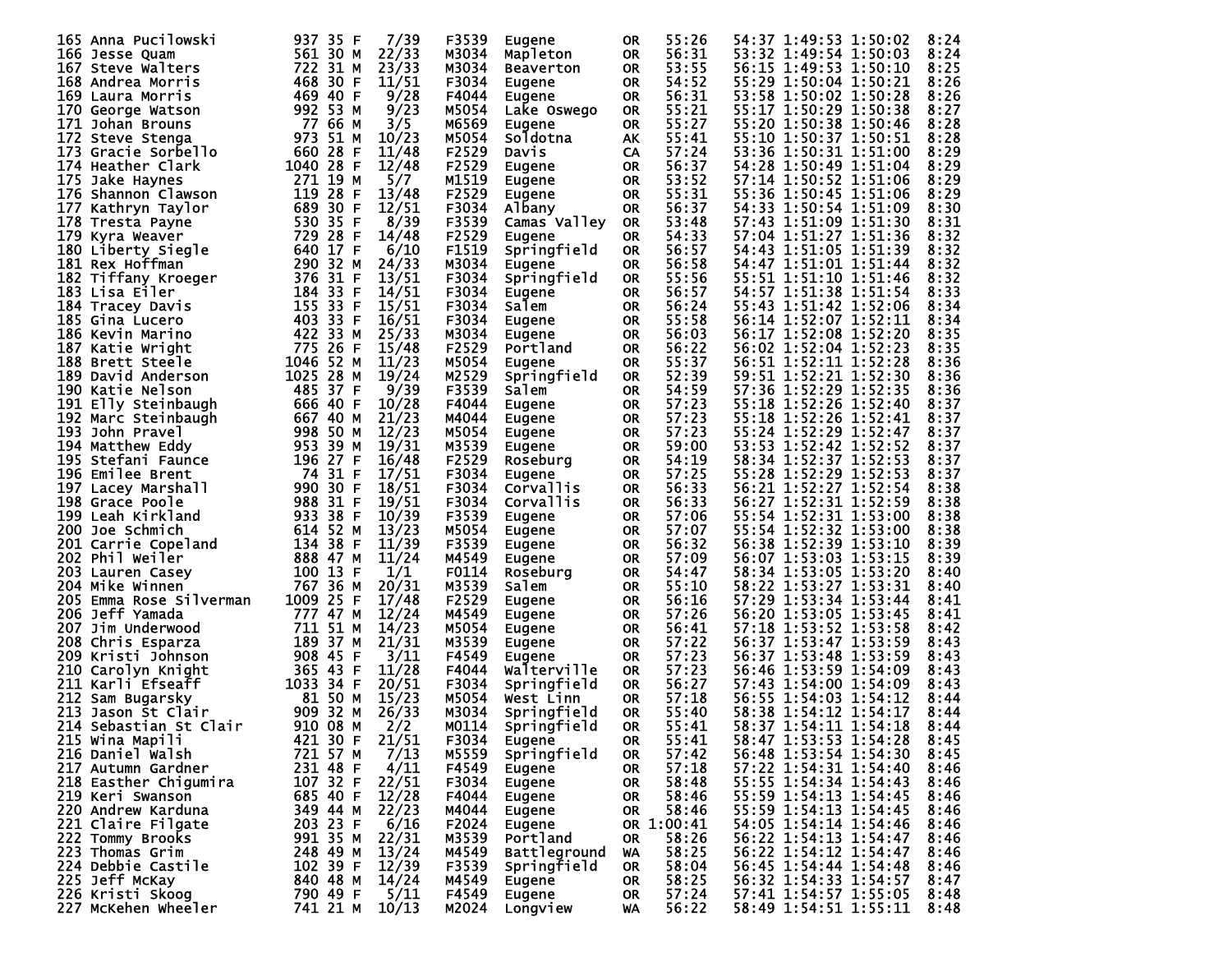| 165 Anna Pucilowski     | 937 35 F    | 7/39  | F3539 | <b>Eugene</b>       | 0R        | 55:26      | 54:37 1:49:53 1:50:02<br>8:24 |
|-------------------------|-------------|-------|-------|---------------------|-----------|------------|-------------------------------|
| 166 Jesse Quam          | 561 30 M    | 22/33 | M3034 | Mapleton            | 0R        | 56:31      | 53:32 1:49:54 1:50:03<br>8:24 |
|                         | 722 31 M    | 23/33 |       |                     |           | 53:55      |                               |
| 167 Steve Walters       |             |       | M3034 | <b>Beaverton</b>    | <b>OR</b> |            | 56:15 1:49:53 1:50:10<br>8:25 |
| 168 Andrea Morris       | 468 30 F    | 11/51 | F3034 | Eugene              | <b>OR</b> | 54:52      | 55:29 1:50:04 1:50:21<br>8:26 |
| 169 Laura Morris        | 469 40 F    | 9/28  | F4044 | <b>Eugene</b>       | <b>OR</b> | 56:31      | 53:58 1:50:02 1:50:28<br>8:26 |
| 170 George Watson       | 992 53 M    | 9/23  | M5054 | Lake Oswego         | <b>OR</b> | 55:21      | 55:17 1:50:29 1:50:38<br>8:27 |
| 171 Johan Brouns        | 77 66 M     | 3/5   | M6569 | Eugene              | <b>OR</b> | 55:27      | 8:28<br>55:20 1:50:38 1:50:46 |
| 172 Steve Stenga        | 973 51 M    | 10/23 | M5054 | Soldotna            | АK        | 55:41      | 55:10 1:50:37 1:50:51<br>8:28 |
| 173 Gracie Sorbello     | 660 28 F    | 11/48 | F2529 | Davis               | CA        | 57:24      | 53:36 1:50:31 1:51:00<br>8:29 |
| 174 Heather Clark       | 1040 28 F   | 12/48 | F2529 |                     |           | 56:37      | 54:28 1:50:49 1:51:04<br>8:29 |
|                         |             |       |       | Eugene              | <b>OR</b> |            |                               |
| 175 Jake Haynes         | 271 19 M    | 5/7   | M1519 | Eugene              | <b>OR</b> | 53:52      | 8:29<br>57:14 1:50:52 1:51:06 |
| 176 Shannon Clawson     | 119 28 F    | 13/48 | F2529 | Eugene              | <b>OR</b> | 55:31      | 55:36 1:50:45 1:51:06<br>8:29 |
| 177 Kathryn Taylor      | 689 30 F    | 12/51 | F3034 | Albany              | <b>OR</b> | 56:37      | 54:33 1:50:54 1:51:09<br>8:30 |
| 178 Tresta Payne        | 530 35 F    | 8/39  | F3539 | Camas Valley        | <b>OR</b> | 53:48      | 57:43 1:51:09 1:51:30<br>8:31 |
| 179 Kyra Weaver         | 729 28 F    | 14/48 | F2529 | <b>Eugene</b>       | <b>OR</b> | 54:33      | 57:04 1:51:27 1:51:36<br>8:32 |
| 180 Liberty Siegle      | 640 17 F    | 6/10  | F1519 | Springfield         | <b>OR</b> | 56:57      | 8:32<br>54:43 1:51:05 1:51:39 |
| 181 Rex Hoffman         | 290 32 M    | 24/33 | M3034 | <b>Eugene</b>       | <b>OR</b> | 56:58      | 54:47 1:51:01 1:51:44<br>8:32 |
|                         |             |       |       |                     |           |            |                               |
| 182 Tiffany Kroeger     | 376 31<br>F | 13/51 | F3034 | Springfield         | <b>OR</b> | 55:56      | 55:51 1:51:10 1:51:46<br>8:32 |
| 183 Lisa Eiler          | 184 33 F    | 14/51 | F3034 | Eugene              | <b>OR</b> | 56:57      | 54:57 1:51:38 1:51:54<br>8:33 |
| 184 Tracey Davis        | 155 33 F    | 15/51 | F3034 | Salem               | <b>OR</b> | 56:24      | 55:43 1:51:42 1:52:06<br>8:34 |
| 185 Gina Lucero         | 403 33 F    | 16/51 | F3034 | <b>Eugene</b>       | <b>OR</b> | 55:58      | 56:14 1:52:07 1:52:11<br>8:34 |
| 186 Kevin Marino        | 422 33 M    | 25/33 | M3034 | <b>Eugene</b>       | <b>OR</b> | 56:03      | 56:17 1:52:08 1:52:20<br>8:35 |
| 187 Katie Wright        | 775 26 F    | 15/48 | F2529 | Portland            | <b>OR</b> | 56:22      | 56:02 1:52:04 1:52:23<br>8:35 |
| 188 Brett Steele        | 1046 52 M   | 11/23 | M5054 | <b>Eugene</b>       | <b>OR</b> | 55:37      | 56:51 1:52:11 1:52:28<br>8:36 |
| 189 David Anderson      | 1025 28 M   | 19/24 | M2529 | Springfield         | <b>OR</b> | 52:39      | 59:51 1:52:21 1:52:30<br>8:36 |
|                         |             |       |       |                     |           |            | 57:36 1:52:29 1:52:35         |
| 190 Katie Nelson        | 485 37 F    | 9/39  | F3539 | Salem               | <b>OR</b> | 54:59      | 8:36                          |
| 191 Elly Steinbaugh     | 666 40 F    | 10/28 | F4044 | Eugene              | <b>OR</b> | 57:23      | 55:18 1:52:26 1:52:40<br>8:37 |
| 192 Marc Steinbaugh     | 667 40 M    | 21/23 | M4044 | Eugene              | <b>OR</b> | 57:23      | 55:18 1:52:26 1:52:41<br>8:37 |
| 193 John Pravel         | 998 50 M    | 12/23 | M5054 | Eugene              | <b>OR</b> | 57:23      | 55:24 1:52:29 1:52:47<br>8:37 |
| 194 Matthew Eddy        | 953 39 M    | 19/31 | M3539 | Eugene              | <b>OR</b> | 59:00      | 53:53 1:52:42 1:52:52<br>8:37 |
| 195 Stefani Faunce      | 196 27<br>F | 16/48 | F2529 | Roseburg            | <b>OR</b> | 54:19      | 58:34 1:52:37 1:52:53<br>8:37 |
| 196 Emilee Brent        | 74 31 F     | 17/51 | F3034 | Eugene              | <b>OR</b> | 57:25      | 55:28 1:52:29 1:52:53<br>8:37 |
| 197 Lacey Marshall      | 990 30 F    | 18/51 | F3034 | Corvallis           | <b>OR</b> | 56:33      | 56:21 1:52:27 1:52:54<br>8:38 |
|                         |             |       |       |                     |           |            |                               |
| 198 Grace Poole         | 988 31 F    | 19/51 | F3034 | Corvallis           | <b>OR</b> | 56:33      | 56:27 1:52:31 1:52:59<br>8:38 |
| 199 Leah Kirkland       | 933 38 F    | 10/39 | F3539 | Eugene              | <b>OR</b> | 57:06      | 55:54 1:52:31 1:53:00<br>8:38 |
| 200 Joe Schmich         | 614 52 M    | 13/23 | M5054 | <b>Eugene</b>       | <b>OR</b> | 57:07      | 55:54 1:52:32 1:53:00<br>8:38 |
| 201 Carrie Copeland     | 134 38 F    | 11/39 | F3539 | <b>Eugene</b>       | <b>OR</b> | 56:32      | 56:38 1:52:39 1:53:10<br>8:39 |
| 202 Phil Weiler         | 888 47 M    | 11/24 | M4549 | Eugene              | <b>OR</b> | 57:09      | 56:07 1:53:03 1:53:15<br>8:39 |
| 203.<br>Lauren Casey    | 100 13 F    | 1/1   | F0114 | Roseburg            | <b>OR</b> | 54:47      | 58:34 1:53:05 1:53:20<br>8:40 |
| 204 Mike Winnen         | 767 36 M    | 20/31 | M3539 | Salem               | <b>OR</b> | 55:10      | 58:22 1:53:27 1:53:31<br>8:40 |
| 205 Emma Rose Silverman | 1009 25 F   | 17/48 | F2529 |                     | <b>OR</b> | 56:16      | 57:29 1:53:34 1:53:44<br>8:41 |
| 206 Jeff Yamada         |             |       |       | <b>Eugene</b>       |           |            | 56:20 1:53:05 1:53:45         |
|                         | 777 47 M    | 12/24 | M4549 | Eugene              | <b>OR</b> | 57:26      | 8:41                          |
| 207.<br>Jim Underwood   | 711 51 M    | 14/23 | M5054 | Eugene              | <b>OR</b> | 56:41      | 57:18 1:53:52 1:53:58<br>8:42 |
| 208 Chris Esparza       | 189 37 M    | 21/31 | M3539 | <b>Eugene</b>       | <b>OR</b> | 57:22      | 56:37 1:53:47 1:53:59<br>8:43 |
| 209 Kristi Johnson      | 908 45 F    | 3/11  | F4549 | Eugene              | <b>OR</b> | 57:23      | 56:37 1:53:48 1:53:59<br>8:43 |
| 210 Carolyn Knight      | 365 43 F    | 11/28 | F4044 | Walterville         | <b>OR</b> | 57:23      | 56:46 1:53:59 1:54:09<br>8:43 |
| 211<br>Karli Efseaff    | 1033 34 F   | 20/51 | F3034 | Springfield         | <b>OR</b> | 56:27      | 57:43 1:54:00 1:54:09<br>8:43 |
| 212<br>Sam Bugarsky     | 81 50 M     | 15/23 | M5054 | West Linn           | <b>OR</b> | 57:18      | 56:55 1:54:03 1:54:12<br>8:44 |
| Jason St Clair<br>213.  | 909 32 M    | 26/33 | M3034 | Springfield         | 0R        | 55:40      | 58:38 1:54:12 1:54:17<br>8:44 |
| 214 Sebastian St Clair  |             |       | M0114 |                     |           | 55:41      | 58:37 1:54:11 1:54:18         |
|                         | 910 08 M    | 2/2   |       | Springfield         | <b>OR</b> |            | 8:44                          |
| 215 Wina Mapili         | 421 30 F    | 21/51 | F3034 | Eugene              | <b>OR</b> | 55:41      | 58:47 1:53:53 1:54:28<br>8:45 |
| 216 Daniel Walsh        | 721 57 M    | 7/13  | M5559 | Springfield         | OR.       | 57:42      | 56:48 1:53:54 1:54:30<br>8:45 |
| 217 Autumn Gardner      | 231 48 F    | 4/11  | F4549 | Eugene              | <b>OR</b> | 57:18      | 57:22 1:54:31 1:54:40<br>8:46 |
| 218 Easther Chigumira   | 107 32 F    | 22/51 | F3034 | Eugene              | <b>OR</b> | 58:48      | 55:55 1:54:34 1:54:43<br>8:46 |
| 219 Keri Swanson        | 685 40 F    | 12/28 | F4044 | Eugene              | <b>OR</b> | 58:46      | 55:59 1:54:13 1:54:45<br>8:46 |
| 220 Andrew Karduna      | 349 44 M    | 22/23 | M4044 | Eugene              | OR.       | 58:46      | 55:59 1:54:13 1:54:45<br>8:46 |
| 221 Claire Filgate      | 203 23 F    | 6/16  | F2024 | Eugene              |           | OR 1:00:41 | 54:05 1:54:14 1:54:46<br>8:46 |
| 222 Tommy Brooks        | 991 35 M    | 22/31 |       | Portland            |           | 58:26      | 56:22 1:54:13 1:54:47<br>8:46 |
|                         |             |       | M3539 |                     | OR.       |            |                               |
| 223 Thomas Grim         | 248 49 M    | 13/24 | M4549 | <b>Battleground</b> | WA        | 58:25      | 56:22 1:54:12 1:54:47<br>8:46 |
| 224 Debbie Castile      | 102 39 F    | 12/39 | F3539 | Springfield         | <b>OR</b> | 58:04      | 56:45 1:54:44 1:54:48<br>8:46 |
| 225 Jeff McKay          | 840 48 M    | 14/24 | M4549 | Eugene              | <b>OR</b> | 58:25      | 56:32 1:54:33 1:54:57<br>8:47 |
| 226 Kristi Skoog        | 790 49 F    | 5/11  | F4549 | Eugene              | <b>OR</b> | 57:24      | 57:41 1:54:57 1:55:05<br>8:48 |
| 227 McKehen Wheeler     | 741 21 M    | 10/13 | M2024 | Longview            | WA        | 56:22      | 58:49 1:54:51 1:55:11<br>8:48 |
|                         |             |       |       |                     |           |            |                               |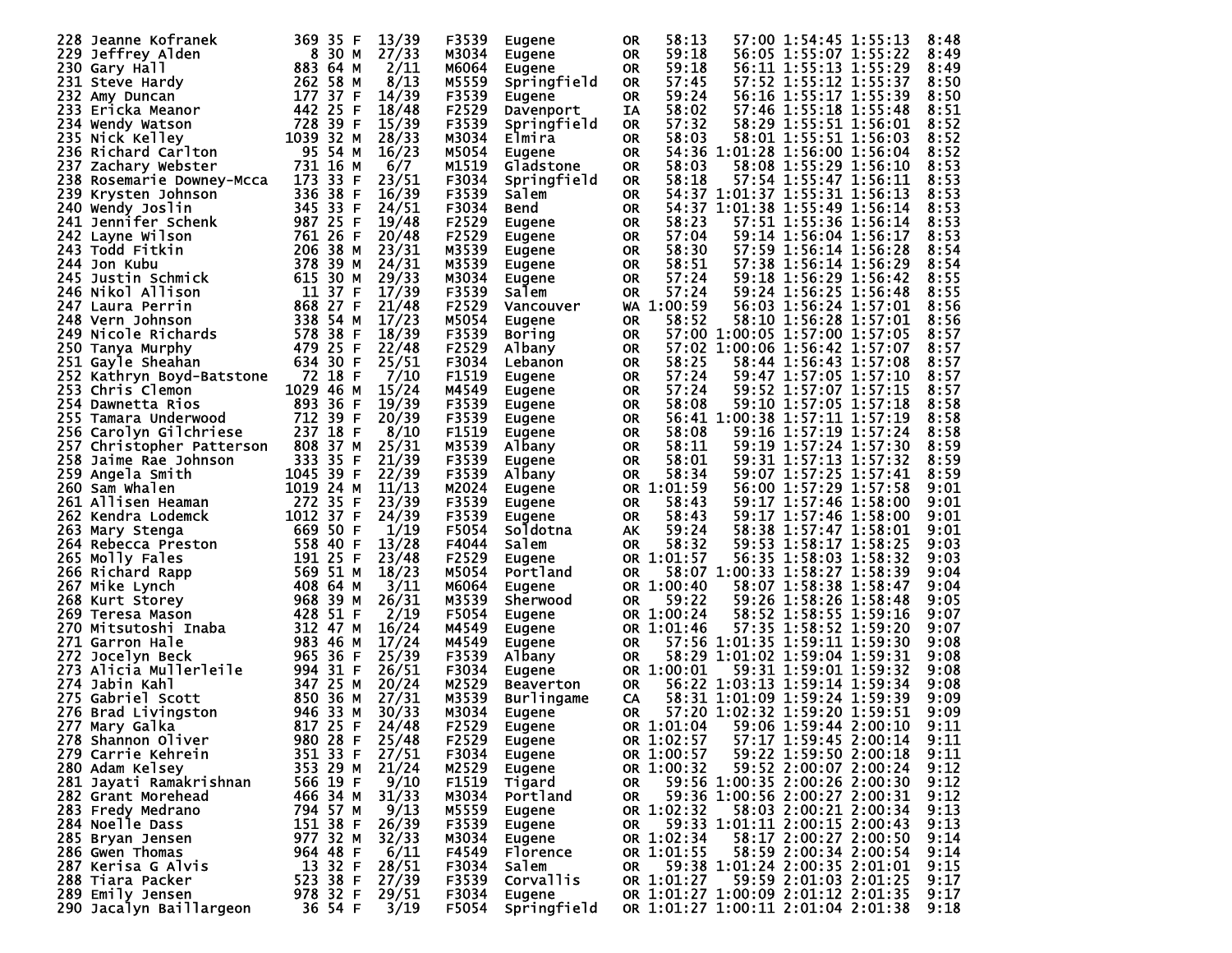| 228. | Jeanne Kofranek                      | 369 35 F     | 13/39 | F3539 | <b>Eugene</b>       | 0R        | 58:13      |               | 57:00 1:54:45 1:55:13                                  | 8:48 |
|------|--------------------------------------|--------------|-------|-------|---------------------|-----------|------------|---------------|--------------------------------------------------------|------|
| 229  | Jeffrey Alden                        | 8 30 M       | 27/33 | M3034 | Eugene              | <b>OR</b> | 59:18      |               | 56:05 1:55:07 1:55:22                                  | 8:49 |
|      | 230 Gary Hall                        | 883 64 M     | 2/11  | M6064 | Eugene              | <b>OR</b> | 59:18      |               | 56:11 1:55:13 1:55:29                                  | 8:49 |
|      | 231 Steve Hardy                      | 262 58 M     | 8/13  | M5559 | Springfield         | <b>OR</b> | 57:45      |               | 57:52 1:55:12 1:55:37                                  | 8:50 |
|      | 232 Amy Duncan                       | 177 37<br>F  | 14/39 | F3539 | Eugene              | <b>OR</b> | 59:24      |               | 56:16 1:55:17 1:55:39                                  | 8:50 |
|      | 233 Ericka Meanor                    | 442 25 F     | 18/48 | F2529 | Davenport           | IA        | 58:02      |               | 57:46 1:55:18 1:55:48                                  | 8:51 |
|      | 234 Wendy Watson                     | 728 39 F     | 15/39 | F3539 | Springfield         | <b>OR</b> | 57:32      |               | 58:29 1:55:51 1:56:01                                  | 8:52 |
|      | 235 Nick Kelley                      | 1039 32 M    | 28/33 | M3034 | Elmira              | <b>OR</b> | 58:03      |               | 58:01 1:55:51 1:56:03                                  | 8:52 |
|      | 236 Richard Carlton                  | 95 54 M      | 16/23 | M5054 |                     | <b>OR</b> |            |               | 54:36 1:01:28 1:56:00 1:56:04                          | 8:52 |
| 237  |                                      | 731 16 M     | 6/7   | M1519 | Eugene<br>Gladstone |           | 58:03      |               | 58:08 1:55:29 1:56:10                                  | 8:53 |
|      | Zachary Webster                      | 173<br>33 F  | 23/51 |       |                     | <b>OR</b> |            |               |                                                        |      |
|      | 238 Rosemarie Downey-Mcca            |              |       | F3034 | Springfield         | <b>OR</b> | 58:18      |               | 57:54 1:55:47 1:56:11<br>54:37 1:01:37 1:55:31 1:56:13 | 8:53 |
|      | 239 Krysten Johnson                  | 336 38 F     | 16/39 | F3539 | Salem               | <b>OR</b> |            |               |                                                        | 8:53 |
| 240. | Wendy Joslin                         | 345 33<br>F  | 24/51 | F3034 | Bend                | <b>OR</b> | 54:37      |               | 1:01:38 1:55:49 1:56:14                                | 8:53 |
| 241  | Jennifer Schenk                      | 987 25 F     | 19/48 | F2529 | Eugene              | <b>OR</b> | 58:23      |               | 57:51 1:55:36 1:56:14                                  | 8:53 |
| 242. | Layne Wilson                         | 761 26 F     | 20/48 | F2529 | Eugene              | <b>OR</b> | 57:04      |               | 59:14 1:56:04 1:56:17                                  | 8:53 |
|      | 243 Todd Fitkin                      | 206 38 M     | 23/31 | M3539 | Eugene              | <b>OR</b> | 58:30      |               | 57:59 1:56:14 1:56:28                                  | 8:54 |
| 244. | Jon Kubu                             | 378<br>39 M  | 24/31 | M3539 | Eugene              | <b>OR</b> | 58:51      |               | 57:38 1:56:14 1:56:29                                  | 8:54 |
| 245. | Justin Schmick                       | 615 30 M     | 29/33 | M3034 | Eugene              | <b>OR</b> | 57:24      |               | 59:18 1:56:29 1:56:42                                  | 8:55 |
|      | 246 Nikol Allison                    | 11 37<br>F   | 17/39 | F3539 | Salem               | <b>OR</b> | 57:24      |               | 59:24 1:56:25 1:56:48                                  | 8:55 |
|      | 247 Laura Perrin                     | 868 27 F     | 21/48 | F2529 | Vancouver           |           | WA 1:00:59 |               | 56:03 1:56:24 1:57:01                                  | 8:56 |
|      | 248 Vern Johnson                     | 338 54 M     | 17/23 | M5054 | Eugene              | <b>OR</b> | 58:52      |               | 58:10 1:56:28 1:57:01                                  | 8:56 |
|      | 249 Nicole Richards                  | 578 38 F     | 18/39 | F3539 | <b>Boring</b>       | <b>OR</b> |            |               | 57:00 1:00:05 1:57:00 1:57:05                          | 8:57 |
|      | 250 Tanya Murphy                     | 479 25 F     | 22/48 | F2529 | Albany              | <b>OR</b> |            |               | 57:02 1:00:06 1:56:42 1:57:07                          | 8:57 |
|      | 251 Gayle Sheahan                    | 634 30 F     | 25/51 | F3034 | Lebanon             | <b>OR</b> | 58:25      |               | 58:44 1:56:43 1:57:08                                  | 8:57 |
|      | 252 Kathryn Boyd-Batstone            | 72 18 F      | 7/10  | F1519 | Eugene              | <b>OR</b> | 57:24      |               | 59:47 1:57:05 1:57:10                                  | 8:57 |
|      | 253 Chris Clemon                     | 1029 46 M    | 15/24 | M4549 | Eugene              | <b>OR</b> | 57:24      |               | 59:52 1:57:07 1:57:15                                  | 8:57 |
|      | 254 Dawnetta Rios                    | 893 36 F     | 19/39 | F3539 | Eugene              | <b>OR</b> | 58:08      |               | 59:10 1:57:05 1:57:18                                  | 8:58 |
| 255. |                                      | 712 39 F     | 20/39 | F3539 |                     |           |            |               | 56:41 1:00:38 1:57:11 1:57:19                          | 8:58 |
|      | Tamara Underwood                     | 237 18 F     |       |       | Eugene              | <b>OR</b> |            |               | 1:57:19 1:57:24                                        |      |
|      | 256 Carolyn Gilchriese               |              | 8/10  | F1519 | Eugene              | <b>OR</b> | 58:08      | 59:16         |                                                        | 8:58 |
| 257. | Christopher Patterson                | 808 37 M     | 25/31 | M3539 | Albany              | <b>OR</b> | 58:11      |               | 59:19 1:57:24 1:57:30                                  | 8:59 |
| 258. | Jaime Rae Johnson                    | 333 35 F     | 21/39 | F3539 | Eugene              | <b>OR</b> | 58:01      |               | 59:31 1:57:13 1:57:32                                  | 8:59 |
|      | 259 Angela Smith                     | 1045 39 F    | 22/39 | F3539 | Albany              | <b>OR</b> | 58:34      |               | 59:07 1:57:25 1:57:41                                  | 8:59 |
| 260  | Sam Whalen                           | 1019 24 M    | 11/13 | M2024 | Eugene              |           | OR 1:01:59 |               | 56:00 1:57:29 1:57:58                                  | 9:01 |
|      | 261 Allisen Heaman                   | 272 35 F     | 23/39 | F3539 | Eugene              | <b>OR</b> | 58:43      |               | 59:17 1:57:46 1:58:00                                  | 9:01 |
|      | 262 Kendra Lodemck                   | 1012 37<br>F | 24/39 | F3539 | <b>Eugene</b>       | <b>OR</b> | 58:43      |               | 59:17 1:57:46 1:58:00                                  | 9:01 |
| 263. | Mary Stenga                          | 669 50 F     | 1/19  | F5054 | Soldotna            | АK        | 59:24      |               | 58:38 1:57:47 1:58:01                                  | 9:01 |
|      | 264 Rebecca Preston                  | 558 40 F     | 13/28 | F4044 | Salem               | <b>OR</b> | 58:32      |               | 59:53 1:58:17 1:58:25                                  | 9:03 |
|      | 265 Molly Fales                      | 191 25 F     | 23/48 | F2529 | Eugene              |           | OR 1:01:57 |               | 56:35 1:58:03 1:58:32                                  | 9:03 |
|      | 266 Richard Rapp                     | 569 51 M     | 18/23 | M5054 | Portland            | <b>OR</b> |            |               | 58:07 1:00:33 1:58:27 1:58:39                          | 9:04 |
|      | 267 Mike Lynch                       | 408 64 M     | 3/11  | M6064 | Eugene              |           | OR 1:00:40 |               | 58:07 1:58:38 1:58:47                                  | 9:04 |
|      | 268 Kurt Storey                      | 968 39 M     | 26/31 | M3539 | Sherwood            | 0R        | 59:22      |               | 59:26 1:58:26 1:58:48                                  | 9:05 |
|      | 269 Teresa Mason                     | 428 51 F     | 2/19  | F5054 | Eugene              | 0R.       | 1:00:24    |               | 58:52 1:58:55 1:59:16                                  | 9:07 |
| 270. | Mitsutoshi Inaba                     | 312 47<br>М  | 16/24 | M4549 | Eugene              | 0R        | 1:01:46    |               | 57:35 1:58:52 1:59:20                                  | 9:07 |
|      | 271 Garron Hale                      | 983 46 M     | 17/24 | M4549 | Eugene              | <b>OR</b> |            |               | 57:56 1:01:35 1:59:11 1:59:30                          | 9:08 |
| 272. | Jocelyn Beck                         | 965 36 F     | 25/39 | F3539 | Albany              | <b>OR</b> | 58:29      |               | 1:01:02 1:59:04 1:59:31                                | 9:08 |
| 273. | Alicia Mullerleile                   | 994 31 F     | 26/51 | F3034 | Eugene              | 0R        | 1:00:01    |               | 59:31 1:59:01 1:59:32                                  | 9:08 |
| 274. | Jabin Kahl                           | 347 25 M     | 20/24 | M2529 | Beaverton           | <b>OR</b> |            | 56:22 1:03:13 | 1:59:14 1:59:34                                        | 9:08 |
| 275. | Gabriel Scott                        | 850 36 M     | 27/31 | M3539 | <b>Burlingame</b>   | CA        |            |               | 58:31 1:01:09 1:59:24 1:59:39                          | 9:09 |
| 276. | <b>Brad Livingston</b>               | 946 33 M     | 30/33 | M3034 | Eugene              | 0R.       |            |               | 57:20 1:02:32 1:59:20 1:59:51                          | 9:09 |
|      |                                      | 817 25 F     | 24/48 | F2529 |                     |           | OR 1:01:04 |               | 59:06 1:59:44 2:00:10                                  | 9:11 |
|      | 277 Mary Galka<br>278 Shannon Oliver | 980 28 F     | 25/48 | F2529 | <b>Eugene</b>       |           | OR 1:02:57 |               | 57:17 1:59:45 2:00:14                                  | 9:11 |
|      |                                      |              |       |       | <b>Eugene</b>       |           |            |               |                                                        |      |
|      | 279 Carrie Kehrein                   | 351 33 F     | 27/51 | F3034 | Eugene              |           | OR 1:00:57 |               | 59:22 1:59:50 2:00:18                                  | 9:11 |
|      | 280 Adam Kelsey                      | 353 29 M     | 21/24 | M2529 | Eugene              |           | OR 1:00:32 |               | 59:52 2:00:07 2:00:24                                  | 9:12 |
|      | 281 Jayati Ramakrishnan              | 566 19 F     | 9/10  | F1519 | Tigard              | OR.       |            |               | 59:56 1:00:35 2:00:26 2:00:30                          | 9:12 |
|      | 282 Grant Morehead                   | 466 34 M     | 31/33 | M3034 | Portland            | <b>OR</b> |            |               | 59:36 1:00:56 2:00:27 2:00:31                          | 9:12 |
|      | 283 Fredy Medrano                    | 794 57 M     | 9/13  | M5559 | Eugene              |           | OR 1:02:32 |               | 58:03 2:00:21 2:00:34                                  | 9:13 |
|      | 284 Noelle Dass                      | 151 38 F     | 26/39 | F3539 | Eugene              | OR.       |            |               | 59:33 1:01:11 2:00:15 2:00:43                          | 9:13 |
|      | 285 Bryan Jensen                     | 977 32 M     | 32/33 | M3034 | Eugene              |           | OR 1:02:34 |               | 58:17 2:00:27 2:00:50                                  | 9:14 |
|      | 286 Gwen Thomas                      | 964 48 F     | 6/11  | F4549 | Florence            |           | OR 1:01:55 |               | 58:59 2:00:34 2:00:54                                  | 9:14 |
|      | 287 Kerisa G Alvis                   | 13 32 F      | 28/51 | F3034 | Salem               | OR.       |            |               | 59:38 1:01:24 2:00:35 2:01:01                          | 9:15 |
|      | 288 Tiara Packer                     | 523 38 F     | 27/39 | F3539 | <b>Corvallis</b>    |           | OR 1:01:27 |               | 59:59 2:01:03 2:01:25                                  | 9:17 |
|      | 289 Emily Jensen                     | 978 32 F     | 29/51 | F3034 | Eugene              |           |            |               | OR 1:01:27 1:00:09 2:01:12 2:01:35                     | 9:17 |
|      | 290 Jacalyn Baillargeon              | 36 54 F      | 3/19  | F5054 | Springfield         |           |            |               | OR 1:01:27 1:00:11 2:01:04 2:01:38                     | 9:18 |
|      |                                      |              |       |       |                     |           |            |               |                                                        |      |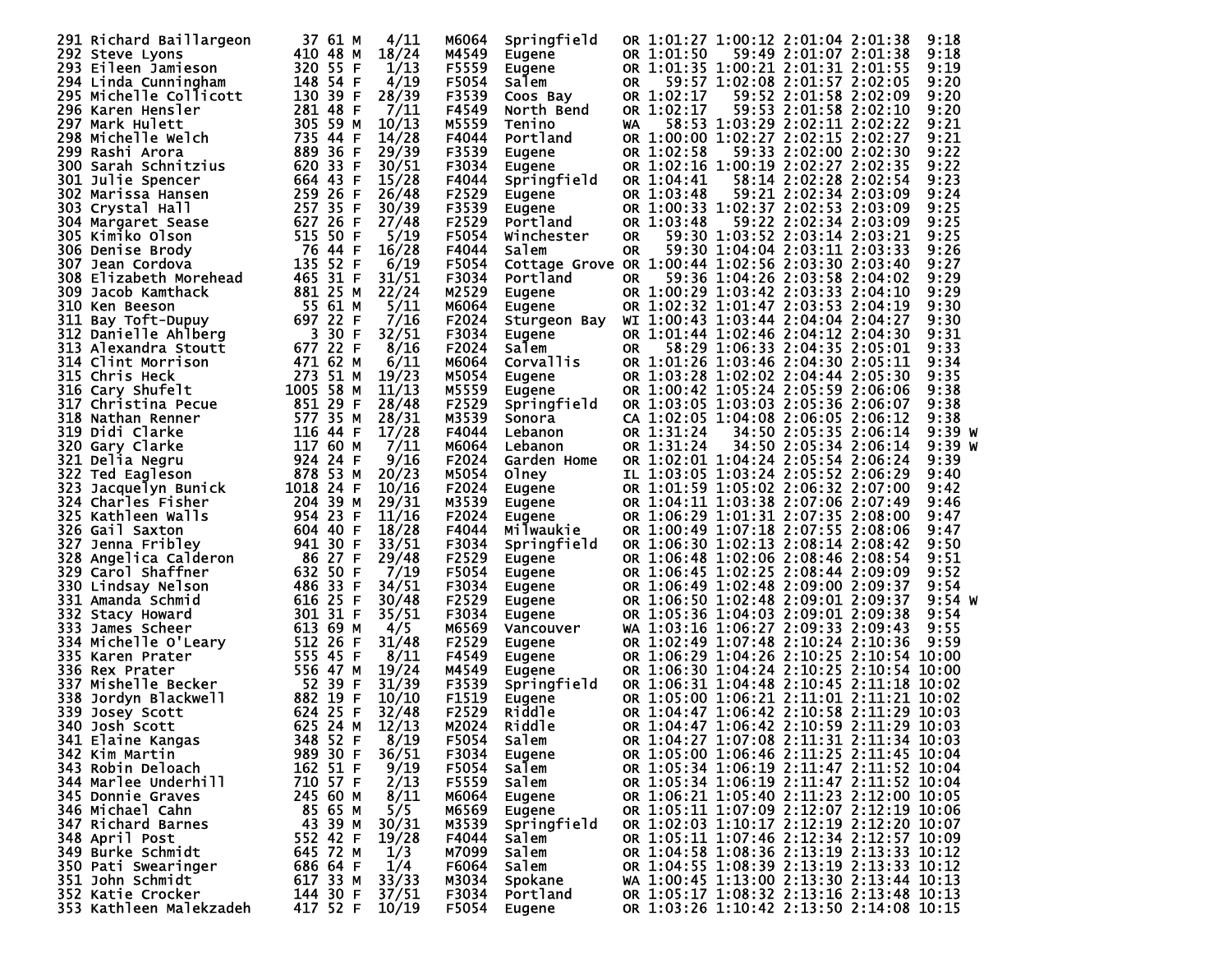| 291 Richard Baillargeon                                                                  | 37 61 M              | 4/11  | M6064   | Springfield                                      |     |            | OR 1:01:27 1:00:12 2:01:04 2:01:38       | 9:18     |
|------------------------------------------------------------------------------------------|----------------------|-------|---------|--------------------------------------------------|-----|------------|------------------------------------------|----------|
| 292 Steve Lyons                                                                          | 410 48 M             | 18/24 | M4549   | Eugene                                           |     | OR 1:01:50 | 59:49 2:01:07 2:01:38                    | 9:18     |
| 293 Eileen Jamieson                                                                      | 320 55 F             | 1/13  | F5559   | Eugene                                           |     |            | OR 1:01:35 1:00:21 2:01:31 2:01:55       | 9:19     |
| 294 Linda Cunningham                                                                     | 148 54 F             | 4/19  | F5054   | Salem                                            | 0R  |            | 59:57 1:02:08 2:01:57 2:02:05            | 9:20     |
| 295 Michelle Collicott                                                                   | 130 39 F             | 28/39 | F3539   | Coos Bay                                         |     | OR 1:02:17 | 59:52 2:01:58 2:02:09                    | 9:20     |
| 296 Karen Hensler                                                                        | 281 48 F             | 7/11  | F4549   | North Bend                                       |     | OR 1:02:17 | 59:53 2:01:58 2:02:10                    | 9:20     |
| 297 Mark Hulett                                                                          | 305 59 M             | 10/13 | M5559   | Tenino                                           | WA  |            | 58:53 1:03:29 2:02:11 2:02:22            | 9:21     |
| 298 Michelle Welch                                                                       | 735 44 F             | 14/28 | F4044   | Portland                                         |     |            | OR 1:00:00 1:02:27 2:02:15 2:02:27       | 9:21     |
|                                                                                          |                      |       |         |                                                  |     |            |                                          |          |
| 299 Rashi Arora                                                                          | 889 36 F             | 29/39 | F3539   | Eugene                                           |     | OR 1:02:58 | 59:33 2:02:00 2:02:30                    | 9:22     |
| 300 Sarah Schnitzius                                                                     | 620 33 F             | 30/51 | F3034 L | Eugene                                           |     |            | OR 1:02:16 1:00:19 2:02:27 2:02:35       | 9:22     |
| 301 Julie Spencer                                                                        | 664 43 F             | 15/28 | F4044   | Springfield                                      |     | OR 1:04:41 | 58:14 2:02:28 2:02:54                    | 9:23     |
| 302 Marissa Hansen                                                                       | 259 26 F             | 26/48 | F2529   | Eugene                                           |     | OR 1:03:48 | 59:21 2:02:34 2:03:09                    | 9:24     |
| 303 Crystal Hall                                                                         | 257 35 F             | 30/39 | F3539   | Eugene                                           |     |            | OR 1:00:33 1:02:37 2:02:53 2:03:09       | 9:25     |
| 304 Margaret Sease                                                                       | 627 26 F             | 27/48 | F2529   | Portland                                         |     | OR 1:03:48 | 59:22 2:02:34 2:03:09                    | 9:25     |
| 305 Kimiko Olson                                                                         | 515 50 F             | 5/19  | F5054   | Winchester                                       | 0R  |            | 59:30 1:03:52 2:03:14 2:03:21            | 9:25     |
| 306 Denise Brody                                                                         | 76 44 F              | 16/28 | F4044   | Salem                                            | 0R  |            | 59:30 1:04:04 2:03:11 2:03:33            | 9:26     |
| 307 Jean Cordova                                                                         | 135 52 F             | 6/19  | F5054   | Cottage Grove OR 1:00:44 1:02:56 2:03:30 2:03:40 |     |            |                                          | 9:27     |
| 308 Elizabeth Morehead                                                                   | 465 31 F             | 31/51 | F3034   | Portland                                         | OR. |            | 59:36 1:04:26 2:03:58 2:04:02            | 9:29     |
| 309 Jacob Kamthack                                                                       | 881 25 M             | 22/24 | M2529   | Eugene                                           |     |            | OR 1:00:29 1:03:42 2:03:33 2:04:10       | 9:29     |
| 310 Ken Beeson                                                                           | 55 61 M              | 5/11  | M6064   | Eugene                                           |     |            | OR 1:02:32 1:01:47 2:03:53 2:04:19       | 9:30     |
| 311 Bay Toft-Dupuy                                                                       |                      | 7/16  | F2024   | Sturgeon Bay                                     |     |            | WI 1:00:43 1:03:44 2:04:04 2:04:27       | 9:30     |
| 312 Danielle Ahlberg                                                                     |                      | 32/51 | F3034   | Eugene                                           |     |            | OR 1:01:44 1:02:46 2:04:12 2:04:30       | 9:31     |
| 313 Alexandra Stoutt                                                                     |                      | 8/16  | F2024   | Salem                                            | OR  |            | 58:29 1:06:33 2:04:35 2:05:01            | 9:33     |
|                                                                                          |                      |       |         |                                                  |     |            |                                          | 9:34     |
| 314 Clint Morrison<br>315 Chris Heck                                                     |                      | 6/11  | M6064   | Corvallis                                        |     |            | OR 1:01:26 1:03:46 2:04:30 2:05:11       |          |
|                                                                                          | 273 51 M             | 19/23 | M5054   | Eugene                                           |     |            | OR 1:03:28 1:02:02 2:04:44 2:05:30       | 9:35     |
| <b>315 CHITS HECK<br/>316 Cary Shufelt<br/>317 Christina Pecue<br/>318 Nathan Renner</b> | 1005 58 M            | 11/13 | M5559   | Eugene                                           |     |            | OR 1:00:42 1:05:24 2:05:59 2:06:06       | 9:38     |
|                                                                                          | 851 29 F             | 28/48 | F2529   | Springfield                                      |     |            | OR 1:03:05 1:03:03 2:05:36 2:06:07       | 9:38     |
|                                                                                          | 577 35 M             | 28/31 | M3539   | Sonora                                           |     |            | CA 1:02:05 1:04:08 2:06:05 2:06:12       | 9:38     |
| 319 Didi Clarke                                                                          | 116 44 F             | 17/28 | F4044   | Lebanon                                          |     | OR 1:31:24 | 34:50 2:05:35 2:06:14                    | 9:39 W   |
|                                                                                          | 117 60 M             | 7/11  | M6064   | Lebanon                                          |     | OR 1:31:24 | 34:50 2:05:34 2:06:14                    | 9:39 w   |
| <b>320 Gary Clarke<br/>321 Delia Negru<br/>322 Ted Eagleson<br/>323 Jacquelyn Bunick</b> | 924 24 F             | 9/16  | F2024   | Garden Home                                      |     |            | OR 1:02:01 1:04:24 2:05:54 2:06:24       | 9:39     |
|                                                                                          | 878 53 M             | 20/23 | M5054   | Olney                                            |     |            | IL 1:03:05 1:03:24 2:05:52 2:06:29       | 9:40     |
|                                                                                          | 1018 24 F            | 10/16 | F2024   | Eugene                                           |     |            | OR 1:01:59 1:05:02 2:06:32 2:07:00       | 9:42     |
| 324 Charles Fisher                                                                       | 204 39 M             | 29/31 | M3539   | Eugene                                           |     |            | OR 1:04:11 1:03:38 2:07:06 2:07:49       | 9:46     |
| 325 Kathleen Walls                                                                       | 954 23 F             | 11/16 | F2024   | Eugene                                           |     |            | OR 1:06:29 1:01:31 2:07:35 2:08:00       | 9:47     |
| 326 Gail Saxton                                                                          | 604 40 F             | 18/28 | F4044   | Milwaukie                                        |     |            | OR 1:00:49 1:07:18 2:07:55 2:08:06       | 9:47     |
| 327 Jenna Fribley                                                                        | 941 30 F             | 33/51 | F3034   | Springfield                                      |     |            | OR 1:06:30 1:02:13 2:08:14 2:08:42       | 9:50     |
| 328 Angelica Calderon                                                                    | 86 27 F              | 29/48 | F2529   | Eugene                                           |     |            | OR 1:06:48 1:02:06 2:08:46 2:08:54       | 9:51     |
| 329 Carol Shaffner                                                                       | 632 50 F             | 7/19  | F5054   | Eugene                                           |     |            | OR 1:06:45 1:02:25 2:08:44 2:09:09       | 9:52     |
| 330 Lindsay Nelson                                                                       | 486 33 F             | 34/51 | F3034   | Eugene                                           |     |            | OR 1:06:49 1:02:48 2:09:00 2:09:37       | 9:54     |
| 331 Amanda Schmid                                                                        | 616 25 F             | 30/48 | F2529   |                                                  |     |            | OR 1:06:50 1:02:48 2:09:01 2:09:37       | $9:54$ W |
|                                                                                          | 301 31 F             | 35/51 | F3034   | Eugene                                           |     |            | OR 1:05:36 1:04:03 2:09:01 2:09:38       | 9:54     |
| 332 Stacy Howard                                                                         |                      |       |         | Eugene                                           |     |            |                                          | 9:55     |
| 333 James Scheer                                                                         | 613 69 M             | 4/5   | M6569   | Vancouver                                        |     |            | WA 1:03:16 1:06:27 2:09:33 2:09:43       |          |
| 334 Michelle O'Leary                                                                     | 512 26 F             | 31/48 | F2529   | Eugene                                           |     |            | OR 1:02:49 1:07:48 2:10:24 2:10:36       | 9:59     |
| 335 Karen Prater                                                                         | 555 45 F             | 8/11  | F4549   | Eugene                                           |     |            | OR 1:06:29 1:04:26 2:10:25 2:10:54 10:00 |          |
| 336 Rex Prater                                                                           | 556 47 M             | 19/24 | M4549   | Eugene                                           |     |            | OR 1:06:30 1:04:24 2:10:25 2:10:54 10:00 |          |
| 337 Mishelle Becker                                                                      | 52 39 F              | 31/39 | F3539   | Springfield                                      |     |            | OR 1:06:31 1:04:48 2:10:45 2:11:18 10:02 |          |
| 338 Jordyn Blackwell                                                                     | 882 19 F             | 10/10 | F1519   | Eugene                                           |     |            | OR 1:05:00 1:06:21 2:11:01 2:11:21 10:02 |          |
| 339 Josey Scott                                                                          | 624 25 F             | 32/48 | F2529   | Riddle                                           |     |            | OR 1:04:47 1:06:42 2:10:58 2:11:29 10:03 |          |
| 340 Josh Scott                                                                           | 625 24 M             | 12/13 | M2024   | Riddle                                           |     |            | OR 1:04:47 1:06:42 2:10:59 2:11:29 10:03 |          |
| 341 Elaine Kangas                                                                        | 348 52 F             | 8/19  | F5054   | Salem                                            |     |            | OR 1:04:27 1:07:08 2:11:31 2:11:34 10:03 |          |
| 342 Kim Martin                                                                           | 989 30 F             | 36/51 | F3034   | <b>Eugene</b>                                    |     |            | OR 1:05:00 1:06:46 2:11:25 2:11:45 10:04 |          |
| 343 Robin Deloach                                                                        | 162 51 F             | 9/19  | F5054   | Salem                                            |     |            | OR 1:05:34 1:06:19 2:11:47 2:11:52 10:04 |          |
| 344 Marlee Underhill                                                                     | 710 57 F             | 2/13  | F5559   | Salem                                            |     |            | OR 1:05:34 1:06:19 2:11:47 2:11:52 10:04 |          |
| 345 Donnie Graves                                                                        | 245 60 M             | 8/11  | M6064   | Eugene                                           |     |            | OR 1:06:21 1:05:40 2:11:23 2:12:00 10:05 |          |
| 346 Michael Cahn                                                                         | 85 65 M              | 5/5   | M6569   | Eugene                                           |     |            | OR 1:05:11 1:07:09 2:12:07 2:12:19 10:06 |          |
| 347 Richard Barnes                                                                       | 43 39 M              | 30/31 | M3539   | Springfield                                      |     |            | OR 1:02:03 1:10:17 2:12:19 2:12:20 10:07 |          |
| 348 April Post                                                                           | 552 42 F             | 19/28 | F4044   | Salem                                            |     |            | OR 1:05:11 1:07:46 2:12:34 2:12:57 10:09 |          |
| 349 Burke Schmidt                                                                        | 645 72 M             | 1/3   | M7099   | Salem                                            |     |            | OR 1:04:58 1:08:36 2:13:19 2:13:33 10:12 |          |
| 350 Pati Swearinger                                                                      | 686 64 F             | 1/4   | F6064   | Salem                                            |     |            | OR 1:04:55 1:08:39 2:13:19 2:13:33 10:12 |          |
| 351 John Schmidt                                                                         | 617 33 M             | 33/33 | м3034   | Spokane                                          |     |            | WA 1:00:45 1:13:00 2:13:30 2:13:44 10:13 |          |
| 352 Katie Crocker                                                                        |                      | 37/51 | F3034   | Portland                                         |     |            | OR 1:05:17 1:08:32 2:13:16 2:13:48 10:13 |          |
| 353 Kathleen Malekzadeh                                                                  | 144 30 F<br>417 52 F | 10/19 | F5054   |                                                  |     |            | OR 1:03:26 1:10:42 2:13:50 2:14:08 10:15 |          |
|                                                                                          |                      |       |         | Eugene                                           |     |            |                                          |          |
|                                                                                          |                      |       |         |                                                  |     |            |                                          |          |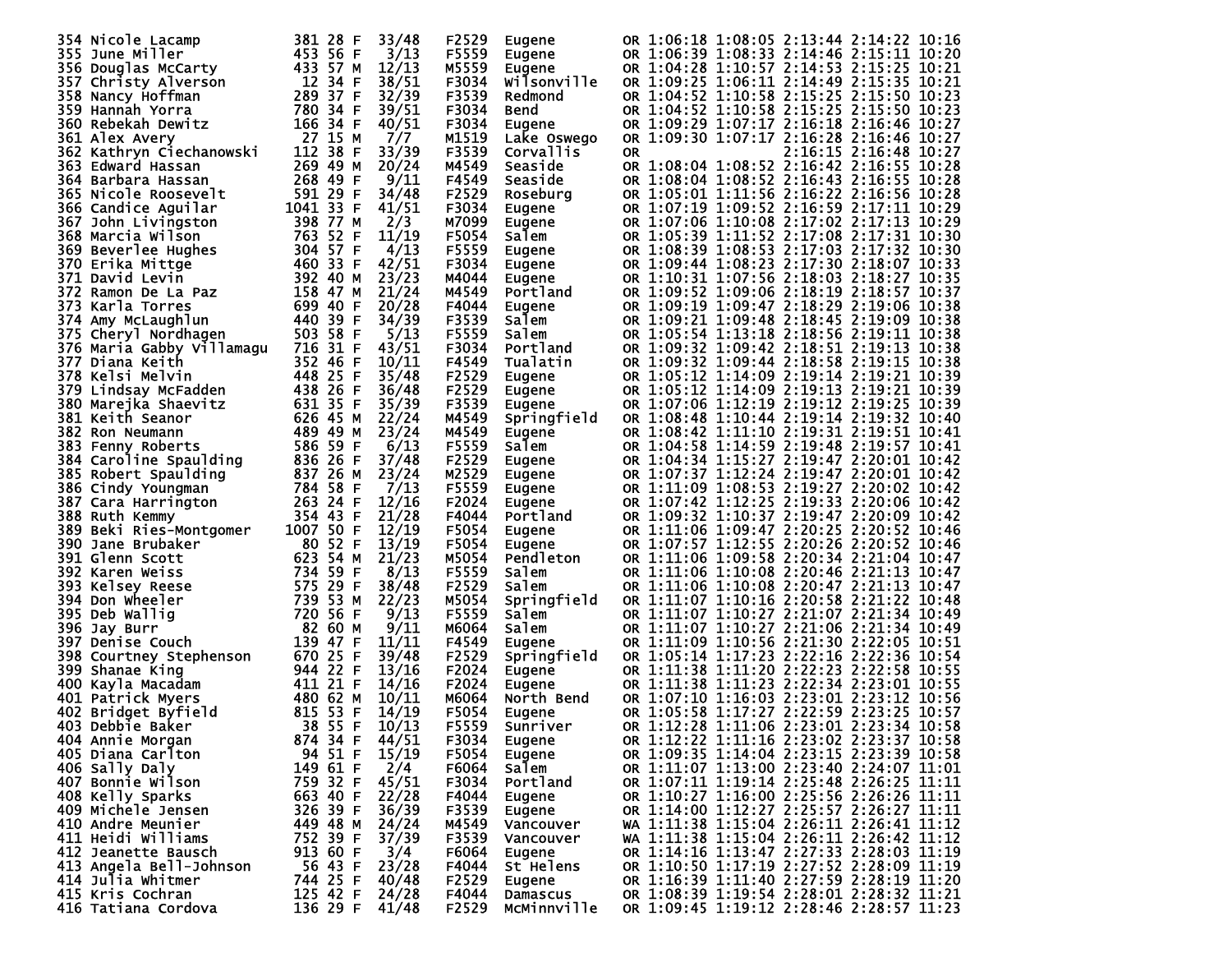| 354 Nicole Lacamp           |           | 381 28 F | 33/48          | F2529 | Eugene        |                                          |  | OR 1:06:18 1:08:05 2:13:44 2:14:22 10:16 |  |
|-----------------------------|-----------|----------|----------------|-------|---------------|------------------------------------------|--|------------------------------------------|--|
| 355 June Miller             |           | 453 56 F | 3/13           | F5559 | Eugene        |                                          |  | OR 1:06:39 1:08:33 2:14:46 2:15:11 10:20 |  |
|                             |           | 433 57 M | 12/13          | M5559 |               |                                          |  | OR 1:04:28 1:10:57 2:14:53 2:15:25 10:21 |  |
| 356 Douglas McCarty         |           |          |                |       | Eugene        |                                          |  |                                          |  |
| 357 Christy Alverson        | 12 34 F   |          | 38/51          | F3034 | Wilsonville   |                                          |  | OR 1:09:25 1:06:11 2:14:49 2:15:35 10:21 |  |
| 358 Nancy Hoffman           |           | 289 37 F | 32/39          | F3539 | Redmond       | OR                                       |  | 1:04:52 1:10:58 2:15:25 2:15:50 10:23    |  |
|                             |           |          |                |       |               |                                          |  |                                          |  |
| 359 Hannah Yorra            |           | 780 34 F | 39/51          | F3034 | Bend          |                                          |  | OR 1:04:52 1:10:58 2:15:25 2:15:50 10:23 |  |
| 360 Rebekah Dewitz          |           | 166 34 F | 40/51          | F3034 | Eugene        | OR 1:09:29 1:07:17 2:16:18 2:16:46 10:27 |  |                                          |  |
|                             |           |          |                |       |               |                                          |  |                                          |  |
| 361 Alex Avery              |           | 27 15 M  | 7/7            | M1519 | Lake Oswego   |                                          |  | OR 1:09:30 1:07:17 2:16:28 2:16:46 10:27 |  |
| 362 Kathryn Ciechanowski    |           | 112 38 F | 33/39          | F3539 | Corvallis     | 0R                                       |  | 2:16:15 2:16:48 10:27                    |  |
|                             |           | 269 49 M | 20/24          | M4549 | Seaside       |                                          |  | OR 1:08:04 1:08:52 2:16:42 2:16:55 10:28 |  |
| 363 Edward Hassan           |           |          |                |       |               |                                          |  |                                          |  |
| 364 Barbara Hassan          |           | 268 49 F | 9/11           | F4549 | Seaside       | OR 1:08:04 1:08:52 2:16:43 2:16:55 10:28 |  |                                          |  |
| <b>365 Nicole Roosevelt</b> |           | 591 29 F | 34/48          | F2529 | Roseburg      |                                          |  | OR 1:05:01 1:11:56 2:16:22 2:16:56 10:28 |  |
|                             |           |          |                |       |               |                                          |  |                                          |  |
| 366 Candice Aguilar         | 1041 33 F |          | 41/51          | F3034 | <b>Eugene</b> | OR 1:07:19 1:09:52 2:16:59 2:17:11 10:29 |  |                                          |  |
| 367 John Livingston         |           | 398 77 M | 2/3            | M7099 | Eugene        | OR 1:07:06 1:10:08 2:17:02 2:17:13 10:29 |  |                                          |  |
|                             |           |          |                |       |               |                                          |  |                                          |  |
| 368 Marcia Wilson           |           | 763 52 F | 11/19          | F5054 | Salem         | OR 1:05:39 1:11:52 2:17:08 2:17:31 10:30 |  |                                          |  |
| 369 Beverlee Hughes         |           | 304 57 F | 4/13           | F5559 | Eugene        |                                          |  | OR 1:08:39 1:08:53 2:17:03 2:17:32 10:30 |  |
|                             |           |          |                |       |               |                                          |  |                                          |  |
| 370 Erika Mittge            |           | 460 33 F | 42/51          | F3034 | Eugene        | OR 1:09:44 1:08:23 2:17:30 2:18:07 10:33 |  |                                          |  |
| 371 David Levin             |           | 392 40 M | 23/23          | M4044 | Eugene        | OR 1:10:31 1:07:56 2:18:03 2:18:27 10:35 |  |                                          |  |
| 372 Ramon De La Paz         |           | 158 47 M | 21/24          | M4549 | Portland      | OR 1:09:52 1:09:06 2:18:19 2:18:57 10:37 |  |                                          |  |
|                             |           |          |                |       |               |                                          |  |                                          |  |
| 373 Karla Torres            |           | 699 40 F | 20/28          | F4044 | Eugene        |                                          |  | OR 1:09:19 1:09:47 2:18:29 2:19:06 10:38 |  |
| 374 Amy McLaughlun          |           | 440 39 F | 34/39          | F3539 | Salem         | OR 1:09:21 1:09:48 2:18:45 2:19:09 10:38 |  |                                          |  |
|                             |           |          |                |       |               |                                          |  |                                          |  |
| 375 Cheryl Nordhagen        |           | 503 58 F | 5/13           | F5559 | Salem         |                                          |  | OR 1:05:54 1:13:18 2:18:56 2:19:11 10:38 |  |
| 376 Maria Gabby Villamagu   |           | 716 31 F | 43/51          | F3034 | Portland      | OR 1:09:32 1:09:42 2:18:51 2:19:13 10:38 |  |                                          |  |
|                             |           |          |                |       |               |                                          |  |                                          |  |
| 377 Diana Keith             |           | 352 46 F | 10/11          | F4549 | Tualatin      | OR 1:09:32 1:09:44 2:18:58 2:19:15 10:38 |  |                                          |  |
| 378 Kelsi Melvin            |           | 448 25 F | 35/48          | F2529 | <b>Eugene</b> | OR 1:05:12 1:14:09 2:19:14 2:19:21 10:39 |  |                                          |  |
|                             |           |          |                |       |               | OR 1:05:12 1:14:09 2:19:13 2:19:21 10:39 |  |                                          |  |
| 379 Lindsay McFadden        |           | 438 26 F | 36/48          | F2529 | Eugene        |                                          |  |                                          |  |
| 380 Marejka Shaevitz        |           | 631 35 F | 35/39          | F3539 | Eugene        | OR 1:07:06 1:12:19 2:19:12 2:19:25 10:39 |  |                                          |  |
| 381 Keith Seanor            |           | 626 45 M | 22/24          | M4549 | Springfield   | OR 1:08:48 1:10:44 2:19:14 2:19:32 10:40 |  |                                          |  |
|                             |           |          |                |       |               |                                          |  |                                          |  |
| 382 Ron Neumann             |           | 489 49 M | 23/24          | M4549 | Eugene        | OR 1:08:42 1:11:10 2:19:31 2:19:51 10:41 |  |                                          |  |
| 383 Fenny Roberts           |           | 586 59 F | 6/13           | F5559 | Salem         |                                          |  | OR 1:04:58 1:14:59 2:19:48 2:19:57 10:41 |  |
|                             |           |          |                |       |               |                                          |  |                                          |  |
| 384 Caroline Spaulding      |           | 836 26 F | 37/48          | F2529 | Eugene        | OR 1:04:34 1:15:27 2:19:47 2:20:01 10:42 |  |                                          |  |
| 385 Robert Spaulding        |           | 837 26 M | 23/24          | M2529 | Eugene        | OR 1:07:37 1:12:24 2:19:47 2:20:01 10:42 |  |                                          |  |
|                             |           | 784 58 F |                |       |               |                                          |  |                                          |  |
| 386 Cindy Youngman          |           |          | 7/13           | F5559 | Eugene        | OR 1:11:09 1:08:53 2:19:27 2:20:02 10:42 |  |                                          |  |
| 387 Cara Harrington         |           | 263 24 F | 12/16          | F2024 | Eugene        | OR 1:07:42 1:12:25 2:19:33 2:20:06 10:42 |  |                                          |  |
| 388 Ruth Kemmy              |           | 354 43 F | 21/28          | F4044 | Portland      | OR 1:09:32 1:10:37 2:19:47 2:20:09 10:42 |  |                                          |  |
|                             |           |          |                |       |               |                                          |  |                                          |  |
| 389 Beki Ries-Montgomer     | 1007 50 F |          | 12/19          | F5054 | <b>Eugene</b> | OR 1:11:06 1:09:47 2:20:25 2:20:52 10:46 |  |                                          |  |
| 390 Jane Brubaker           |           | 80 52 F  | 13/19          | F5054 | Eugene        | OR 1:07:57 1:12:55 2:20:26 2:20:52 10:46 |  |                                          |  |
|                             |           |          |                |       |               |                                          |  |                                          |  |
| 391 Glenn Scott             |           | 623 54 M | 21/23          | M5054 | Pendleton     | OR 1:11:06 1:09:58 2:20:34 2:21:04 10:47 |  |                                          |  |
| 392 Karen Weiss             |           | 734 59 F | 8/13           | F5559 | Salem         | OR 1:11:06 1:10:08 2:20:46 2:21:13 10:47 |  |                                          |  |
|                             |           |          |                |       |               |                                          |  |                                          |  |
| 393 Kelsey Reese            |           | 575 29 F | 38/48          | F2529 | Salem         | OR 1:11:06 1:10:08 2:20:47 2:21:13 10:47 |  |                                          |  |
| 394 Don Wheeler             |           | 739 53 M | 22/23          | M5054 | Springfield   | OR 1:11:07 1:10:16 2:20:58 2:21:22 10:48 |  |                                          |  |
| 395 Deb Wallig              |           | 720 56 F | 9/13           | F5559 | Salem         | OR 1:11:07 1:10:27 2:21:07 2:21:34 10:49 |  |                                          |  |
|                             |           |          |                |       |               |                                          |  |                                          |  |
| 396 Jay Burr                |           | 82 60 M  | 9/11           | м6064 | Salem         | OR 1:11:07 1:10:27 2:21:06 2:21:34 10:49 |  |                                          |  |
| 397 Denise Couch            |           | 139 47 F | 11/11          | F4549 | Eugene        | OR 1:11:09 1:10:56 2:21:30 2:22:05 10:51 |  |                                          |  |
|                             |           |          |                |       |               | OR 1:05:14 1:17:23 2:22:16 2:22:36 10:54 |  |                                          |  |
| 398 Courtney Stephenson     |           | 670 25 F | 39/48          | F2529 | Springfield   |                                          |  |                                          |  |
| 399 Shanae King             |           | 944 22 F | 13/16          | F2024 | <b>Eugene</b> | OR 1:11:38 1:11:20 2:22:23 2:22:58 10:55 |  |                                          |  |
| 400 Kayla Macadam           |           | 411 21 F | 14/16          | F2024 | <b>Eugene</b> | OR 1:11:38 1:11:23 2:22:34 2:23:01 10:55 |  |                                          |  |
|                             |           |          |                |       |               |                                          |  |                                          |  |
| 401 Patrick Myers           |           | 480 62 M | 10/11          | M6064 | North Bend    | OR 1:07:10 1:16:03 2:23:01 2:23:12 10:56 |  |                                          |  |
| 402 Bridget Byfield         |           | 815 53 F | 14/19          | F5054 | Eugene        | OR 1:05:58 1:17:27 2:22:59 2:23:25 10:57 |  |                                          |  |
|                             |           |          |                |       |               | OR 1:12:28 1:11:06 2:23:01 2:23:34 10:58 |  |                                          |  |
| 403 Debbie Baker            |           | 38 55 F  | 10/13          | F5559 | Sunriver      |                                          |  |                                          |  |
| 404 Annie Morgan            |           | 874 34 F | 44/51          | F3034 | Eugene        |                                          |  | OR 1:12:22 1:11:16 2:23:02 2:23:37 10:58 |  |
| 405 Diana Carlton           |           |          |                |       |               |                                          |  | OR 1:09:35 1:14:04 2:23:15 2:23:39 10:58 |  |
|                             |           | 94 51 F  | 15/19          | F5054 | Eugene        |                                          |  |                                          |  |
| 406 Sally Daly              |           | 149 61 F | 2/4            | F6064 | Salem         |                                          |  | OR 1:11:07 1:13:00 2:23:40 2:24:07 11:01 |  |
| 407 Bonnie Wilson           |           | 759 32 F | 45/51          | F3034 | Portland      |                                          |  | OR 1:07:11 1:19:14 2:25:48 2:26:25 11:11 |  |
|                             |           |          |                |       |               |                                          |  |                                          |  |
| 408 Kelly Sparks            |           | 663 40 F | 22/28          | F4044 | Eugene        |                                          |  | OR 1:10:27 1:16:00 2:25:56 2:26:26 11:11 |  |
| 409 Michele Jensen          |           | 326 39 F | 36/39          | F3539 | Eugene        |                                          |  | OR 1:14:00 1:12:27 2:25:57 2:26:27 11:11 |  |
|                             |           | 449 48 M |                |       |               |                                          |  |                                          |  |
| 410 Andre Meunier           |           |          | 24/24          | M4549 | Vancouver     |                                          |  | wa 1:11:38 1:15:04 2:26:11 2:26:41 11:12 |  |
| 411 Heidi Williams          |           | 752 39 F | 37/39          | F3539 | Vancouver     |                                          |  | WA 1:11:38 1:15:04 2:26:11 2:26:42 11:12 |  |
| 412 Jeanette Bausch         |           | 913 60 F | 3/4            | F6064 | Eugene        |                                          |  | OR 1:14:16 1:13:47 2:27:33 2:28:03 11:19 |  |
|                             |           |          |                |       |               |                                          |  |                                          |  |
| 413 Angela Bell-Johnson     |           | 56 43 F  | 23/28          | F4044 | St Helens     |                                          |  | OR 1:10:50 1:17:19 2:27:52 2:28:09 11:19 |  |
| 414 Julia Whitmer           |           | 744 25 F | 40/48          | F2529 | Eugene        |                                          |  | OR 1:16:39 1:11:40 2:27:59 2:28:19 11:20 |  |
|                             |           |          |                |       |               |                                          |  |                                          |  |
| 415 Kris Cochran            |           | 125 42 F | 24/28          | F4044 | Damascus      |                                          |  | OR 1:08:39 1:19:54 2:28:01 2:28:32 11:21 |  |
| 416 Tatiana Cordova         |           |          | 136 29 F 41/48 | F2529 | McMinnville   | OR 1:09:45 1:19:12 2:28:46 2:28:57 11:23 |  |                                          |  |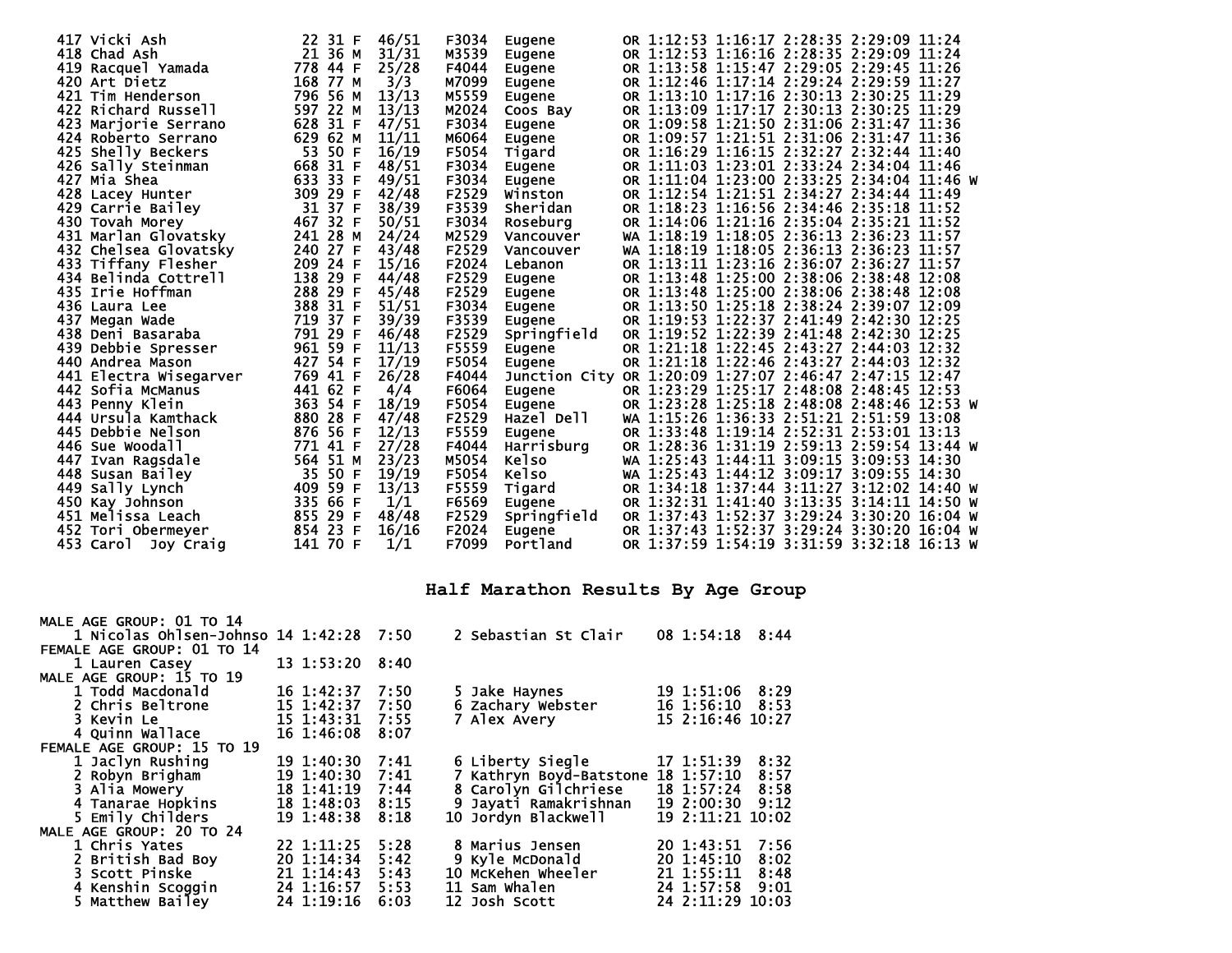|     | 417 Vicki Ash          |     | 22 31 F  | 46/51 | F3034 | Eugene                                                 |  | OR 1:12:53 1:16:17 2:28:35 2:29:09 11:24   |  |  |
|-----|------------------------|-----|----------|-------|-------|--------------------------------------------------------|--|--------------------------------------------|--|--|
|     | 418 Chad Ash           |     | 21 36 M  | 31/31 | M3539 | Eugene                                                 |  | OR 1:12:53 1:16:16 2:28:35 2:29:09 11:24   |  |  |
| 419 | Racquel Yamada         |     | 778 44 F | 25/28 | F4044 | Eugene                                                 |  | OR 1:13:58 1:15:47 2:29:05 2:29:45 11:26   |  |  |
|     | 420 Art Dietz          |     | 168 77 M | 3/3   | M7099 | Eugene                                                 |  | OR 1:12:46 1:17:14 2:29:24 2:29:59 11:27   |  |  |
|     | 421 Tim Henderson      |     | 796 56 M | 13/13 | M5559 | Eugene                                                 |  | OR 1:13:10 1:17:16 2:30:13 2:30:25 11:29   |  |  |
|     | 422 Richard Russell    |     | 597 22 M | 13/13 | M2024 | Coos Bay                                               |  | OR 1:13:09 1:17:17 2:30:13 2:30:25 11:29   |  |  |
|     | 423 Marjorie Serrano   |     | 628 31 F | 47/51 | F3034 | Eugene                                                 |  | OR 1:09:58 1:21:50 2:31:06 2:31:47 11:36   |  |  |
|     | 424 Roberto Serrano    |     | 629 62 M | 11/11 | M6064 | <b>Eugene</b>                                          |  | OR 1:09:57 1:21:51 2:31:06 2:31:47 11:36   |  |  |
|     | 425 Shelly Beckers     | 53  | 50 F     | 16/19 | F5054 | Tigard                                                 |  | OR 1:16:29 1:16:15 2:32:27 2:32:44 11:40   |  |  |
|     | 426 Sally Steinman     |     | 668 31 F | 48/51 | F3034 | <b>Eugene</b>                                          |  | OR 1:11:03 1:23:01 2:33:24 2:34:04 11:46   |  |  |
| 427 | Mia Shea               | 633 | 33 F     | 49/51 | F3034 | Eugene                                                 |  | OR 1:11:04 1:23:00 2:33:25 2:34:04 11:46 W |  |  |
|     | 428 Lacey Hunter       |     | 309 29 F | 42/48 | F2529 | Winston                                                |  | OR 1:12:54 1:21:51 2:34:27 2:34:44 11:49   |  |  |
| 429 | Carrie Bailey          | 31  | 37 F     | 38/39 | F3539 | Sheridan                                               |  | OR 1:18:23 1:16:56 2:34:46 2:35:18 11:52   |  |  |
|     | 430 Tovah Morey        |     | 467 32 F | 50/51 | F3034 | Roseburg                                               |  | OR 1:14:06 1:21:16 2:35:04 2:35:21 11:52   |  |  |
|     | 431 Marlan Glovatsky   |     | 241 28 M | 24/24 | M2529 | Vancouver                                              |  | wa 1:18:19 1:18:05 2:36:13 2:36:23 11:57   |  |  |
|     | 432 Chelsea Glovatsky  |     | 240 27 F | 43/48 | F2529 | Vancouver                                              |  | wa 1:18:19 1:18:05 2:36:13 2:36:23 11:57   |  |  |
|     | 433 Tiffany Flesher    |     | 209 24 F | 15/16 | F2024 | Lebanon                                                |  | OR 1:13:11 1:23:16 2:36:07 2:36:27 11:57   |  |  |
|     | 434 Belinda Cottrell   |     | 138 29 F | 44/48 | F2529 | Eugene                                                 |  | OR 1:13:48 1:25:00 2:38:06 2:38:48 12:08   |  |  |
|     | 435 Irie Hoffman       |     | 288 29 F | 45/48 | F2529 | Eugene                                                 |  | OR 1:13:48 1:25:00 2:38:06 2:38:48 12:08   |  |  |
|     | 436 Laura Lee          |     | 388 31 F | 51/51 | F3034 | Eugene                                                 |  | OR 1:13:50 1:25:18 2:38:24 2:39:07 12:09   |  |  |
| 437 | Megan wade             |     | 719 37 F | 39/39 | F3539 | Eugene                                                 |  | OR 1:19:53 1:22:37 2:41:49 2:42:30 12:25   |  |  |
|     | 438 Deni Basaraba      | 791 | 29 F     | 46/48 | F2529 | Springfield                                            |  | OR 1:19:52 1:22:39 2:41:48 2:42:30 12:25   |  |  |
|     | 439 Debbie Spresser    |     | 961 59 F | 11/13 | F5559 | Eugene                                                 |  | OR 1:21:18 1:22:45 2:43:27 2:44:03 12:32   |  |  |
|     | 440 Andrea Mason       |     | 427 54 F | 17/19 | F5054 | Eugene                                                 |  | OR 1:21:18 1:22:46 2:43:27 2:44:03 12:32   |  |  |
|     | 441 Electra Wisegarver |     | 769 41 F | 26/28 | F4044 | Junction City OR 1:20:09 1:27:07 2:46:47 2:47:15 12:47 |  |                                            |  |  |
|     | 442 Sofia McManus      |     | 441 62 F | 4/4   | F6064 | Eugene                                                 |  | OR 1:23:29 1:25:17 2:48:08 2:48:45 12:53   |  |  |
|     | 443 Penny Klein        |     | 363 54 F | 18/19 | F5054 | Eugene                                                 |  | OR 1:23:28 1:25:18 2:48:08 2:48:46 12:53 W |  |  |
|     | 444 Ursula Kamthack    |     | 880 28 F | 47/48 | F2529 | Hazel Dell                                             |  | WA 1:15:26 1:36:33 2:51:21 2:51:59 13:08   |  |  |
|     | 445 Debbie Nelson      |     | 876 56 F | 12/13 | F5559 | Eugene                                                 |  | OR 1:33:48 1:19:14 2:52:31 2:53:01 13:13   |  |  |
|     | 446 Sue woodall        |     | 771 41 F | 27/28 | F4044 | Harrisburg                                             |  | OR 1:28:36 1:31:19 2:59:13 2:59:54 13:44 W |  |  |
|     | 447 Ivan Ragsdale      |     | 564 51 M | 23/23 | M5054 | <b>Kelso</b>                                           |  | wa 1:25:43 1:44:11 3:09:15 3:09:53 14:30   |  |  |
|     | 448 Susan Bailey       | 35  | 50 F     | 19/19 | F5054 | <b>Kelso</b>                                           |  | WA 1:25:43 1:44:12 3:09:17 3:09:55 14:30   |  |  |
|     | 449 Sally Lynch        |     | 409 59 F | 13/13 | F5559 | Tigard                                                 |  | OR 1:34:18 1:37:44 3:11:27 3:12:02 14:40 W |  |  |
|     | 450 Kay Johnson        |     | 335 66 F | 1/1   | F6569 | Eugene                                                 |  | OR 1:32:31 1:41:40 3:13:35 3:14:11 14:50 W |  |  |
|     | 451 Melissa Leach      |     | 855 29 F | 48/48 | F2529 | Springfield                                            |  | OR 1:37:43 1:52:37 3:29:24 3:30:20 16:04 W |  |  |
|     | 452 Tori Obermeyer     |     | 854 23 F | 16/16 | F2024 | Eugene                                                 |  | OR 1:37:43 1:52:37 3:29:24 3:30:20 16:04 W |  |  |
|     | 453 Carol Joy Craig    |     | 141 70 F | 1/1   | F7099 | Portland                                               |  | OR 1:37:59 1:54:19 3:31:59 3:32:18 16:13 W |  |  |

## **Half Marathon Results By Age Group**

| MALE AGE GROUP: 01 TO 14                |                 |      |                         |                         |
|-----------------------------------------|-----------------|------|-------------------------|-------------------------|
| 1 Nicolas Ohlsen-Johnso 14 1:42:28 7:50 |                 |      | 2 Sebastian St Clair    | 08 1:54:18 8:44         |
| FEMALE AGE GROUP: 01 TO 14              |                 |      |                         |                         |
| 1 Lauren Casey                          | 13 1:53:20      | 8:40 |                         |                         |
| MALE AGE GROUP: 15 TO 19                |                 |      |                         |                         |
| 1 Todd Macdonald                        | 16 1:42:37      | 7:50 | 5 Jake Haynes           | 19 1:51:06 8:29         |
| 2 Chris Beltrone                        | 15 1:42:37      | 7:50 | 6 Zachary Webster       | 16 1:56:10 8:53         |
| 3 Kevin Le                              | 15 1:43:31      | 7:55 | 7 Alex Avery            | 15 2:16:46 10:27        |
| 4 Quinn Wallace                         | 16 1:46:08      | 8:07 |                         |                         |
| FEMALE AGE GROUP: 15 TO 19              |                 |      |                         |                         |
| 1 Jaclyn Rushing                        | 19 1:40:30      | 7:41 | 6 Liberty Siegle        | 17 1:51:39<br>8:32      |
| 2 Robyn Brigham                         | 19 1:40:30      | 7:41 | 7 Kathryn Boyd-Batstone | 18 1:57:10<br>8:57      |
| 3 Alia Mowery                           | 18 1:41:19      | 7:44 | 8 Carolyn Gilchriese    | 18 1:57:24<br>8:58      |
| 4 Tanarae Hopkins                       | 18 1:48:03      | 8:15 | 9 Jayati Ramakrishnan   | 19 2:00:30<br>9:12      |
| 5 Emily Childers                        | 19 1:48:38      | 8:18 | 10 Jordyn Blackwell     | 19 2:11:21 10:02        |
| MALE AGE GROUP: 20 TO 24                |                 |      |                         |                         |
| 1 Chris Yates                           | 22 1:11:25      | 5:28 | 8 Marius Jensen         | 7:56<br>20 1:43:51      |
| 2 British Bad Boy                       | 20 1:14:34      | 5:42 | 9 Kyle McDonald         | $20 \; 1:45:10$<br>8:02 |
| 3 Scott Pinske                          | $21 \; 1:14:43$ | 5:43 | 10 McKehen Wheeler      | 211:55:11<br>8:48       |
| 4 Kenshin Scoggin                       | 24 1:16:57      | 5:53 | 11 Sam Whalen           | 24 1:57:58<br>9:01      |
| 5 Matthew Bailey                        | 24 1:19:16      | 6:03 | 12 Josh Scott           | 24 2:11:29 10:03        |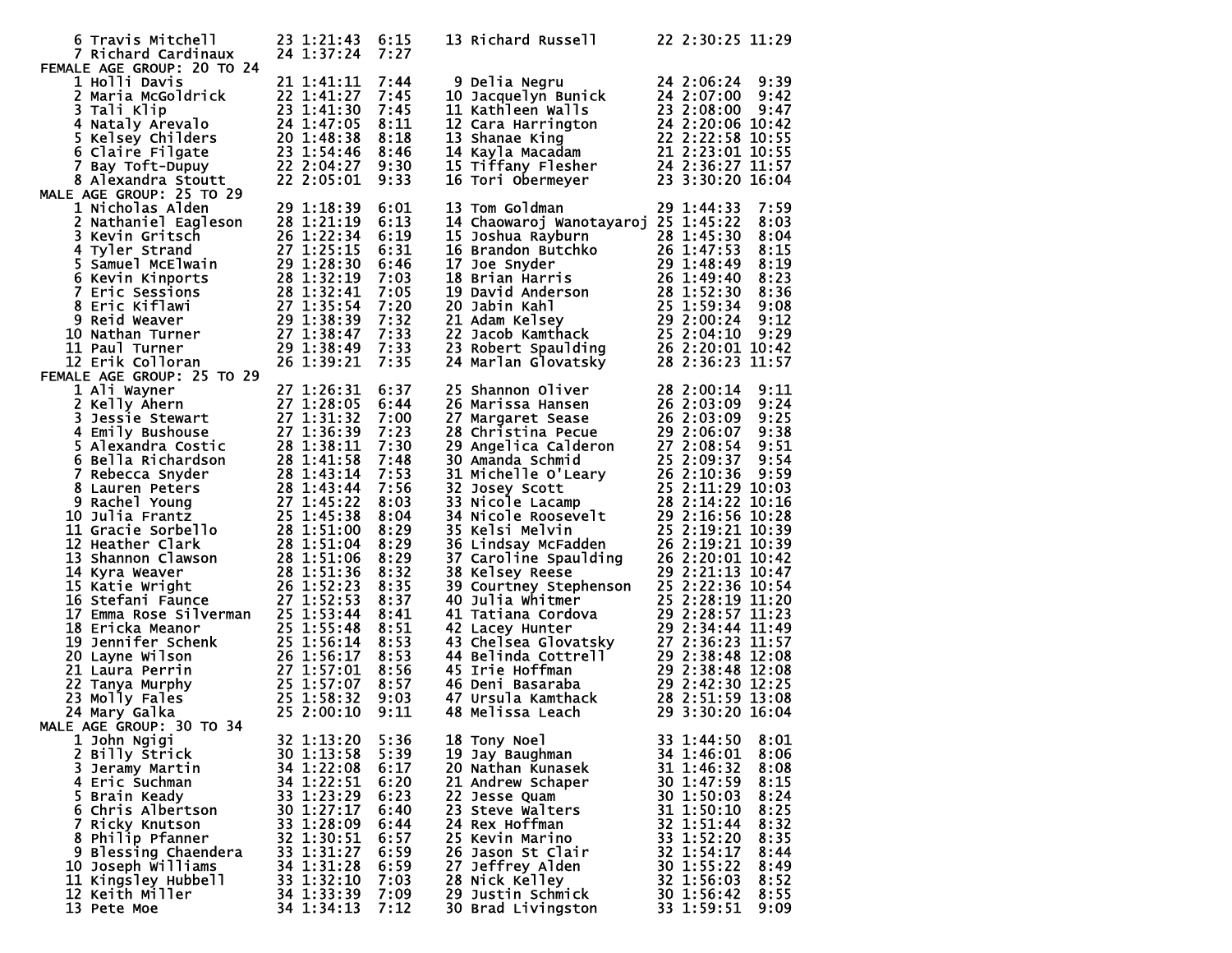| 6 Travis Mitchell                                                                                                                                                                                                                                                                    | 23 1:21:43               | 6:15         | 13 Richard Russell                                                                                                                                                                                                                                                          | 22 2:30:25 11:29                         |
|--------------------------------------------------------------------------------------------------------------------------------------------------------------------------------------------------------------------------------------------------------------------------------------|--------------------------|--------------|-----------------------------------------------------------------------------------------------------------------------------------------------------------------------------------------------------------------------------------------------------------------------------|------------------------------------------|
| 7 Richard Cardinaux                                                                                                                                                                                                                                                                  | 24 1:37:24 7:27          |              |                                                                                                                                                                                                                                                                             |                                          |
| FEMALE AGE GROUP: 20 TO 24                                                                                                                                                                                                                                                           |                          |              |                                                                                                                                                                                                                                                                             |                                          |
| 1 Holli Davis                                                                                                                                                                                                                                                                        | 21 1:41:11               | 7:44         | 9 Delia Negru<br>9 Delia Negru<br>10 Jacquelyn Bunick<br>24 2:06:24 9:39<br>10 Jacquelyn Bunick<br>24 2:07:00 9:42<br>11 Kathleen Walls<br>23 2:08:00 9:47<br>12 Cara Harrington<br>24 2:20:06 10:42<br>13 Shanae King<br>22 2:22:58 10:55<br>14 Kayla Macadam<br>21 2:     | 24 2:06:24 9:39                          |
| 1 HOIII Davis<br>2 Maria McGoldrick<br>3 Tali Klip<br>22 1:41:27 7:45<br>3 Tali Klip<br>23 1:41:30 7:45<br>5 Kelsey Childers<br>24 1:47:05 8:11<br>5 Kelsey Childers<br>20 1:48:38 8:18<br>6 Claire Filgate<br>23 1:54:46 8:46<br>7 Bay Toft-Dupuy<br>22                             |                          |              |                                                                                                                                                                                                                                                                             |                                          |
|                                                                                                                                                                                                                                                                                      |                          |              |                                                                                                                                                                                                                                                                             |                                          |
|                                                                                                                                                                                                                                                                                      |                          |              |                                                                                                                                                                                                                                                                             |                                          |
|                                                                                                                                                                                                                                                                                      |                          |              |                                                                                                                                                                                                                                                                             |                                          |
|                                                                                                                                                                                                                                                                                      |                          |              |                                                                                                                                                                                                                                                                             |                                          |
|                                                                                                                                                                                                                                                                                      |                          |              |                                                                                                                                                                                                                                                                             |                                          |
|                                                                                                                                                                                                                                                                                      |                          |              |                                                                                                                                                                                                                                                                             |                                          |
| MALE AGE GROUP: 25 TO 29<br>LE AGE GROUP: 25 TO 29<br>1 Nicholas Alden<br>2 Nathaniel Eagleson<br>3 Kevin Gritsch<br>3 Kevin Gritsch<br>4 Tyler Strand<br>4 Tyler Strand<br>5 Samuel McElwain<br>20 1:22:34<br>5 Samuel McElwain<br>29 1:28:30<br>6 Kevin Kinports<br>28 1:32:19<br> |                          |              |                                                                                                                                                                                                                                                                             |                                          |
|                                                                                                                                                                                                                                                                                      |                          | 6:01<br>6:13 | 13 Tom Goldman<br>14 Chaowaroj Wanotayaroj 25 1:45:22                                                                                                                                                                                                                       | 7:59<br>29 1:44:33<br>8:03               |
|                                                                                                                                                                                                                                                                                      |                          | 6:19         | 15 Joshua Rayburn<br>15 Joshua Rayburn<br>16 Brandon Butchko<br>16 Brandon Butchko<br>16 Brandon Butchko<br>26 1:47:53 8:15<br>17 Joe Snyder<br>29 1:48:49 8:19<br>18 Brian Harris<br>19 David Anderson<br>28 1:59:30 8:36<br>20 Jabin Kahl<br>21 Adam                      |                                          |
|                                                                                                                                                                                                                                                                                      |                          | 6:31         |                                                                                                                                                                                                                                                                             |                                          |
|                                                                                                                                                                                                                                                                                      |                          | 6:46         |                                                                                                                                                                                                                                                                             |                                          |
|                                                                                                                                                                                                                                                                                      |                          | 7:03         |                                                                                                                                                                                                                                                                             |                                          |
|                                                                                                                                                                                                                                                                                      |                          | 7:05         |                                                                                                                                                                                                                                                                             |                                          |
|                                                                                                                                                                                                                                                                                      |                          | 7:20         |                                                                                                                                                                                                                                                                             |                                          |
|                                                                                                                                                                                                                                                                                      |                          | 7:32         |                                                                                                                                                                                                                                                                             |                                          |
|                                                                                                                                                                                                                                                                                      |                          | 7:33         |                                                                                                                                                                                                                                                                             |                                          |
|                                                                                                                                                                                                                                                                                      | 29 1:38:49               | 7:33         |                                                                                                                                                                                                                                                                             |                                          |
| 12 Erik Colloran                                                                                                                                                                                                                                                                     | 26 1:39:21               | 7:35         | 24 Marlan Glovatskỹ                                                                                                                                                                                                                                                         | 28 2:36:23 11:57                         |
| FEMALE AGE GROUP: 25 TO 29                                                                                                                                                                                                                                                           |                          |              |                                                                                                                                                                                                                                                                             |                                          |
| 1 Ali Wayner<br>1 Ali Wayner<br>27 1:28:31<br>2 Kelly Ahern 27 1:28:05<br>3 Jessie Stewart 27 1:31:32<br>4 Emily Bushouse 27 1:36:39<br>5 Alexandra Costic 28 1:38:11<br>6 Bella Richardson 28 1:43:14<br>7 Rebecca Snyder<br>8 Lauren Peters 28 1:43:44<br>8 La                     | 27 1:26:31               | 6:37         | 25 Shannon Oliver<br>25 Shannon Oliver<br>26 Marissa Hansen<br>26 2:03:09 9:24<br>27 Margaret Sease<br>26 2:03:09 9:24<br>27 2:08:54 9:54<br>29 Angelica Calderon<br>27 2:08:54 9:51<br>30 Amanda Schmid<br>25 2:09:37 9:54<br>31 Michelle O'Leary<br>26 2:10:37 9:54<br>31 | 28 2:00:14<br>9:11                       |
|                                                                                                                                                                                                                                                                                      |                          | 6:44         |                                                                                                                                                                                                                                                                             |                                          |
|                                                                                                                                                                                                                                                                                      |                          | 7:00         |                                                                                                                                                                                                                                                                             |                                          |
|                                                                                                                                                                                                                                                                                      |                          | 7:23         |                                                                                                                                                                                                                                                                             |                                          |
|                                                                                                                                                                                                                                                                                      |                          | 7:30         |                                                                                                                                                                                                                                                                             |                                          |
|                                                                                                                                                                                                                                                                                      |                          | 7:48         |                                                                                                                                                                                                                                                                             |                                          |
|                                                                                                                                                                                                                                                                                      |                          | 7:53         |                                                                                                                                                                                                                                                                             |                                          |
|                                                                                                                                                                                                                                                                                      |                          | 7:56         |                                                                                                                                                                                                                                                                             |                                          |
|                                                                                                                                                                                                                                                                                      |                          | 8:03         |                                                                                                                                                                                                                                                                             |                                          |
|                                                                                                                                                                                                                                                                                      |                          | 8:04         |                                                                                                                                                                                                                                                                             |                                          |
|                                                                                                                                                                                                                                                                                      |                          | 8:29         |                                                                                                                                                                                                                                                                             |                                          |
|                                                                                                                                                                                                                                                                                      |                          | 8:29         |                                                                                                                                                                                                                                                                             |                                          |
|                                                                                                                                                                                                                                                                                      |                          | 8:29         |                                                                                                                                                                                                                                                                             |                                          |
|                                                                                                                                                                                                                                                                                      |                          | 8:32<br>8:35 |                                                                                                                                                                                                                                                                             |                                          |
|                                                                                                                                                                                                                                                                                      |                          | 8:37         |                                                                                                                                                                                                                                                                             |                                          |
|                                                                                                                                                                                                                                                                                      |                          | 8:41         |                                                                                                                                                                                                                                                                             |                                          |
|                                                                                                                                                                                                                                                                                      |                          | 8:51         |                                                                                                                                                                                                                                                                             |                                          |
|                                                                                                                                                                                                                                                                                      |                          | 8:53         |                                                                                                                                                                                                                                                                             |                                          |
|                                                                                                                                                                                                                                                                                      |                          | 8:53         |                                                                                                                                                                                                                                                                             |                                          |
| 10 ETICKa Meanor<br>19 Jennifer Schenk<br>20 Layne Wilson<br>20 Layne Wilson<br>26 1:56:17<br>21 Laura Perrin 27 1:57:07<br>22 Tanya Murphy<br>27 1:57:07<br>23 Molly Fales<br>25 1:58:32<br>24 Mary Galka<br>E AGE GROUP: 20 TO 25 2:00:10                                          |                          | 8:56         |                                                                                                                                                                                                                                                                             |                                          |
|                                                                                                                                                                                                                                                                                      |                          | 8:57         |                                                                                                                                                                                                                                                                             |                                          |
|                                                                                                                                                                                                                                                                                      |                          | 9:03         |                                                                                                                                                                                                                                                                             |                                          |
|                                                                                                                                                                                                                                                                                      |                          | 9:11         |                                                                                                                                                                                                                                                                             |                                          |
| MALE AGE GROUP: 30 TO 34                                                                                                                                                                                                                                                             |                          |              |                                                                                                                                                                                                                                                                             |                                          |
| 1 John Ngigi                                                                                                                                                                                                                                                                         | 32 1:13:20               | 5:36         | 18 Tony Noel                                                                                                                                                                                                                                                                | 33 1:44:50<br>8:01                       |
| 2 Billy Štrick                                                                                                                                                                                                                                                                       | 30 1:13:58               | 5:39         | 19 Jay Baughman                                                                                                                                                                                                                                                             | 8:06<br>34 1:46:01                       |
| 3 Jeramy Martin                                                                                                                                                                                                                                                                      | 34 1:22:08               | 6:17         | 20 Nathan Kunasek                                                                                                                                                                                                                                                           | 31 1:46:32<br>8:08                       |
| 4 Eric Suchman                                                                                                                                                                                                                                                                       | 34 1:22:51               | 6:20         | 21 Andrew Schaper                                                                                                                                                                                                                                                           | 8:15<br>30 1:47:59                       |
| 5 Brain Keady                                                                                                                                                                                                                                                                        | 33 1:23:29               | 6:23         | 22 Jesse Quam                                                                                                                                                                                                                                                               | 30 1:50:03<br>8:24                       |
| 6 Chris Albertson                                                                                                                                                                                                                                                                    | 30 1:27:17               | 6:40         | 23 Steve Walters                                                                                                                                                                                                                                                            | 31 1:50:10<br>8:25                       |
| 7 Ricky Knutson                                                                                                                                                                                                                                                                      | 33 1:28:09<br>32 1:30:51 | 6:44         | 24 Rex Hoffman<br>25 Kevin Marino                                                                                                                                                                                                                                           | 32 1:51:44<br>8:32                       |
| 8 Philip Pfanner                                                                                                                                                                                                                                                                     | 33 1:31:27               | 6:57<br>6:59 | 26 Jason St Clair                                                                                                                                                                                                                                                           | 33 1:52:20<br>8:35<br>32 1:54:17<br>8:44 |
| 9 Blessing Chaendera<br>10 Joseph Williams                                                                                                                                                                                                                                           | 34 1:31:28               | 6:59         | 27 Jeffrey Alden                                                                                                                                                                                                                                                            | 30 1:55:22<br>8:49                       |
| 11 Kingsley Hubbell                                                                                                                                                                                                                                                                  | 33 1:32:10               | 7:03         | 28 Nick Kelley                                                                                                                                                                                                                                                              | 32 1:56:03<br>8:52                       |
| 12 Keith Miller                                                                                                                                                                                                                                                                      | 34 1:33:39               | 7:09         | <b>29 Justin Schmick</b>                                                                                                                                                                                                                                                    | 30 1:56:42<br>8:55                       |
| 13 Pete Moe                                                                                                                                                                                                                                                                          | 34 1:34:13               | 7:12         | 30 Brad Livingston                                                                                                                                                                                                                                                          | 33 1:59:51<br>9:09                       |
|                                                                                                                                                                                                                                                                                      |                          |              |                                                                                                                                                                                                                                                                             |                                          |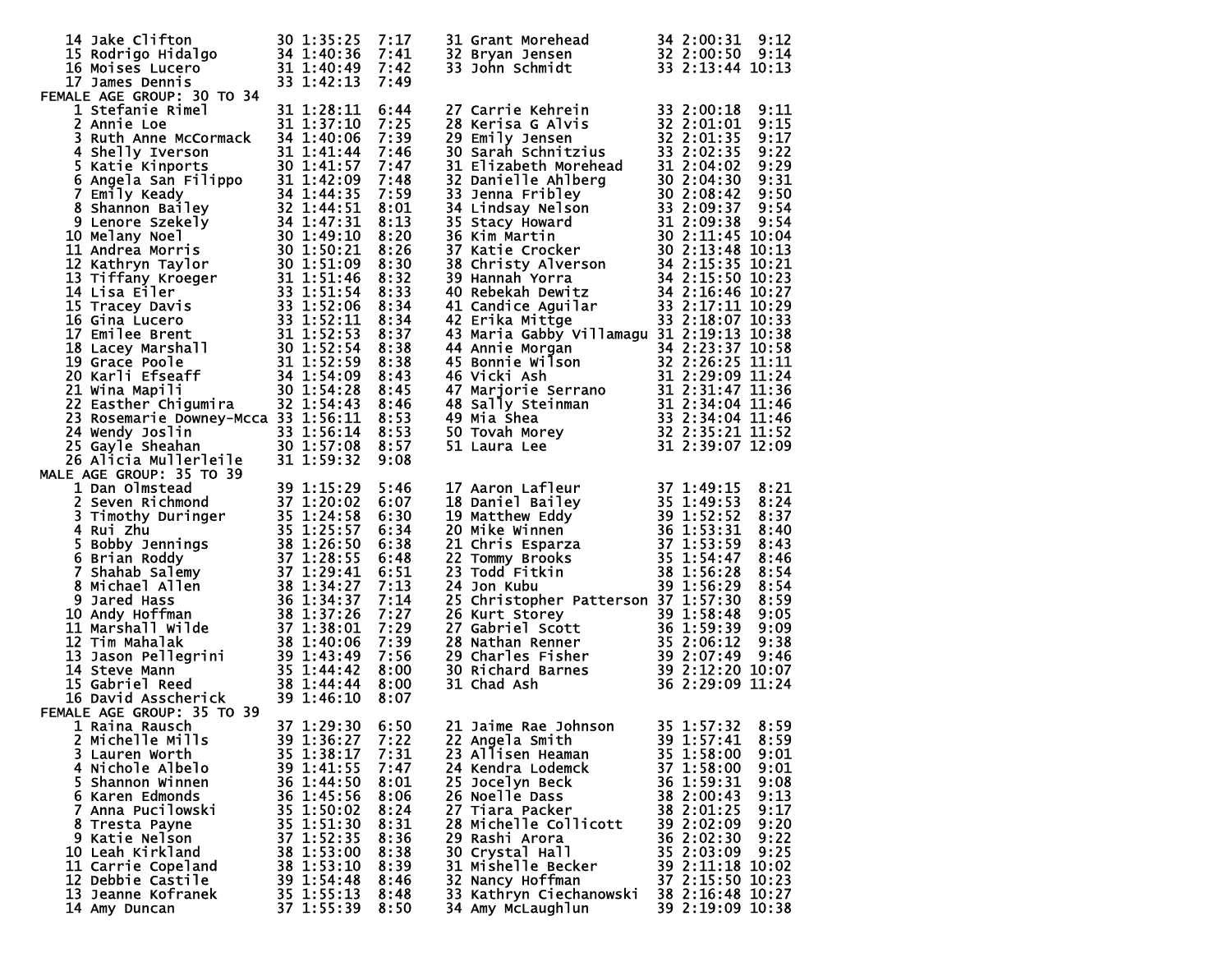| 14 Jake Clifton<br>14 Jake Clifton 30 1:35:25 7:17<br>15 Rodrigo Hidalgo 34 1:40:36 7:41<br>16 Moises Lucero 31 1:40:49 7:42<br>17 James Dennis 33 1:42:13 7:49<br>17 James Dennis                                                                                                                                                           | 30 1:35:25 7:17<br>33 1:42:13                                                                                                                                                      | 7:49                                                                                                 | 31 Grant Morehead 34 2:00:31 9:12<br>32 Bryan Jensen 32 2:00:50 9:14<br>33 John Schmidt 33 2:13:44 10:13                                                                                                                                                                                                                                                                                                                                                                                                                                                                          |                                                                                                                                                                                                                                                                                    |
|----------------------------------------------------------------------------------------------------------------------------------------------------------------------------------------------------------------------------------------------------------------------------------------------------------------------------------------------|------------------------------------------------------------------------------------------------------------------------------------------------------------------------------------|------------------------------------------------------------------------------------------------------|-----------------------------------------------------------------------------------------------------------------------------------------------------------------------------------------------------------------------------------------------------------------------------------------------------------------------------------------------------------------------------------------------------------------------------------------------------------------------------------------------------------------------------------------------------------------------------------|------------------------------------------------------------------------------------------------------------------------------------------------------------------------------------------------------------------------------------------------------------------------------------|
| FEMALE AGE GROUP: 30 TO 34<br>1 Stefanie Rimel<br>MALE Autor: 30 10 34<br>1 Stefanie Rime<br>2 Annie Loe<br>3 Ruth Anne McCormack 34 1:40:06 7:39<br>4 Shelly Iverson<br>5 katie Kinports 31 1:41:57 7:47<br>5 Katie Kinports 31 1:41:57 7:47<br>6 Angela San Filippo 31 1:42:09 7:48<br>7 Emily<br>23 Rosemarie Downey-Mcca 33 1:56:11 8:53 | 31 1:28:11                                                                                                                                                                         | 6:44                                                                                                 | 27 Carrie Kehrein 33 2:00:18 9:11<br>28 Kerisa G Alvis 32 2:01:01 9:15<br>29 Emily Jensen 32 2:01:35 9:17<br>30 Sarah Schnitzius 33 2:02:35 9:22<br>31 Elizabeth Morehead 31 2:04:02 9:29<br>32 Danielle Ahlberg 30 2:04:30 9:31<br>33 Jen<br>42 ETIKA MITTOR 33<br>43 Maria Gabby Villamagu 31 2:18:07 10:38<br>44 Annie Morgan 34 2:23:37 10:58<br>45 Bonnie Wilson 32 2:26:25 11:11<br>46 Vicki Ash 31 2:29:09 11:24<br>47 Marjorie Serrano 31 2:31:47 11:36<br>48 Sally Steinman 31                                                                                           |                                                                                                                                                                                                                                                                                    |
|                                                                                                                                                                                                                                                                                                                                              |                                                                                                                                                                                    |                                                                                                      |                                                                                                                                                                                                                                                                                                                                                                                                                                                                                                                                                                                   |                                                                                                                                                                                                                                                                                    |
| 23 Rosemarie Downey-Mcca 33 1:56:11 8:53<br>24 Wendy Joslin 33 1:56:11 8:53<br>24 Wendy Joslin 33 1:56:11 8:53<br>25 Gayle Sheahan 30 1:57:08 8:57<br>26 Alicia Mullerleile 31 1:59:32 9:08<br>4 Dan Olmstead 39 1:15:29 5:46<br>2 Seven R<br>FEMALE AGE GROUP: 35 TO 39<br>1 Raina Rausch                                                   | $37$ 1:29:30 6:50                                                                                                                                                                  |                                                                                                      | 17 Aaron Lafleur<br>18 Daniel Bailey<br>19 Matthew Eddy<br>19 Matthew Eddy<br>20 Mike Winnen<br>21 Chris Esparza<br>21 Chris Esparza<br>22 Tommy Brooks<br>23 Todd Fitkin<br>23 Todd Fitkin<br>24 Jon Kubu<br>24 Daniel Bailey<br>25 Christian<br>25 Chr<br>25 Christopher Patterson 37 1:57:30<br>26 Kurt Storey<br>27 Gabriel Scott<br>27 Gabriel Scott<br>28 Nathan Renner<br>29 Charles Fisher<br>39 2:06:12 9:38<br>29 Charles Fisher<br>39 2:07:49 9:46<br>30 Richard Barnes<br>39 2:12:20 10:07<br>31 Chad Ash<br>36 2:29:09 11:24<br>21 Jaime Rae Johnson 35 1:57:32 8:59 | 8:21<br>8:24<br>8:37<br>8:40<br>8:43<br>8:46<br>8:54<br>8:54<br>8:59                                                                                                                                                                                                               |
| 2 Michelle Mills<br>3 Lauren Worth<br><b>4 Nichole Albelo</b><br>5 Shannon Winnen<br>6 Karen Edmonds<br>7 Anna Pucilowski<br>8 Tresta Payne<br>9 Katie Nelson<br>10 Leah Kirkland<br>11 Carrie Copeland<br>12 Debbie Castile<br>13 Jeanne Kofranek<br>14 Amy Duncan                                                                          | 39 1:36:27<br>35 1:38:17<br>39 1:41:55<br>36 1:44:50<br>36 1:45:56<br>35 1:50:02<br>35 1:51:30<br>37 1:52:35<br>38 1:53:00<br>38 1:53:10<br>39 1:54:48<br>35 1:55:13<br>37 1:55:39 | 7:22<br>7:31<br>7:47<br>8:01<br>8:06<br>8:24<br>8:31<br>8:36<br>8:38<br>8:39<br>8:46<br>8:48<br>8:50 | 22 Angela Smith<br>23 Allisen Heaman<br>24 Kendra Lodemck<br>25 Jocelyn Beck<br>26 Noelle Dass<br>27 Tiara Packer<br>28 Michelle Collicott<br>29 Rashi Arora<br>30 Crystal Hall<br>31 Mishelle Becker<br>32 Nancy Hoffman<br>33 Kathryn Ciechanowski<br>34 Amy McLaughlun                                                                                                                                                                                                                                                                                                         | 39 1:57:41<br>8:59<br>35 1:58:00<br>9:01<br>37 1:58:00<br>9:01<br>36 1:59:31<br>9:08<br>38 2:00:43<br>9:13<br>38 2:01:25<br>9:17<br>39 2:02:09<br>9:20<br>36 2:02:30<br>9:22<br>35 2:03:09<br>9:25<br>39 2:11:18 10:02<br>37 2:15:50 10:23<br>38 2:16:48 10:27<br>39 2:19:09 10:38 |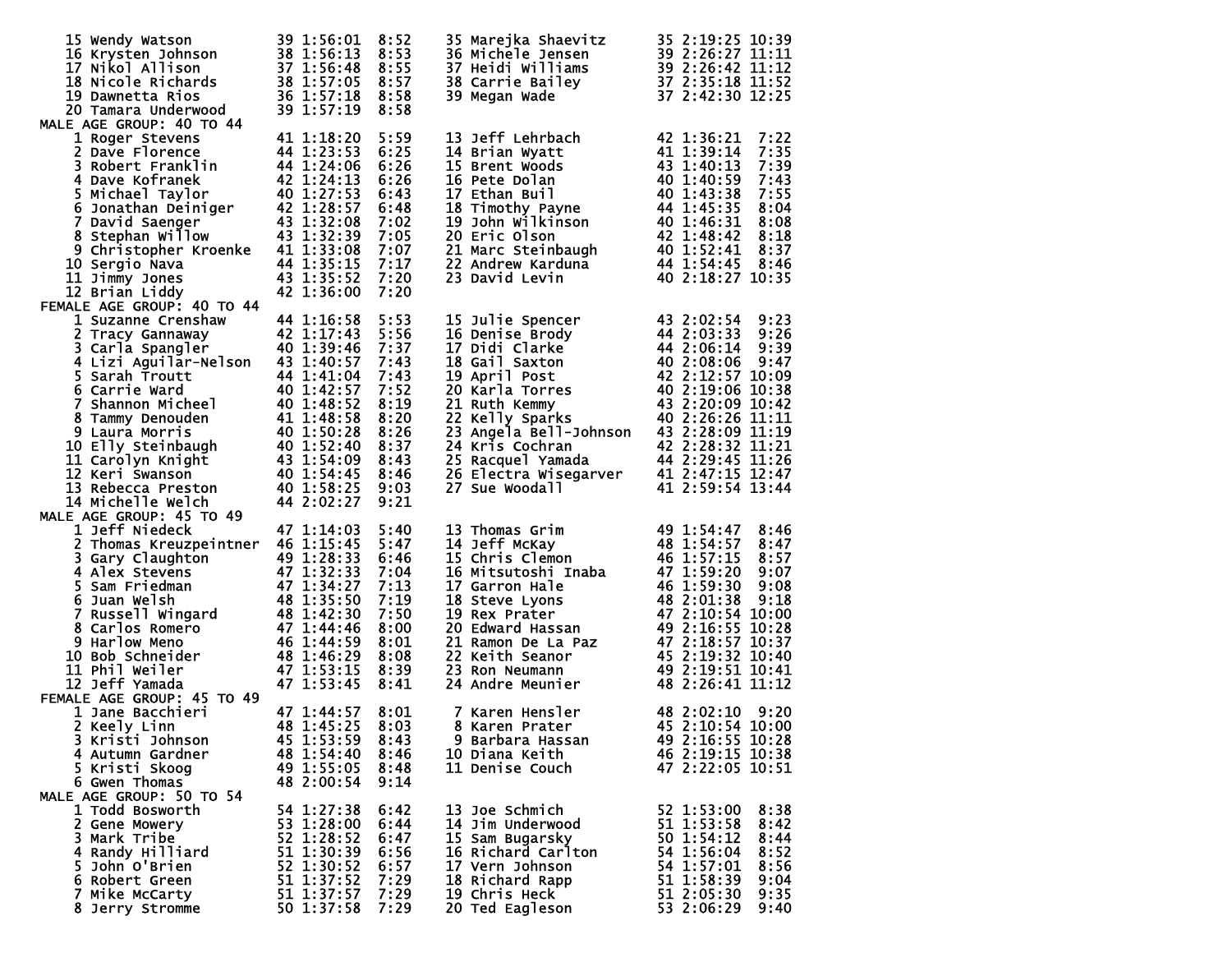| 15 Wendy Watson                                                                                                                                                                                                                                                | 39 1:56:01                                             | 8:52         | 35 Marejka Shaevitz                                                                                                                                          | 35 2:19:25 10:39                         |
|----------------------------------------------------------------------------------------------------------------------------------------------------------------------------------------------------------------------------------------------------------------|--------------------------------------------------------|--------------|--------------------------------------------------------------------------------------------------------------------------------------------------------------|------------------------------------------|
| 15 Wendy Watson 39 1:56:01 8:52<br>16 Krysten Johnson 38 1:56:13 8:53<br>17 Nikol Allison 37 1:56:48 8:55<br>18 Nicole Richards 38 1:57:05 8:57<br>19 Dawnetta Rios 36 1:57:18 8:58<br>20 Tamara Underwood 39 1:57:19 8:58                                     |                                                        |              | 36 Michele Jensen<br>36 Michele Jensen<br>37 Heidi Williams<br>39 2:26:42 11:12<br>38 Carrie Bailey<br>37 2:35:18 11:52<br>39 Megan Wade<br>37 2:42:30 12:25 |                                          |
|                                                                                                                                                                                                                                                                |                                                        |              |                                                                                                                                                              |                                          |
|                                                                                                                                                                                                                                                                |                                                        |              |                                                                                                                                                              |                                          |
|                                                                                                                                                                                                                                                                |                                                        |              |                                                                                                                                                              |                                          |
| 20 Tamara Underwood<br>MALE AGE GROUP: 40 TO 44                                                                                                                                                                                                                |                                                        |              |                                                                                                                                                              |                                          |
| 1 Roger Stevens                                                                                                                                                                                                                                                | 41 1:18:20                                             | 5:59         | 13 Jeff Lehrbach                                                                                                                                             | 42 1:36:21<br>7:22                       |
| 2 Dave Florence                                                                                                                                                                                                                                                |                                                        | 6:25         | 14 Brian Wyatt                                                                                                                                               | 7:35<br>41 1:39:14                       |
| 3 Robert Franklin                                                                                                                                                                                                                                              | 44 1:23:53<br>44 1:24:06                               | 6:26         | 15 Brent Woods                                                                                                                                               | 7:39<br>43 1:40:13                       |
|                                                                                                                                                                                                                                                                |                                                        | 6:26         | 16 Pete Dolan                                                                                                                                                | 7:43<br>40 1:40:59                       |
|                                                                                                                                                                                                                                                                |                                                        | 6:43         | 17 Ethan Buil                                                                                                                                                | 7:55<br>40 1:43:38                       |
| 3 Robert Franck<br>5 Michael Taylor 42 1:24:13<br>5 Michael Taylor 40 1:27:53<br>6 Jonathan Deiniger 42 1:28:57<br>7 David Saenger 43 1:32:08<br>8 Stephan Willow 43 1:32:39<br>9 Christopher Kroenke 41 1:33:08<br>9 Christopher Kroenke 41                   |                                                        | 6:48         | 17 Ethan Bull<br>18 Timothy Payne<br>19 John Wilkinson<br>20 Eric Olson<br>21 Marc Steinbaugh<br>22 Andrew Karduna<br>23 David Levin                         | 44 1:45:35<br>8:04                       |
|                                                                                                                                                                                                                                                                |                                                        | 7:02         |                                                                                                                                                              | 40 1:46:31<br>8:08                       |
|                                                                                                                                                                                                                                                                |                                                        | 7:05         |                                                                                                                                                              | 42 1:48:42<br>8:18                       |
|                                                                                                                                                                                                                                                                |                                                        | 7:07         |                                                                                                                                                              | 40 1:52:41<br>8:37                       |
| 10 Sergio Nava                                                                                                                                                                                                                                                 | 44 1:35:15<br>43 1:35:52                               | 7:17         |                                                                                                                                                              | 44 1:54:45<br>8:46                       |
| 11 Jimmy Jones                                                                                                                                                                                                                                                 |                                                        | 7:20         |                                                                                                                                                              | 40 2:18:27 10:35                         |
| 12 Brian Liddy                                                                                                                                                                                                                                                 | 42 1:36:00                                             | 7:20         |                                                                                                                                                              |                                          |
| FEMALE AGE GROUP: 40 TO 44                                                                                                                                                                                                                                     |                                                        |              | 15 Julie Spencer                                                                                                                                             |                                          |
| 1 Suzanne Crenshaw<br>2 Tracy Gannaway                                                                                                                                                                                                                         | 44 1:16:58<br>42 1:17:43                               | 5:53<br>5:56 | 16 Denise Brody                                                                                                                                              | 43 2:02:54<br>9:23<br>44 2:03:33<br>9:26 |
|                                                                                                                                                                                                                                                                |                                                        | 7:37         | 17 Didi Clarke                                                                                                                                               | 44 2:06:14<br>9:39                       |
| 3 Carla Spangler<br>40 1:39:46<br>4 Lizi Aguilar-Nelson 43 1:40:57                                                                                                                                                                                             |                                                        | 7:43         | 18 Gail Saxton                                                                                                                                               | 40 2:08:06 9:47                          |
| 5 Sarah Troutt                                                                                                                                                                                                                                                 |                                                        | 7:43         |                                                                                                                                                              | 42 2:12:57 10:09                         |
| 6 Carrie Ward                                                                                                                                                                                                                                                  | 44 1:41:04<br>40 1:42:57                               | 7:52         | 18 Gari Saxton<br>19 April Post<br>20 Karla Torres<br>21 Ruth Kemmy<br>22 Kelly Spa <u>r</u> ks                                                              | 40 2:19:06 10:38                         |
|                                                                                                                                                                                                                                                                |                                                        |              |                                                                                                                                                              | 43 2:20:09 10:42                         |
|                                                                                                                                                                                                                                                                |                                                        |              |                                                                                                                                                              | 40 2:26:26 11:11                         |
|                                                                                                                                                                                                                                                                |                                                        |              | 23 Angela Bell-Johnson 43 2:28:09 11:19                                                                                                                      |                                          |
| 6 Carrie ward<br>7 Shannon Micheel<br>8 Tammy Denouden<br>9 Laura Morris<br>9 Laura Morris<br>10 Elly Steinbaugh<br>10 Elly Steinbaugh<br>10 1:52:40 8:37<br>11 Carolyn Knight<br>13 1:54:45 8:46<br>12 Keri Swanson<br>14 1:54:45 8:46<br>12 Keri Swa         |                                                        |              | 24 Kris Cochran                                                                                                                                              | 42 2:28:32 11:21                         |
|                                                                                                                                                                                                                                                                |                                                        |              | 25 Racquel Yamada<br>26 Electra Wisegarver<br>27 Sue Woodall                                                                                                 | 44 2:29:45 11:26                         |
|                                                                                                                                                                                                                                                                |                                                        |              |                                                                                                                                                              | 41 2:47:15 12:47                         |
| 13 Rebecca Preston                                                                                                                                                                                                                                             | $40$ $\overline{1:}58:25$<br>$44$ $\overline{2:02:27}$ | 9:03         | 27 Sue Woodall                                                                                                                                               | 41 2:59:54 13:44                         |
| 14 Michelle Welch                                                                                                                                                                                                                                              | 44 2:02:27                                             | 9:21         |                                                                                                                                                              |                                          |
| MALE AGE GROUP: 45 TO 49                                                                                                                                                                                                                                       |                                                        |              |                                                                                                                                                              |                                          |
| 1 Jeff Niedeck                                                                                                                                                                                                                                                 | 47 1:14:03                                             | 5:40         | 13 Thomas Grim                                                                                                                                               | 49 1:54:47<br>8:46                       |
| 2 Thomas Kreuzpeintner 46 1:15:45                                                                                                                                                                                                                              |                                                        | 5:47<br>6:46 | 14 Jeff McKay<br>15 Chris Clemon                                                                                                                             | 48 1:54:57<br>8:47<br>46 1:57:15<br>8:57 |
|                                                                                                                                                                                                                                                                |                                                        | 7:04         |                                                                                                                                                              | 47 1:59:20<br>9:07                       |
|                                                                                                                                                                                                                                                                |                                                        | 7:13         | <b>16 Mitsutoshi Inaba<br/>17 Garron Hale<br/>18 Steve Lyons<br/>19 Rex Prater</b>                                                                           | 46 1:59:30<br>9:08                       |
|                                                                                                                                                                                                                                                                |                                                        | 7:19         |                                                                                                                                                              | 48 2:01:38<br>9:18                       |
|                                                                                                                                                                                                                                                                |                                                        | 7:50         |                                                                                                                                                              | 47 2:10:54 10:00                         |
|                                                                                                                                                                                                                                                                |                                                        | 8:00         |                                                                                                                                                              | 49 2:16:55 10:28                         |
|                                                                                                                                                                                                                                                                |                                                        | 8:01         | <b>19 Rex Prater<br/>20 Edward Hassan<br/>21 Ramon De La Paz<br/>22 Keith Seanor<br/>33 Bern Neumann</b>                                                     | 47 2:18:57 10:37                         |
| 10 Bob Schneider                                                                                                                                                                                                                                               |                                                        | 8:08         |                                                                                                                                                              | 45 2:19:32 10:40                         |
| 11 Phil Weiler                                                                                                                                                                                                                                                 |                                                        | 8:39         | 23 Ron Neumann                                                                                                                                               | 49 2:19:51 10:41                         |
| 2 Inomas Kreuzpeintner 46 1:15:45<br>3 Gary Claughton 49 1:28:33<br>5 Sam Friedman 47 1:34:27<br>6 Juan Welsh 48 1:35:50<br>7 Russell Wingard 48 1:42:30<br>8 Carlos Romero 47 1:44:46<br>9 Harlow Meno 46 1:44:59<br>10 Bob Schneider 48 1:<br>12 Jeff Yamada |                                                        | 8:41         | 24 Andre Meunier                                                                                                                                             | 48 2:26:41 11:12                         |
| FEMALE AGE GROUP: 45 TO 49                                                                                                                                                                                                                                     |                                                        |              |                                                                                                                                                              |                                          |
| 1 Jane Bacchieri                                                                                                                                                                                                                                               | 47 1:44:57                                             | 8:01         | 7 Karen Hensler                                                                                                                                              | 48 2:02:10 9:20                          |
| 2 Keely Linn                                                                                                                                                                                                                                                   | 48 1:45:25 8:03                                        |              | 8 Karen Prater 45 2:10:54 10:00                                                                                                                              |                                          |
| 3 Kristi Johnson                                                                                                                                                                                                                                               | 45 1:53:59                                             | 8:43         | 9 Barbara Hassan                                                                                                                                             | 49 2:16:55 10:28                         |
| 4 Autumn Gardner<br>5 Kristi Skoog                                                                                                                                                                                                                             | 48 1:54:40<br>49 1:55:05                               | 8:46<br>8:48 | 10 Diana Keith<br>11 Denise Couch                                                                                                                            | 46 2:19:15 10:38<br>47 2:22:05 10:51     |
| 6 Gwen Thomas                                                                                                                                                                                                                                                  | 48 2:00:54                                             | 9:14         |                                                                                                                                                              |                                          |
| MALE AGE GROUP: 50 TO 54                                                                                                                                                                                                                                       |                                                        |              |                                                                                                                                                              |                                          |
| 1 Todd Bosworth                                                                                                                                                                                                                                                | 54 1:27:38                                             | 6:42         | 13 Joe Schmich                                                                                                                                               | 8:38<br>52 1:53:00                       |
| 2 Gene Mowery                                                                                                                                                                                                                                                  | 53 1:28:00                                             | 6:44         | 14 Jim Underwood                                                                                                                                             | 51 1:53:58<br>8:42                       |
| 3 Mark Tribe                                                                                                                                                                                                                                                   | 52 1:28:52                                             | 6:47         | 15 Sam Bugarsky                                                                                                                                              | 50 1:54:12<br>8:44                       |
| 4 Randy Hilliard                                                                                                                                                                                                                                               | 51 1:30:39                                             | 6:56         | 16 Richard Carlton                                                                                                                                           | 54 1:56:04<br>8:52                       |
| 5 John O'Brien                                                                                                                                                                                                                                                 | 52 1:30:52                                             | 6:57         | 17 Vern Johnson                                                                                                                                              | 54 1:57:01<br>8:56                       |
| 6 Robert Green                                                                                                                                                                                                                                                 | 51 1:37:52                                             | 7:29         | 18 Richard Rapp                                                                                                                                              | 51 1:58:39<br>9:04                       |
| 7 Mike McCarty                                                                                                                                                                                                                                                 | 51 1:37:57                                             | 7:29         | 19 Chris Heck                                                                                                                                                | 51 2:05:30<br>9:35                       |
| 8 Jerry Stromme                                                                                                                                                                                                                                                | 50 1:37:58                                             | 7:29         | 20 Ted Eagleson                                                                                                                                              | 53 2:06:29<br>9:40                       |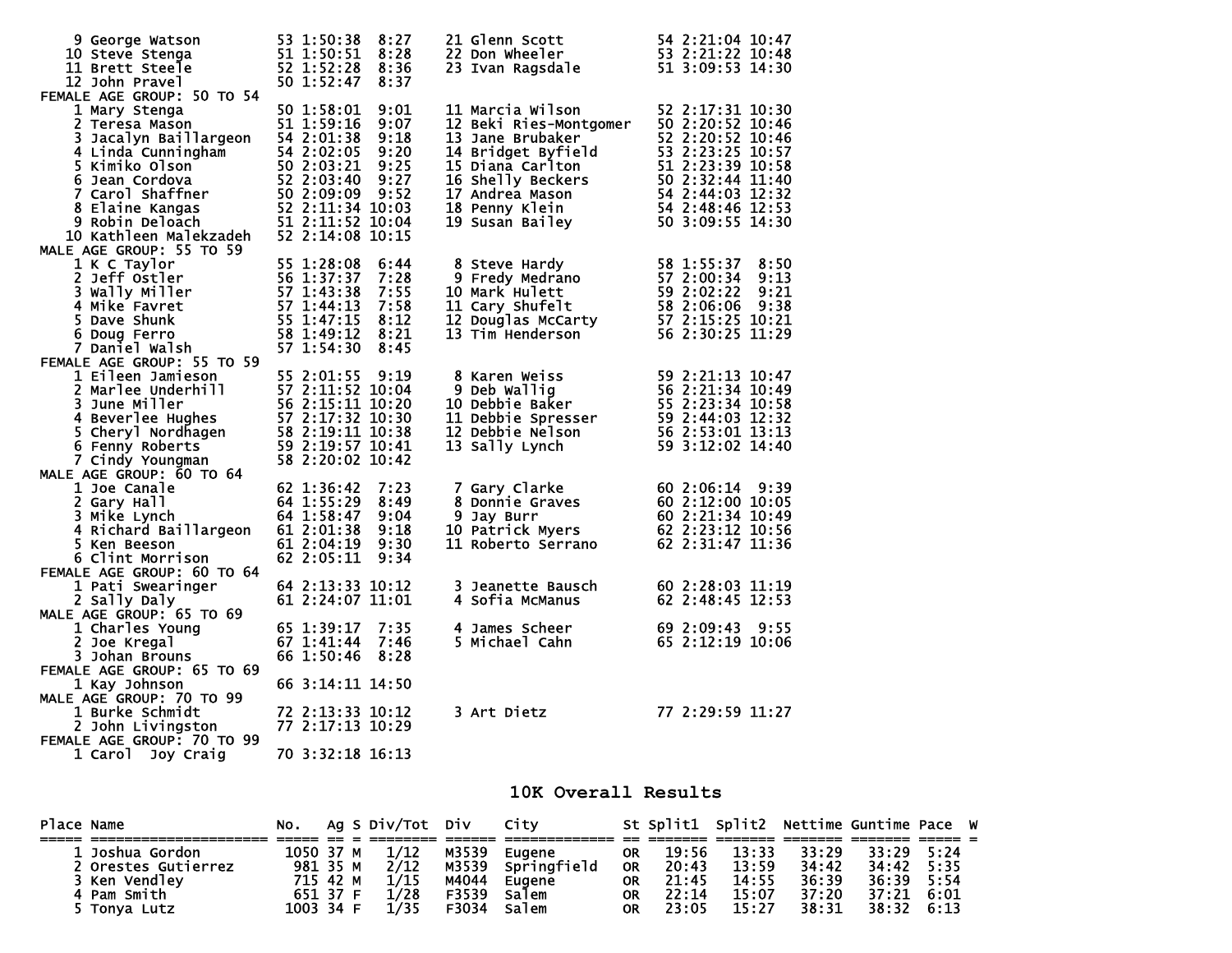| 9 George Watson<br>10 Steve Stenga<br>11 Brett Steele<br>12 John Pravel                                                                                                                                                                                                                                                   | 53 1:50:38<br>51 1:50:51<br>52 1:52:28<br>50 1:52:47                             | 8:27<br>8:28<br>8:36<br>8:37                         | 22 Don Wheeler<br>23 Ivan Ragsdale<br>23 Ivan Ragsdale<br>51 3:00:53 2:21:22                                                                                                                                                                                             |                                                                                                                                  |
|---------------------------------------------------------------------------------------------------------------------------------------------------------------------------------------------------------------------------------------------------------------------------------------------------------------------------|----------------------------------------------------------------------------------|------------------------------------------------------|--------------------------------------------------------------------------------------------------------------------------------------------------------------------------------------------------------------------------------------------------------------------------|----------------------------------------------------------------------------------------------------------------------------------|
| FEMALE AGE GROUP: 50 TO 54<br>1 Mary Stenga<br>2 Teresa Mason<br>2 Teresa Mason<br>3 Jacques 3 Maximum 54 2:02:05<br>4 Linda Cunningham<br>5 Kimiko Olson<br>5 Kimiko Olson<br>5 C2:03:21<br>6 Jean Cordova<br>7 Carol Shaffner<br>8 Elaine Kangas<br>8 Elaine Kangas<br>52 2:11:34<br>9 Robin Deloach<br>51 2:11:52<br>1 | 50 1:58:01<br>51 1:59:16<br>52 2:11:34 10:03<br>51 2:11:52 10:04                 | 9:01<br>9:07<br>9:18<br>9:20<br>9:25<br>9:27<br>9:52 | 11 Marcia Wilson<br>11 Marcia Wilson<br>12 Beki Ries-Montgomer<br>13 Jane Brubaker<br>14 Bridget Byfield<br>14 Bridget Byfield<br>15 Diana Carlton<br>16 Shelly Beckers<br>16 Shelly Beckers<br>17 Andrea Mason<br>17 Andrea Mason<br>16 Seli 2:48:44 11:40<br>17 Andrea | 52 2:17:31 10:30                                                                                                                 |
| MALE AGE GROUP: 55 TO 59                                                                                                                                                                                                                                                                                                  | 52 2:14:08 10:15                                                                 | 6:44<br>7:28                                         | 8 Steve Hardy                                                                                                                                                                                                                                                            | 58 1:55:37<br>8:50<br>57 2:00:34<br>9:13                                                                                         |
| 2 Jeff Ostler<br>2 Jeff Ostler<br>3 Wally Miller<br>4 Mike Favret<br>5 Dave Shunk<br>5 Dave Shunk<br>5 Dave Shunk<br>6 Sp 1:44:13<br>5 Dave Shunk<br>5 1:47:15<br>7 Daniel Walsh<br>8 1:49:12<br>8 Daviel Walsh<br>8 2:49:12<br>8 Part of Santage Shape<br>8<br>FEMALE AGE GROUP: 55 TO 59                                |                                                                                  | 7:55<br>7:58<br>8:12<br>8:21<br>8:45                 | 8 Steve Hardy<br>9 Fredy Medrano<br>10 Mark Hulett<br>11 Cary Shufelt<br>12 Douglas McCarty<br>13 Tim Henderson                                                                                                                                                          | 59 2:02:22<br>9:21<br>58 2:06:06<br>9:38<br>57 2:15:25 10:21<br>56 2:30:25 11:29                                                 |
| 1 Eileen Jamneson<br>2 Marlee Underhill<br>3 June Miller<br>4 Beverlee Hughes<br>5 Cheryl Nordhagen<br>5 Cheryl Nordhagen<br>5 2:19:11 10:38<br>5 Cheryl Nordhagen<br>5 2:19:11 10:38<br>5 Cheryl Nordhagen<br>5 2:19:11 10:38<br>5 2:19:57 10:41<br>7<br>7 Cindy Youngman                                                | 55 2:01:55<br>58 2:20:02 10:42                                                   |                                                      | 9 Deb Wallig<br>10 Debbie Baker<br>11 Debbie Serse<br>באני - אייבר - 12 Debbie Nelson<br>13 Sally Lynch                                                                                                                                                                  | 59 2:21:13 10:47<br>56 2:21:34 10:49<br>$55\overline{2:23:34}$ 10:58<br>59 2:44:03 12:32<br>56 2:53:01 13:13<br>59 3:12:02 14:40 |
| MALE AGE GROUP: 60 TO 64<br>1 Joe Canale<br>2 Gary Hall<br>3 Mike Lynch<br>4 Richard Baillargeon<br>5 Ken Beeson<br>6 Clint Morrison<br>FEMALE AGE GROUP: 60 TO 64                                                                                                                                                        | 62 1:36:42<br>64 1:55:29<br>64 1:58:47<br>61 2:01:38<br>61 2:04:19<br>62 2:05:11 | 7:23<br>8:49<br>9:04<br>9:18<br>9:30<br>9:34         | 7 Gary Clarke<br>8 Donnie Graves<br>9 Jay Burr<br>10 Patrick Myers<br>10 Patrick Myers<br>10 Patrick Myers<br>10 Patrick Myers<br>10 Patrick Myers<br>10 Patrick Myers<br>2 2:23:12 10:56<br>52 2:23:12 10:56<br>52 2:23:12 10:56<br>11 Roberto Serrano                  | 62 2:31:47 11:36                                                                                                                 |
| 1 Pati Swearinger<br>2 Sally Daly                                                                                                                                                                                                                                                                                         | 64 2:13:33 10:12<br>61 2:24:07 11:01                                             |                                                      | 3 Jeanette Bausch<br>4 Sofia McManus                                                                                                                                                                                                                                     | 60 2:28:03 11:19<br>62 2:48:45 12:53                                                                                             |
| MALE AGE GROUP: 65 TO 69<br>1 Charles Young<br>2 Joe Kregal<br>3 Johan Brouns<br>FEMALE AGE GROUP: 65 TO 69                                                                                                                                                                                                               | 65 1:39:17<br>67 1:41:44<br>66 1:50:46                                           | 7:35<br>7:46<br>8:28                                 | 4 James Scheer<br>5 Michael Cahn                                                                                                                                                                                                                                         | 69 2:09:43<br>9:55<br>65 2:12:19 10:06                                                                                           |
| 1 Kay Johnson<br>MALE AGE GROUP: 70 TO 99<br>1 Burke Schmidt<br>2 John Livingston<br>FEMALE AGE GROUP: 70 TO 99<br>Joy Craig<br>1 Carol                                                                                                                                                                                   | 66 3:14:11 14:50<br>72 2:13:33 10:12<br>77 2:17:13 10:29<br>70 3:32:18 16:13     |                                                      | 3 Art Dietz                                                                                                                                                                                                                                                              | 77 2:29:59 11:27                                                                                                                 |

## **10K Overall Results**

| Place Name |                     |           |  | No. Ag S Div/Tot Div City |             |                   |           | St Split1 Split2 Nettime Guntime Pace W |       |       |                    |      |  |
|------------|---------------------|-----------|--|---------------------------|-------------|-------------------|-----------|-----------------------------------------|-------|-------|--------------------|------|--|
|            |                     |           |  |                           |             |                   |           |                                         |       |       |                    |      |  |
|            | 1 Joshua Gordon     | 1050 37 M |  | 1/12                      |             | M3539 Eugene      |           | OR 19:56                                | 13:33 | 33:29 | 33:29              | 5:24 |  |
|            | 2 Orestes Gutierrez | 981 35 M  |  | 2/12                      |             | M3539 Springfield | <b>OR</b> | 20:43                                   | 13:59 | 34:42 | 34:42              | 5:35 |  |
|            | 3 Ken Vendley       | 715 42 M  |  | 1/15                      | M4044       | Eugene            | <b>OR</b> | 21:45                                   | 14:55 | 36:39 | 36:39              | 5:54 |  |
|            | 4 Pam Smith         | 651 37 F  |  | 1/28                      | F3539       | Salem             | <b>OR</b> | 22:14                                   | 15:07 | 37:20 | 37:21 6:01         |      |  |
|            | 5 Tonya Lutz        | 1003 34 F |  | 1/35                      | F3034 Salem |                   | <b>OR</b> | 23:05                                   | 15:27 | 38:31 | $38:32 \quad 6:13$ |      |  |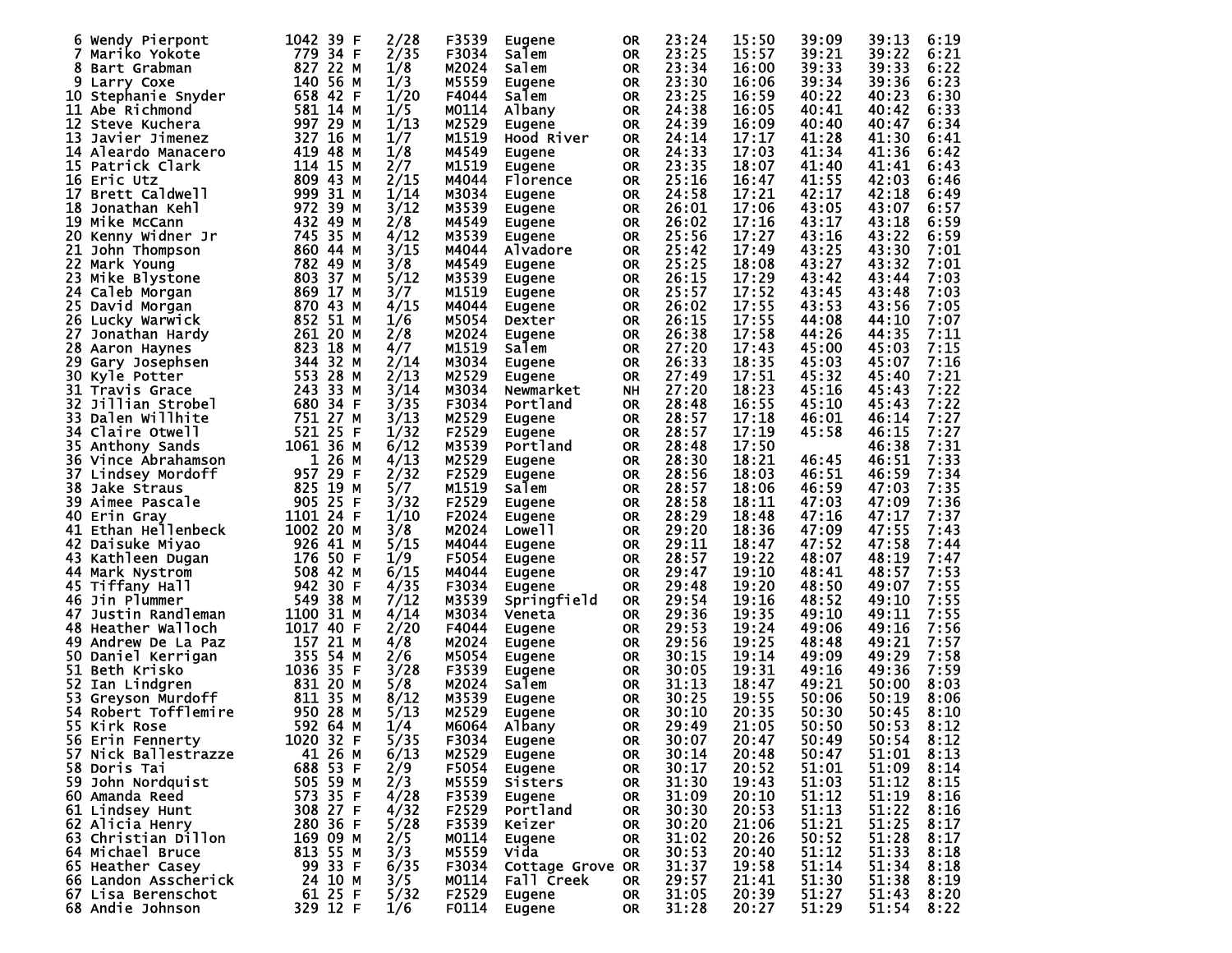| 6                        | 1042 39 F   | 2/28 | F3539        |                    |           | 23:24 | 15:50 | 39:09 | 39:13 | 6:19 |
|--------------------------|-------------|------|--------------|--------------------|-----------|-------|-------|-------|-------|------|
| Wendy Pierpont           |             |      |              | <b>Eugene</b>      | 0R        |       |       |       |       |      |
| Mariko Yokote            | 779 34 F    | 2/35 | F3034        | Salem              | 0R        | 23:25 | 15:57 | 39:21 | 39:22 | 6:21 |
| 8<br>Bart Grabman        | 827 22 M    | 1/8  | M2024        | Salem              | <b>OR</b> | 23:34 | 16:00 | 39:33 | 39:33 | 6:22 |
| 9<br>Larry Coxe          | 140 56 M    | 1/3  | M5559        | Eugene             | <b>OR</b> | 23:30 | 16:06 | 39:34 | 39:36 | 6:23 |
|                          |             |      |              |                    |           |       |       |       |       |      |
| Stephanie Snyder<br>10   | 658 42 F    | 1/20 | F4044        | Salem              | <b>OR</b> | 23:25 | 16:59 | 40:22 | 40:23 | 6:30 |
| 11 Abe Richmond          | 581 14 M    | 1/5  | M0114        | Albany             | <b>OR</b> | 24:38 | 16:05 | 40:41 | 40:42 | 6:33 |
| 12<br>Steve Kuchera      | 997 29 M    | 1/13 | M2529        | Eugene             | <b>OR</b> | 24:39 | 16:09 | 40:40 | 40:47 | 6:34 |
|                          |             |      |              |                    |           |       |       |       |       |      |
| 13<br>Javier Jimenez     | 327 16 M    | 1/7  | M1519        | Hood River         | <b>OR</b> | 24:14 | 17:17 | 41:28 | 41:30 | 6:41 |
| Aleardo Manacero<br>14   | 419 48 M    | 1/8  | M4549        | Eugene             | <b>OR</b> | 24:33 | 17:03 | 41:34 | 41:36 | 6:42 |
| 15 Patrick Clark         | 114 15 M    | 2/7  | M1519        | Eugene             | <b>OR</b> | 23:35 | 18:07 | 41:40 | 41:41 | 6:43 |
|                          |             |      |              |                    |           |       |       |       |       |      |
| 16<br>Eric Utz           | 809 43 M    | 2/15 | M4044        | Florence           | <b>OR</b> | 25:16 | 16:47 | 41:55 | 42:03 | 6:46 |
| 17<br>Brett Caldwell     | 999 31 M    | 1/14 | M3034        | Eugene             | <b>OR</b> | 24:58 | 17:21 | 42:17 | 42:18 | 6:49 |
| 18<br>Jonathan Kehl      | 972 39 M    | 3/12 | M3539        |                    | <b>OR</b> | 26:01 | 17:06 | 43:05 | 43:07 | 6:57 |
|                          |             |      |              | Eugene             |           |       |       |       |       |      |
| 19 Mike McCann           | 432 49 M    | 2/8  | M4549        | <b>Eugene</b>      | <b>OR</b> | 26:02 | 17:16 | 43:17 | 43:18 | 6:59 |
| 20<br>Kenny Widner Jr    | 745 35 M    | 4/12 | M3539        | Eugene             | <b>OR</b> | 25:56 | 17:27 | 43:16 | 43:22 | 6:59 |
| 21<br>John Thompson      | 860 44 M    | 3/15 | M4044        | Alvadore           | <b>OR</b> | 25:42 | 17:49 | 43:25 | 43:30 | 7:01 |
|                          |             |      |              |                    |           |       |       |       |       |      |
| 22<br>Mark Young         | 782 49 M    | 3/8  | M4549        | <b>Eugene</b>      | <b>OR</b> | 25:25 | 18:08 | 43:27 | 43:32 | 7:01 |
| 23<br>Mike Blystone      | 803 37 M    | 5/12 | M3539        | <b>Eugene</b>      | <b>OR</b> | 26:15 | 17:29 | 43:42 | 43:44 | 7:03 |
| 24                       | 869 17      | 3/7  | M1519        |                    |           | 25:57 | 17:52 | 43:45 | 43:48 | 7:03 |
| Caleb Morgan             | М           |      |              | Eugene             | <b>OR</b> |       |       |       |       |      |
| 25 David Morgan          | 870 43 M    | 4/15 | M4044        | Eugene             | <b>OR</b> | 26:02 | 17:55 | 43:53 | 43:56 | 7:05 |
| 26<br>Lucky Warwick      | 852 51 M    | 1/6  | M5054        | Dexter             | <b>OR</b> | 26:15 | 17:55 | 44:08 | 44:10 | 7:07 |
|                          |             |      |              |                    |           |       |       |       |       | 7:11 |
| 27<br>Jonathan Hardy     | 261 20 M    | 2/8  | M2024        | <b>Eugene</b>      | <b>OR</b> | 26:38 | 17:58 | 44:26 | 44:35 |      |
| 28<br>Aaron Haynes       | 823<br>18 M | 4/7  | M1519        | Salem              | <b>OR</b> | 27:20 | 17:43 | 45:00 | 45:03 | 7:15 |
| 29 Gary Josephsen        | 344 32 M    | 2/14 | M3034        | Eugene             | <b>OR</b> | 26:33 | 18:35 | 45:03 | 45:07 | 7:16 |
|                          |             |      |              |                    |           | 27:49 |       |       |       |      |
| 30.<br>Kyle Potter       | 553 28 M    | 2/13 | M2529        | Eugene             | <b>OR</b> |       | 17:51 | 45:32 | 45:40 | 7:21 |
| 31 Travis Grace          | 243 33 M    | 3/14 | M3034        | Newmarket          | NΗ        | 27:20 | 18:23 | 45:16 | 45:43 | 7:22 |
| 32.<br>Jillian Strobel   | 680 34 F    | 3/35 | F3034        | Portland           | <b>OR</b> | 28:48 | 16:55 | 45:10 | 45:43 | 7:22 |
|                          |             |      |              |                    |           |       |       |       |       |      |
| 33<br>Dalen Willhite     | 751 27 M    | 3/13 | M2529        | Eugene             | <b>OR</b> | 28:57 | 17:18 | 46:01 | 46:14 | 7:27 |
| 34 Claire Otwell         | 521 25 F    | 1/32 | F2529        | Eugene             | <b>OR</b> | 28:57 | 17:19 | 45:58 | 46:15 | 7:27 |
| 35 Anthony Sands         | 1061 36 M   | 6/12 | M3539        | Portland           | <b>OR</b> | 28:48 | 17:50 |       | 46:38 | 7:31 |
|                          |             |      |              |                    |           |       |       |       |       |      |
| Vince Abrahamson<br>36.  | 26 M<br>1   | 4/13 | M2529        | Eugene             | <b>OR</b> | 28:30 | 18:21 | 46:45 | 46:51 | 7:33 |
| 37<br>Lindsey Mordoff    | 957 29 F    | 2/32 | F2529        | Eugene             | <b>OR</b> | 28:56 | 18:03 | 46:51 | 46:59 | 7:34 |
| 38.<br>Jake Straus       | 825 19 M    | 5/7  | M1519        | Salem              | <b>OR</b> | 28:57 | 18:06 | 46:59 | 47:03 | 7:35 |
|                          |             |      |              |                    |           |       |       |       |       |      |
| 39 Aimee Pascale         | 905 25 F    | 3/32 | F2529        | <b>Eugene</b>      | <b>OR</b> | 28:58 | 18:11 | 47:03 | 47:09 | 7:36 |
| 40<br>Erin Gray          | 1101 24 F   | 1/10 | F2024        | Eugene             | <b>OR</b> | 28:29 | 18:48 | 47:16 | 47:17 | 7:37 |
| 41 Ethan Hellenbeck      | 1002 20 M   | 3/8  | M2024        | Lowe <sub>11</sub> | <b>OR</b> | 29:20 | 18:36 | 47:09 | 47:55 | 7:43 |
|                          |             |      |              |                    |           |       |       |       |       |      |
| 42 Daisuke Miyao         | 926 41 M    | 5/15 | M4044        | <b>Eugene</b>      | <b>OR</b> | 29:11 | 18:47 | 47:52 | 47:58 | 7:44 |
| 43 Kathleen Dugan        | 176 50 F    | 1/9  | F5054        | <b>Eugene</b>      | <b>OR</b> | 28:57 | 19:22 | 48:07 | 48:19 | 7:47 |
|                          | 508 42 M    | 6/15 | M4044        |                    |           | 29:47 | 19:10 | 48:41 | 48:57 | 7:53 |
| 44 Mark Nystrom          |             |      |              | Eugene             | <b>OR</b> |       |       |       |       |      |
| 45 Tiffany Hall          | 942 30 F    | 4/35 | F3034        | <b>Eugene</b>      | <b>OR</b> | 29:48 | 19:20 | 48:50 | 49:07 | 7:55 |
| 46<br>Jin Plummer        | 549 38 M    | 7/12 | M3539        | Springfield        | <b>OR</b> | 29:54 | 19:16 | 48:52 | 49:10 | 7:55 |
| Justin Randleman<br>47.  | 1100 31 M   | 4/14 | M3034        | Veneta             | <b>OR</b> | 29:36 | 19:35 | 49:10 | 49:11 | 7:55 |
|                          |             |      |              |                    |           |       |       |       |       |      |
| 48 Heather Walloch       | 1017 40 F   | 2/20 | F4044        | Eugene             | <b>OR</b> | 29:53 | 19:24 | 49:06 | 49:16 | 7:56 |
| 49<br>Andrew De La Paz   | 157 21 M    | 4/8  | M2024        | Eugene             | <b>OR</b> | 29:56 | 19:25 | 48:48 | 49:21 | 7:57 |
| 50 Daniel Kerrigan       | 355 54 M    | 2/6  | M5054        |                    | <b>OR</b> | 30:15 | 19:14 | 49:09 | 49:29 | 7:58 |
|                          |             |      |              | Eugene             |           |       |       |       |       |      |
| 51 Beth Krisko           | 1036 35 F   | 3/28 | F3539        | Eugene             | <b>OR</b> | 30:05 | 19:31 | 49:16 | 49:36 | 7:59 |
| 52<br>Ian Lindgren       | 831 20 M    | 5/8  | M2024        | Salem              | <b>OR</b> | 31:13 | 18:47 | 49:21 | 50:00 | 8:03 |
| 53<br>Greyson Murdoff    | 811 35 M    | 8/12 | M3539        |                    | <b>OR</b> | 30:25 | 19:55 | 50:06 | 50:19 | 8:06 |
|                          |             |      |              | <b>Eugene</b>      |           |       |       |       |       |      |
| 54.<br>Robert Tofflemire | 950 28 M    | 5/13 | M2529        | Eugene             | <b>OR</b> | 30:10 | 20:35 | 50:30 | 50:45 | 8:10 |
| 55 Kirk Rose             | 592 64 M    | 1/4  | M6064        | Albany             | <b>OR</b> | 29:49 | 21:05 | 50:50 | 50:53 | 8:12 |
|                          | 1020 32 F   | 5/35 | F3034        |                    |           | 30:07 | 20:47 | 50:49 | 50:54 | 8:12 |
| 56 Erin Fennerty         |             |      |              | Eugene             | 0R        |       |       |       |       |      |
| 57 Nick Ballestrazze     | 41 26 M     | 6/13 | M2529        | Eugene             | <b>OR</b> | 30:14 | 20:48 | 50:47 | 51:01 | 8:13 |
| 58 Doris Tai             | 688 53 F    | 2/9  | F5054        | Eugene             | <b>OR</b> | 30:17 | 20:52 | 51:01 | 51:09 | 8:14 |
|                          | 505 59 M    | 2/3  |              |                    |           |       | 19:43 |       |       |      |
| 59 John Nordquist        |             |      | M5559        | Sisters            | <b>OR</b> | 31:30 |       | 51:03 | 51:12 | 8:15 |
| 60 Amanda Reed           | 573 35 F    | 4/28 | F3539        | Eugene             | <b>OR</b> | 31:09 | 20:10 | 51:12 | 51:19 | 8:16 |
| 61 Lindsey Hunt          | 308 27 F    | 4/32 | F2529        | Portland           | <b>OR</b> | 30:30 | 20:53 | 51:13 | 51:22 | 8:16 |
|                          | 280 36 F    | 5/28 |              |                    |           |       | 21:06 | 51:21 | 51:25 |      |
| 62 Alicia Henry          |             |      | F3539        | Keizer             | <b>OR</b> | 30:20 |       |       |       | 8:17 |
| 63 Christian Dillon      | 169 09 M    | 2/5  | M0114        | Eugene             | <b>OR</b> | 31:02 | 20:26 | 50:52 | 51:28 | 8:17 |
| 64 Michael Bruce         | 813 55 M    | 3/3  | M5559        | Vida               | <b>OR</b> | 30:53 | 20:40 | 51:12 | 51:33 | 8:18 |
|                          |             |      |              |                    |           |       |       |       |       |      |
| 65 Heather Casey         | 99 33 F     | 6/35 | F3034        | Cottage Grove OR   |           | 31:37 | 19:58 | 51:14 | 51:34 | 8:18 |
| 66 Landon Asscherick     | 24 10 M     | 3/5  | M0114        | Fall Creek         | 0R        | 29:57 | 21:41 | 51:30 | 51:38 | 8:19 |
| 67 Lisa Berenschot       | 61 25 F     | 5/32 | F2529        | Eugene             | 0R        | 31:05 | 20:39 | 51:27 | 51:43 | 8:20 |
|                          |             |      |              |                    |           |       |       |       |       |      |
| 68 Andie Johnson         | 329 12 F    | 1/6  | <b>FO114</b> | Eugene             | 0R        | 31:28 | 20:27 | 51:29 | 51:54 | 8:22 |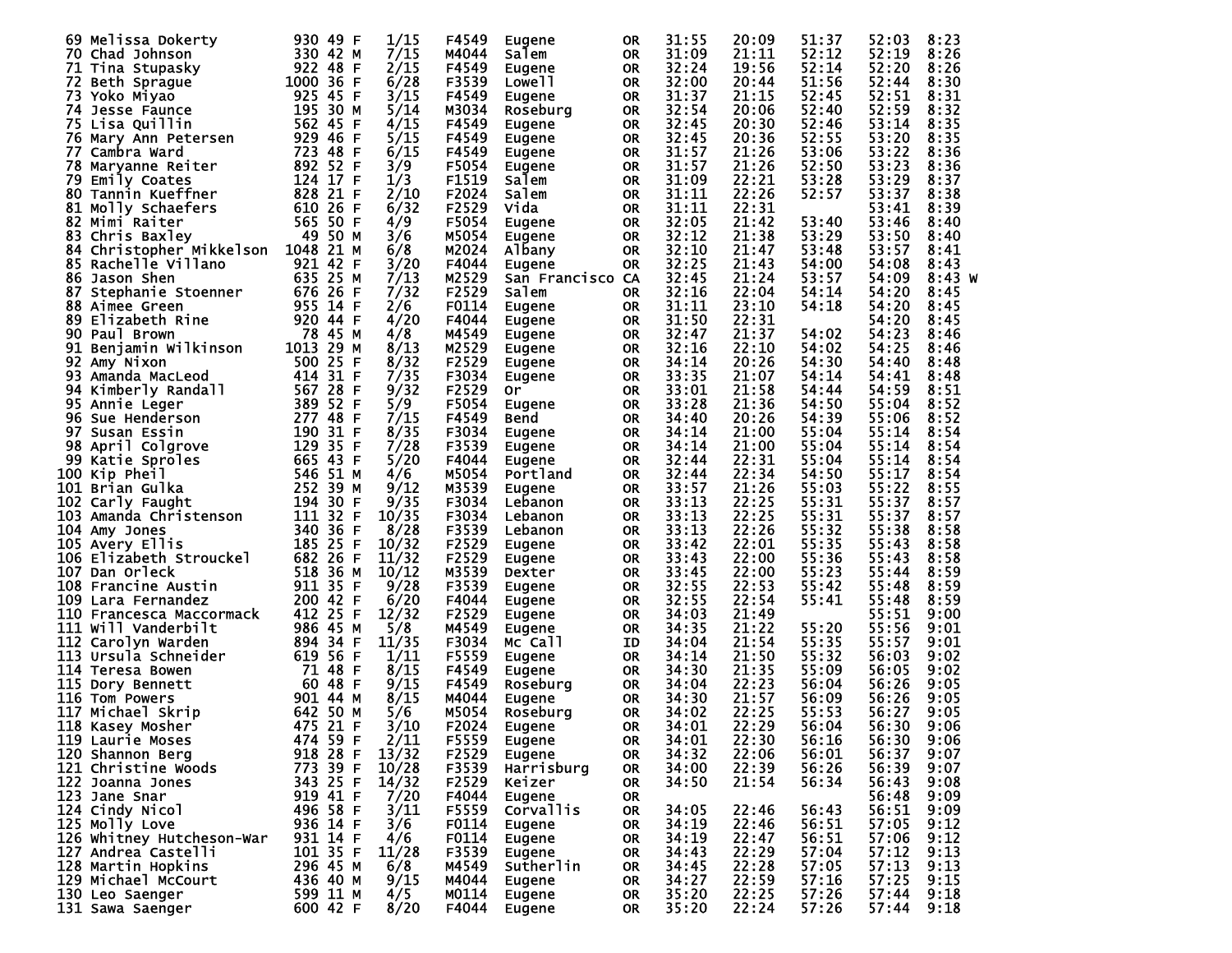|    | 69 Melissa Dokerty        | 930 49 F  | 1/15                | F4549 | Eugene            | <b>OR</b> | 31:55 | 20:09 | 51:37 | 52:03          | 8:23     |
|----|---------------------------|-----------|---------------------|-------|-------------------|-----------|-------|-------|-------|----------------|----------|
|    | 70 Chad Johnson           | 330 42 M  | 7/15                | M4044 | Salem             | <b>OR</b> | 31:09 | 21:11 | 52:12 | 52:19          | 8:26     |
|    | 71 Tina Stupasky          | 922 48 F  | 2/15                | F4549 | <b>Eugene</b>     | 0R        | 32:24 | 19:56 | 52:14 | 52:20          | 8:26     |
|    | 72 Beth Sprague           | 1000 36 F | 6/28                | F3539 | Lowe <sub>l</sub> | 0R        | 32:00 | 20:44 | 51:56 | 52:44          | 8:30     |
|    | 73 Yoko Miyao             | 925 45 F  | 3/15                | F4549 | <b>Eugene</b>     | 0R        | 31:37 | 21:15 | 52:45 | 52:51          | 8:31     |
|    | 74 Jesse Faunce           | 195 30 M  | 5/14                | M3034 | Roseburg          | 0R        | 32:54 | 20:06 | 52:40 | 52:59          | 8:32     |
|    | 75 Lisa Quillin           | 562 45 F  | 4/15                | F4549 | Eugene            | <b>OR</b> | 32:45 | 20:30 | 52:46 | 53:14          | 8:35     |
|    | 76 Mary Ann Petersen      | 929 46 F  | 5/15                | F4549 | Eugene            | 0R        | 32:45 | 20:36 | 52:55 | 53:20          | 8:35     |
| 77 | Cambra Ward               | 723 48    | 6/15<br>F           | F4549 | Eugene            | 0R        | 31:57 | 21:26 | 53:06 | 53:22          | 8:36     |
|    | 78 Maryanne Reiter        | 892 52 F  | 3/9                 | F5054 | Eugene            | 0R        | 31:57 | 21:26 | 52:50 | 53:23          | 8:36     |
| 79 | Emily Coates              | 124 17    | 1/3<br>F            | F1519 | Salem             | 0R        | 31:09 | 22:21 | 53:28 | 53:29          | 8:37     |
|    | 80 Tannin Kueffner        | 828 21    | 2/10<br>F           | F2024 | Salem             | 0R        | 31:11 | 22:26 | 52:57 | 53:37          | 8:38     |
| 81 | Molly Schaefers           | 610 26 F  | 6/32                | F2529 | Vida              | <b>OR</b> | 31:11 | 22:31 |       | 53:41          | 8:39     |
|    | 82 Mimi Raiter            | 565 50 F  | 4/9                 | F5054 | Eugene            | 0R        | 32:05 | 21:42 | 53:40 | 53:46          | 8:40     |
| 83 | Chris Baxley              | 49 50 M   | 3/6                 | M5054 | Eugene            | <b>OR</b> | 32:12 | 21:38 | 53:29 | 53:50          | 8:40     |
|    | 84 Christopher Mikkelson  | 1048 21 M | 6/8                 | M2024 | Albany            | 0R        | 32:10 | 21:47 | 53:48 | 53:57          | 8:41     |
|    | 85 Rachelle Villano       | 921 42 F  | 3/20                | F4044 | Eugene            | <b>OR</b> | 32:25 | 21:43 | 54:00 | 54:08          | 8:43     |
|    | 86 Jason Shen             | 635 25 M  | 7/13                | M2529 | San Francisco CA  |           | 32:45 | 21:24 | 53:57 | 54:09          | $8:43$ W |
| 87 | Stephanie Stoenner        | 676 26 F  | 7/32                | F2529 | Salem             | 0R        | 32:16 | 22:04 | 54:14 | 54:20          | 8:45     |
|    | 88 Aimee Green            | 955 14 F  | 2/6                 | F0114 |                   | 0R        | 31:11 | 23:10 | 54:18 | 54:20          | 8:45     |
|    | 89 Elizabeth Rine         | 920 44 F  | 4/20                | F4044 | Eugene            |           | 31:50 | 22:31 |       | 54:20          | 8:45     |
|    | 90 Paul Brown             | 78 45 M   | 4/8                 | M4549 | <b>Eugene</b>     | 0R        | 32:47 | 21:37 | 54:02 | 54:23          | 8:46     |
|    |                           | 1013 29 M | 8/13                |       | Eugene            | 0R        |       | 22:10 | 54:02 |                | 8:46     |
| 91 | Benjamin Wilkinson        |           | 8/32                | M2529 | Eugene            | 0R        | 32:16 | 20:26 |       | 54:25<br>54:40 |          |
|    | 92 Amy Nixon              | 500 25 F  |                     | F2529 | Eugene            | 0R        | 34:14 |       | 54:30 |                | 8:48     |
|    | 93 Amanda MacLeod         | 414 31    | 7/35<br>F           | F3034 | Eugene            | 0R        | 33:35 | 21:07 | 54:14 | 54:41          | 8:48     |
|    | 94 Kimberly Randall       | 567 28 F  | 9/32                | F2529 | 0r                | 0R        | 33:01 | 21:58 | 54:44 | 54:59          | 8:51     |
|    | 95 Annie Leger            | 389 52    | 5/9<br>F            | F5054 | Eugene            | 0R        | 33:28 | 21:36 | 54:50 | 55:04          | 8:52     |
|    | 96 Sue Henderson          | 277 48 F  | 7/15                | F4549 | Bend              | 0R        | 34:40 | 20:26 | 54:39 | 55:06          | 8:52     |
|    | 97 Susan Essin            | 190 31    | 8/35<br>F           | F3034 | Eugene            | <b>OR</b> | 34:14 | 21:00 | 55:04 | 55:14          | 8:54     |
| 98 | April Colgrove            | 129 35 F  | 7/28                | F3539 | Eugene            | 0R        | 34:14 | 21:00 | 55:04 | 55:14          | 8:54     |
|    | 99 Katie Sproles          | 665 43 F  | 5/20                | F4044 | Eugene            | 0R        | 32:44 | 22:31 | 55:04 | 55:14          | 8:54     |
|    | 100 Kip Pheil             | 546 51 M  | 4/6                 | M5054 | Portland          | 0R        | 32:44 | 22:34 | 54:50 | 55:17          | 8:54     |
|    | 101 Brian Gulka           | 252 39 M  | 9/12                | M3539 | Eugene            | 0R        | 33:57 | 21:26 | 55:03 | 55:22          | 8:55     |
|    | 102 Carly Faught          | 194 30 F  | 9/35                | F3034 | Lebanon           | 0R        | 33:13 | 22:25 | 55:31 | 55:37          | 8:57     |
|    | 103 Amanda Christenson    | 111 32    | 10/35<br>F          | F3034 | Lebanon           | 0R        | 33:13 | 22:25 | 55:31 | 55:37          | 8:57     |
|    | 104 Amy Jones             | 340 36 F  | 8/28                | F3539 | Lebanon           | 0R        | 33:13 | 22:26 | 55:32 | 55:38          | 8:58     |
|    | 105 Avery Ellis           | 185 25 F  | 10/32               | F2529 | Eugene            | 0R        | 33:42 | 22:01 | 55:35 | 55:43          | 8:58     |
|    | 106 Elizabeth Strouckel   | 682 26 F  | 11/32               | F2529 | Eugene            | 0R        | 33:43 | 22:00 | 55:36 | 55:43          | 8:58     |
|    | 107 Dan Orleck            | 518 36 M  | 10/12               | M3539 | Dexter            | 0R        | 33:45 | 22:00 | 55:23 | 55:44          | 8:59     |
|    | 108 Francine Austin       | 911 35 F  | 9/28                | F3539 | Eugene            | 0R        | 32:55 | 22:53 | 55:42 | 55:48          | 8:59     |
|    | 109 Lara Fernandez        | 200 42 F  | 6/20                | F4044 | Eugene            | 0R        | 32:55 | 22:54 | 55:41 | 55:48          | 8:59     |
|    | 110 Francesca Maccormack  | 412 25 F  | 12/32               | F2529 | Eugene            | 0R        | 34:03 | 21:49 |       | 55:51          | 9:00     |
|    | 111 Will Vanderbilt       | 986 45 M  | 5/8                 | M4549 | Eugene            | 0R        | 34:35 | 21:22 | 55:20 | 55:56          | 9:01     |
|    | 112 Carolyn Warden        | 894 34 F  | 11/35               | F3034 | Mc Call           | ID        | 34:04 | 21:54 | 55:35 | 55:57          | 9:01     |
|    | 113 Ursula Schneider      | 619 56 F  | 1/11                | F5559 | Eugene            | 0R        | 34:14 | 21:50 | 55:32 | 56:03          | 9:02     |
|    | 114 Teresa Bowen          | 71 48 F   | 8/15                | F4549 | Eugene            | 0R        | 34:30 | 21:35 | 55:09 | 56:05          | 9:02     |
|    | 115 Dory Bennett          | 60 48 F   | 9/15                | F4549 | Roseburg          | <b>OR</b> | 34:04 | 22:23 | 56:04 | 56:26          | 9:05     |
|    | <b>116 Tom Powers</b>     | 901 44 M  | 8/15                | M4044 | <b>Eugene</b>     | <b>OR</b> | 34:30 | 21:57 | 56:09 | 56:26          | 9:05     |
|    | 117 Michael Skrip         | 642 50 M  | 5/6                 | M5054 | Roseburg          | <b>OR</b> | 34:02 | 22:25 | 55:53 | 56:27          | 9:05     |
|    | 118 Kasey Mosher          | 475 21 F  | $\frac{3/10}{2/11}$ | F2024 | <b>Eugene</b>     | <b>OR</b> | 34:01 | 22:29 | 56:04 | 56:30          | 9:06     |
|    | 119 Laurie Moses          | 474 59 F  |                     | F5559 | Eugene            | <b>OR</b> | 34:01 | 22:30 | 56:16 | 56:30          | 9:06     |
|    | 120 Shannon Berg          | 918 28 F  | 13/32               | F2529 | Eugene            | <b>OR</b> | 34:32 | 22:06 | 56:01 | 56:37          | 9:07     |
|    | 121 Christine Woods       | 773 39 F  | 10/28               | F3539 | Harrisburg        | 0R        | 34:00 | 22:39 | 56:26 | 56:39          | 9:07     |
|    | 122 Joanna Jones          | 343 25 F  | 14/32               | F2529 | Keizer            | OR.       | 34:50 | 21:54 | 56:34 | 56:43          | 9:08     |
|    | 123 Jane Snar             | 919 41 F  | 7/20                | F4044 | Eugene            | 0R        |       |       |       | 56:48          | 9:09     |
|    | 124 Cindy Nicol           | 496 58 F  | 3/11                | F5559 | Corvallis         | 0R        | 34:05 | 22:46 | 56:43 | 56:51          | 9:09     |
|    | 125 Molly Love            | 936 14 F  | 3/6                 | F0114 | Eugene            | 0R        | 34:19 | 22:46 | 56:51 | 57:05          | 9:12     |
|    | 126 Whitney Hutcheson-War | 931 14 F  | 4/6                 | F0114 | Eugene            | 0R        | 34:19 | 22:47 | 56:51 | 57:06          | 9:12     |
|    | 127 Andrea Castelli       | 101 35 F  | 11/28               | F3539 | Eugene            | 0R        | 34:43 | 22:29 | 57:04 | 57:12          | 9:13     |
|    | 128 Martin Hopkins        | 296 45 M  | 6/8                 | M4549 | Sutherlin         | 0R        | 34:45 | 22:28 | 57:05 | 57:13          | 9:13     |
|    | 129 Michael McCourt       | 436 40 M  | 9/15                | M4044 | Eugene            | 0R        | 34:27 | 22:59 | 57:16 | 57:25          | 9:15     |
|    | 130 Leo Saenger           | 599 11 M  | 4/5                 | M0114 | Eugene            | OR.       | 35:20 | 22:25 | 57:26 | 57:44          | 9:18     |
|    | 131 Sawa Saenger          | 600 42 F  | 8/20                | F4044 | Eugene            | OR.       | 35:20 | 22:24 | 57:26 | 57:44          | 9:18     |
|    |                           |           |                     |       |                   |           |       |       |       |                |          |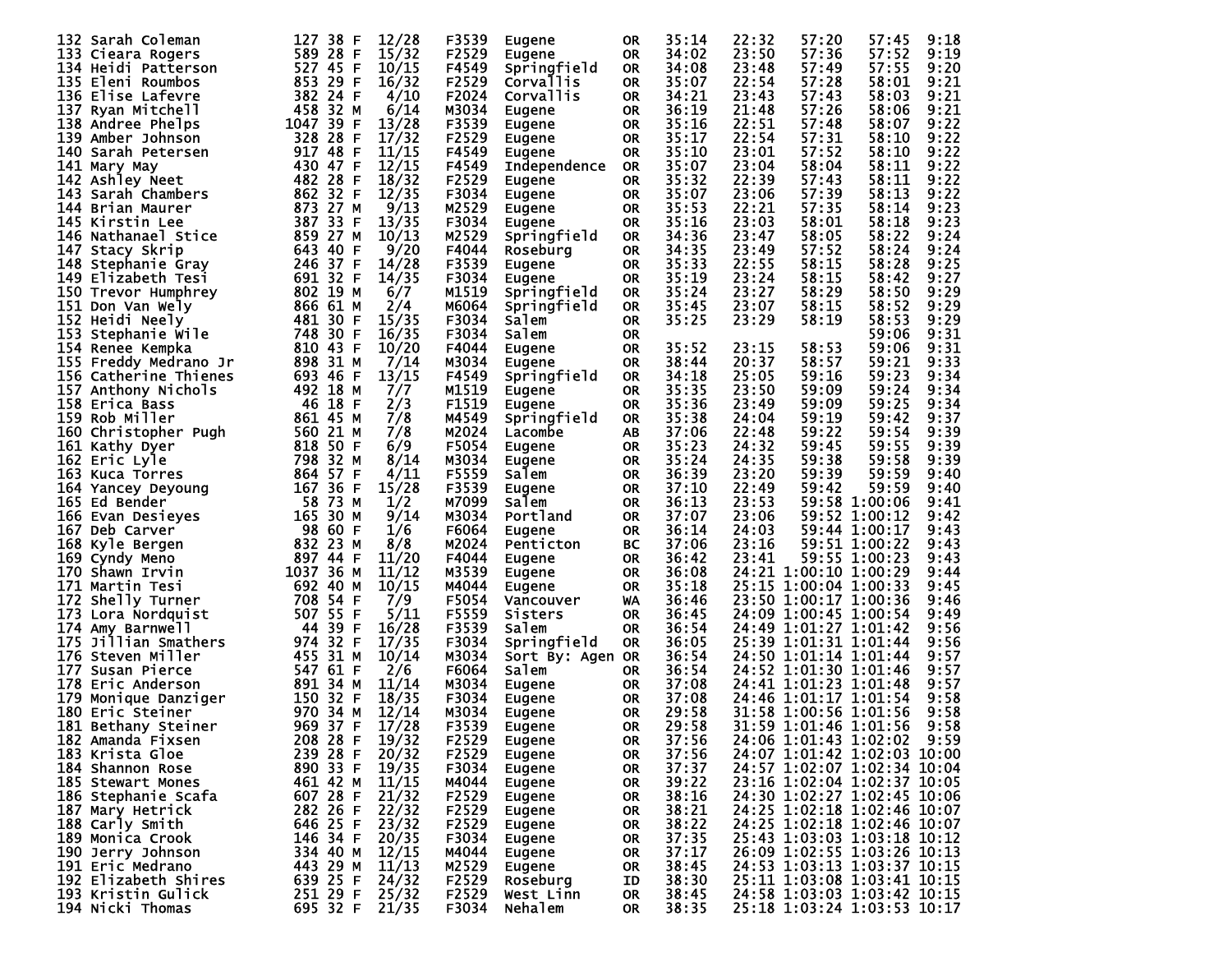|      | 132 Sarah Coleman     | 127       | 38 F     | 12/28          | F3539 | <b>Eugene</b>       | 0R        | 35:14 | 22:32 | 57:20                 | 57:45                       | 9:18 |
|------|-----------------------|-----------|----------|----------------|-------|---------------------|-----------|-------|-------|-----------------------|-----------------------------|------|
|      | 133 Cieara Rogers     |           | 589 28 F | 15/32          | F2529 | Eugene              | <b>OR</b> | 34:02 | 23:50 | 57:36                 | 57:52                       | 9:19 |
|      |                       |           |          |                |       |                     |           |       |       |                       |                             |      |
|      | 134 Heidi Patterson   |           | 527 45 F | 10/15          | F4549 | Springfield         | <b>OR</b> | 34:08 | 23:48 | 57:49                 | 57:55                       | 9:20 |
|      | 135 Eleni Roumbos     |           | 853 29 F | 16/32          | F2529 | Corvallis           | <b>OR</b> | 35:07 | 22:54 | 57:28                 | 58:01                       | 9:21 |
|      | 136 Elise Lafevre     |           | 382 24 F | 4/10           | F2024 | Corvallis           | <b>OR</b> | 34:21 | 23:43 | 57:43                 | 58:03                       | 9:21 |
| 137  | Ryan Mitchell         |           | 458 32 M | 6/14           | M3034 | <b>Eugene</b>       | <b>OR</b> | 36:19 | 21:48 | 57:26                 | 58:06                       | 9:21 |
|      | 138 Andree Phelps     | 1047 39 F |          | 13/28          | F3539 | Eugene              | <b>OR</b> | 35:16 | 22:51 | 57:48                 | 58:07                       | 9:22 |
|      | 139 Amber Johnson     |           | 328 28 F | 17/32          | F2529 | Eugene              | <b>OR</b> | 35:17 | 22:54 | 57:31                 | 58:10                       | 9:22 |
|      |                       |           |          |                |       |                     |           | 35:10 | 23:01 | 57:52                 |                             | 9:22 |
|      | 140 Sarah Petersen    |           | 917 48 F | 11/15          | F4549 | <b>Eugene</b>       | <b>OR</b> |       |       |                       | 58:10                       |      |
|      | 141 Mary May          |           | 430 47 F | 12/15          | F4549 | <b>Independence</b> | 0R        | 35:07 | 23:04 | 58:04                 | 58:11                       | 9:22 |
|      | 142 Ashley Neet       |           | 482 28 F | 18/32          | F2529 | <b>Eugene</b>       | <b>OR</b> | 35:32 | 22:39 | 57:43                 | 58:11                       | 9:22 |
|      | 143 Sarah Chambers    |           | 862 32 F | 12/35          | F3034 | Eugene              | <b>OR</b> | 35:07 | 23:06 | 57:39                 | 58:13                       | 9:22 |
|      | 144 Brian Maurer      | 873 27    | м        | 9/13           | M2529 | Eugene              | <b>OR</b> | 35:53 | 22:21 | 57:35                 | 58:14                       | 9:23 |
|      | 145 Kirstin Lee       |           | 387 33 F | 13/35          | F3034 | Eugene              | <b>OR</b> | 35:16 | 23:03 | 58:01                 | 58:18                       | 9:23 |
|      | 146 Nathanael Stice   | 859 27    | М        | 10/13          | M2529 | Springfield         | <b>OR</b> | 34:36 | 23:47 | 58:05                 | 58:22                       | 9:24 |
|      |                       |           |          |                |       |                     |           |       |       |                       |                             |      |
|      | 147 Stacy Skrip       |           | 643 40 F | 9/20           | F4044 | Roseburg            | <b>OR</b> | 34:35 | 23:49 | 57:52                 | 58:24                       | 9:24 |
|      | 148 Stephanie Gray    |           | 246 37 F | 14/28          | F3539 | <b>Eugene</b>       | <b>OR</b> | 35:33 | 22:55 | 58:15                 | 58:28                       | 9:25 |
|      | 149 Elizabeth Tesi    |           | 691 32 F | 14/35          | F3034 | Eugene              | <b>OR</b> | 35:19 | 23:24 | 58:15                 | 58:42                       | 9:27 |
|      | 150 Trevor Humphrey   |           | 802 19 M | 6/7            | M1519 | Springfield         | <b>OR</b> | 35:24 | 23:27 | 58:29                 | 58:50                       | 9:29 |
|      | 151 Don Van Wely      |           | 866 61 M | 2/4            | M6064 | Springfield         | <b>OR</b> | 35:45 | 23:07 | 58:15                 | 58:52                       | 9:29 |
|      | 152 Heidi Neely       |           | 481 30 F | 15/35          | F3034 | Salem               | <b>OR</b> | 35:25 | 23:29 | 58:19                 | 58:53                       | 9:29 |
|      |                       |           |          |                | F3034 |                     |           |       |       |                       |                             |      |
| 153  | Stephanie Wile        |           | 748 30 F | 16/35          |       | Salem               | 0R        |       |       |                       | 59:06                       | 9:31 |
|      | 154 Renee Kempka      |           | 810 43 F | 10/20          | F4044 | Eugene              | <b>OR</b> | 35:52 | 23:15 | 58:53                 | 59:06                       | 9:31 |
|      | 155 Freddy Medrano Jr |           | 898 31 M | 7/14           | M3034 | <b>Eugene</b>       | <b>OR</b> | 38:44 | 20:37 | 58:57                 | 59:21                       | 9:33 |
|      | 156 Catherine Thienes |           | 693 46 F | 13/15          | F4549 | Springfield         | <b>OR</b> | 34:18 | 25:05 | 59:16                 | 59:23                       | 9:34 |
|      | 157 Anthony Nichols   |           | 492 18 M | 7/7            | M1519 | <b>Eugene</b>       | <b>OR</b> | 35:35 | 23:50 | 59:09                 | 59:24                       | 9:34 |
|      | 158 Erica Bass        |           | 46 18 F  | 2/3            | F1519 | Eugene              | <b>OR</b> | 35:36 | 23:49 | 59:09                 | 59:25                       | 9:34 |
|      | 159 Rob Miller        |           | 861 45 M | 7/8            | M4549 | Springfield         | <b>OR</b> | 35:38 | 24:04 | 59:19                 | 59:42                       | 9:37 |
|      |                       |           |          |                |       |                     |           |       |       |                       |                             |      |
|      | 160 Christopher Pugh  |           | 560 21 M | 7/8            | M2024 | Lacombe             | AΒ        | 37:06 | 22:48 | 59:22                 | 59:54                       | 9:39 |
|      | 161 Kathy Dyer        |           | 818 50 F | 6/9            | F5054 | <b>Eugene</b>       | <b>OR</b> | 35:23 | 24:32 | 59:45                 | 59:55                       | 9:39 |
|      | 162 Eric Lyle         |           | 798 32 M | 8/14           | M3034 | Eugene              | <b>OR</b> | 35:24 | 24:35 | 59:38                 | 59:58                       | 9:39 |
|      | 163 Kuca Torres       |           | 864 57 F | 4/11           | F5559 | Salem               | <b>OR</b> | 36:39 | 23:20 | 59:39                 | 59:59                       | 9:40 |
|      | 164 Yancey Deyoung    |           | 167 36 F | 15/28          | F3539 | Eugene              | <b>OR</b> | 37:10 | 22:49 | 59:42                 | 59:59                       | 9:40 |
|      | 165 Ed Bender         |           | 58 73 M  | 1/2            | M7099 | Salem               | <b>OR</b> | 36:13 | 23:53 |                       | 59:58 1:00:06               | 9:41 |
|      | 166 Evan Desieyes     |           | 165 30 M | 9/14           | M3034 | Portland            |           | 37:07 | 23:06 |                       | 59:52 1:00:12               | 9:42 |
|      |                       |           |          |                |       |                     | <b>OR</b> |       |       |                       |                             |      |
|      | 167 Deb Carver        |           | 98 60 F  | 1/6            | F6064 | <b>Eugene</b>       | <b>OR</b> | 36:14 | 24:03 |                       | 59:44 1:00:17               | 9:43 |
|      | 168 Kyle Bergen       |           | 832 23 M | 8/8            | M2024 | Penticton           | BС        | 37:06 | 23:16 |                       | 59:51 1:00:22               | 9:43 |
|      | 169 Cyndy Meno        |           | 897 44 F | 11/20          | F4044 | Eugene              | <b>OR</b> | 36:42 | 23:41 |                       | 59:55 1:00:23               | 9:43 |
|      | 170 Shawn Irvin       | 1037 36 M |          | 11/12          | M3539 | Eugene              | <b>OR</b> | 36:08 |       | 24:21 1:00:10 1:00:29 |                             | 9:44 |
|      | 171 Martin Tesi       |           | 692 40 M | 10/15          | M4044 | Eugene              | <b>OR</b> | 35:18 |       | 25:15 1:00:04 1:00:33 |                             | 9:45 |
| 172. | Shelly Turner         |           | 708 54 F | 7/9            | F5054 | Vancouver           | WA        | 36:46 |       | 23:50 1:00:17 1:00:36 |                             | 9:46 |
|      |                       |           |          | 5/11           |       |                     |           |       |       |                       |                             |      |
|      | 173 Lora Nordquist    |           | 507 55 F |                | F5559 | Sisters             | <b>OR</b> | 36:45 |       | 24:09 1:00:45 1:00:54 |                             | 9:49 |
|      | 174 Amy Barnwell      |           | 44 39 F  | 16/28          | F3539 | Salem               | <b>OR</b> | 36:54 |       | 24:49 1:01:27 1:01:42 |                             | 9:56 |
| 175. | Jillian Smathers      |           | 974 32 F | 17/35          | F3034 | Springfield         | 0R        | 36:05 |       | 25:39 1:01:31 1:01:44 |                             | 9:56 |
|      | 176 Steven Miller     |           | 455 31 M | 10/14          | M3034 | Sort By: Agen OR    |           | 36:54 |       | 24:50 1:01:14 1:01:44 |                             | 9:57 |
| 177. | Susan Pierce          |           | 547 61 F | 2/6            | F6064 | Salem               | <b>OR</b> | 36:54 |       | 24:52 1:01:30 1:01:46 |                             | 9:57 |
| 178  | Eric Anderson         |           | 891 34 M | 11/14          | M3034 | <b>Eugene</b>       | <b>OR</b> | 37:08 |       | 24:41 1:01:23 1:01:48 |                             | 9:57 |
| 179. | Monique Danziger      |           | 150 32 F | 18/35          | F3034 | Eugene              | <b>OR</b> | 37:08 |       | 24:46 1:01:17 1:01:54 |                             | 9:58 |
|      |                       | 970 34    |          |                |       |                     |           | 29:58 |       | 31:58 1:00:56 1:01:56 |                             |      |
| 180  | Eric Steiner          |           | М        | 12/14          | м3034 | Eugene              | <b>OR</b> |       |       |                       |                             | 9:58 |
|      | 181 Bethany Steiner   |           | 969 37 F | 17/28          | F3539 | <b>Eugene</b>       | <b>OR</b> | 29:58 |       |                       | 31:59 1:01:46 1:01:56       | 9:58 |
|      | 182 Amanda Fixsen     |           | 208 28 F | 19/32          | F2529 | Eugene              | <b>OR</b> | 37:56 |       |                       | 24:06 1:01:43 1:02:02 9:59  |      |
|      | 183 Krista Gloe       |           | 239 28 F | 20/32          | F2529 | Eugene              | <b>OR</b> | 37:56 |       |                       | 24:07 1:01:42 1:02:03 10:00 |      |
|      | 184 Shannon Rose      |           | 890 33 F | 19/35          | F3034 | Eugene              | <b>OR</b> | 37:37 |       |                       | 24:57 1:02:07 1:02:34 10:04 |      |
|      | 185 Stewart Mones     |           | 461 42 M | 11/15          | M4044 | Eugene              | <b>OR</b> | 39:22 |       |                       | 23:16 1:02:04 1:02:37 10:05 |      |
|      | 186 Stephanie Scafa   |           | 607 28 F | 21/32          | F2529 |                     | <b>OR</b> | 38:16 |       |                       | 24:30 1:02:27 1:02:45 10:06 |      |
|      |                       |           |          |                |       | Eugene              |           |       |       |                       |                             |      |
|      | 187 Mary Hetrick      |           | 282 26 F | 22/32          | F2529 | Eugene              | <b>OR</b> | 38:21 |       |                       | 24:25 1:02:18 1:02:46 10:07 |      |
|      | 188 Carly Smith       |           | 646 25 F | 23/32          | F2529 | Eugene              | <b>OR</b> | 38:22 |       |                       | 24:25 1:02:18 1:02:46 10:07 |      |
|      | 189 Monica Crook      |           | 146 34 F | 20/35          | F3034 | Eugene              | OR.       | 37:35 |       |                       | 25:43 1:03:03 1:03:18 10:12 |      |
|      | 190 Jerry Johnson     |           | 334 40 M | 12/15          | M4044 | Eugene              | OR.       | 37:17 |       |                       | 26:09 1:02:55 1:03:26 10:13 |      |
|      | 191 Eric Medrano      |           | 443 29 M | 11/13          | M2529 | Eugene              | <b>OR</b> | 38:45 |       |                       | 24:53 1:03:13 1:03:37 10:15 |      |
|      | 192 Elizabeth Shires  |           | 639 25 F | 24/32          | F2529 | Roseburg            | ID        | 38:30 |       |                       | 25:11 1:03:08 1:03:41 10:15 |      |
|      | 193 Kristin Gulick    |           |          | 251 29 F 25/32 | F2529 |                     |           | 38:45 |       |                       | 24:58 1:03:03 1:03:42 10:15 |      |
|      |                       |           |          |                |       | West Linn           | 0R        |       |       |                       |                             |      |
|      | 194 Nicki Thomas      |           |          | 695 32 F 21/35 | F3034 | Nehalem             | 0R        | 38:35 |       |                       | 25:18 1:03:24 1:03:53 10:17 |      |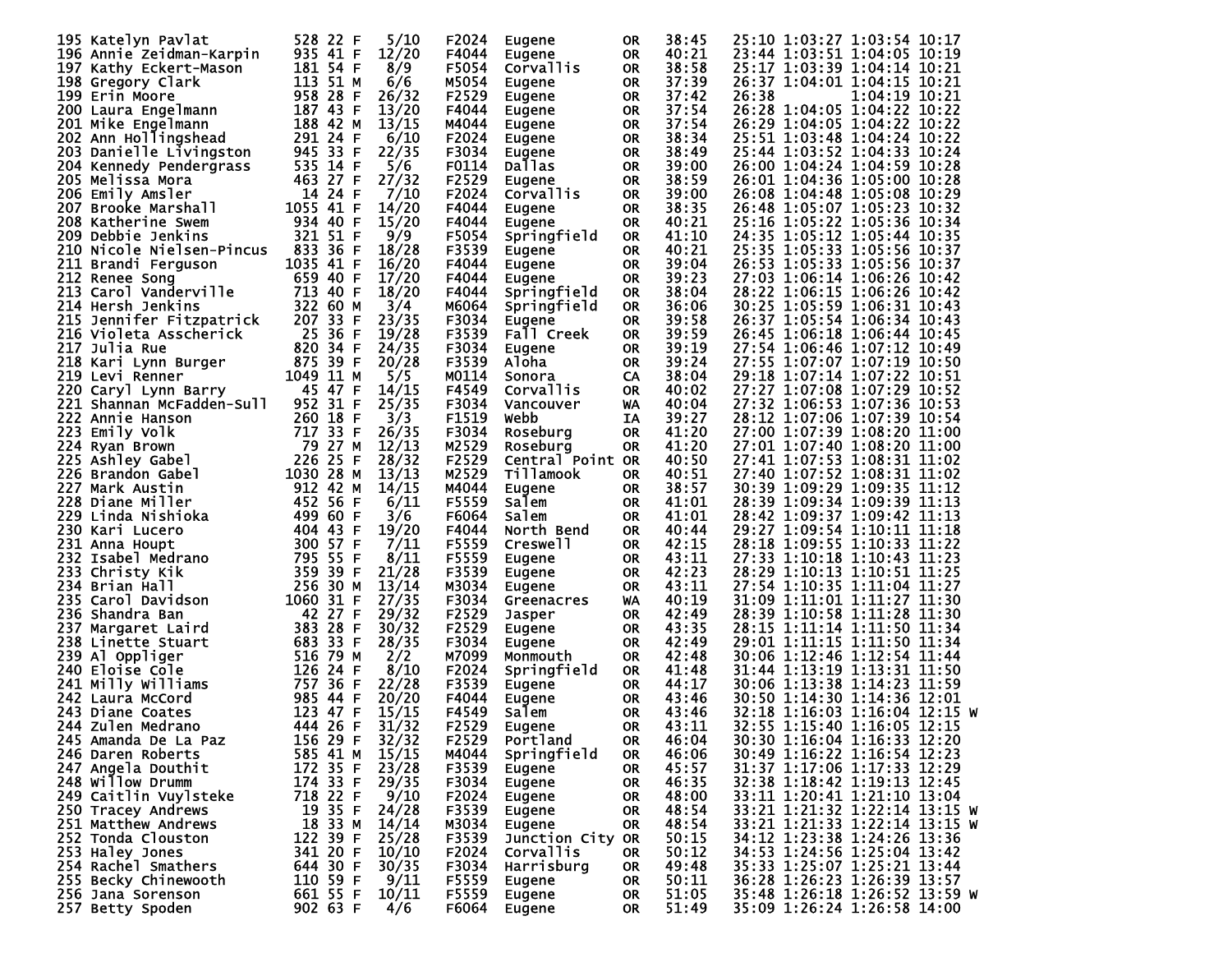| 195 Katelyn Pavlat           | 528 22 F    | 5/10  | F2024 | Eugene           | <b>OR</b> | 38:45 | 25:10 1:03:27 1:03:54 10:17   |
|------------------------------|-------------|-------|-------|------------------|-----------|-------|-------------------------------|
| 196 Annie Zeidman-Karpin     | 935 41 F    | 12/20 | F4044 |                  |           | 40:21 | 23:44 1:03:51 1:04:05 10:19   |
|                              |             |       |       | Eugene           | <b>OR</b> |       |                               |
| 197 Kathy Eckert-Mason       | 181 54 F    | 8/9   | F5054 | Corvallis        | <b>OR</b> | 38:58 | 25:17 1:03:39 1:04:14 10:21   |
| 198 Gregory Clark            | 113 51 M    | 6/6   | M5054 | Eugene           | 0R        | 37:39 | 26:37 1:04:01 1:04:15 10:21   |
| 199 Erin Moore               | 958 28 F    | 26/32 | F2529 | Eugene           | <b>OR</b> | 37:42 | 26:38<br>1:04:19 10:21        |
| 200 Laura Engelmann          | 187 43 F    | 13/20 | F4044 | Eugene           | 0R        | 37:54 | 26:28 1:04:05 1:04:22 10:22   |
| 201 Mike Engelmann           | 188 42 M    | 13/15 | M4044 | Eugene           | <b>OR</b> | 37:54 | 26:29 1:04:05 1:04:22 10:22   |
| 202 Ann Hollingshead         | 291 24 F    | 6/10  | F2024 | Eugene           | 0R        | 38:34 | 25:51 1:03:48 1:04:24 10:22   |
| 203 Danielle Livingston      | 945 33 F    | 22/35 | F3034 |                  | <b>OR</b> | 38:49 | 25:44 1:03:52 1:04:33 10:24   |
|                              |             |       |       | Eugene           |           |       |                               |
| 204 Kennedy Pendergrass      | 535 14 F    | 5/6   | F0114 | Dallas           | <b>OR</b> | 39:00 | 26:00 1:04:24 1:04:59 10:28   |
| 205 Melissa Mora             | 463 27 F    | 27/32 | F2529 | Eugene           | <b>OR</b> | 38:59 | 26:01 1:04:36 1:05:00 10:28   |
| 206 Emily Amsler             | 14 24 F     | 7/10  | F2024 | Corvallis        | <b>OR</b> | 39:00 | 26:08 1:04:48 1:05:08 10:29   |
| 207 Brooke Marshall          | 1055 41 F   | 14/20 | F4044 | Eugene           | <b>OR</b> | 38:35 | 26:48 1:05:07 1:05:23 10:32   |
| 208 Katherine Swem           | 934 40 F    | 15/20 | F4044 | Eugene           | 0R        | 40:21 | 25:16 1:05:22 1:05:36 10:34   |
| 209 Debbie Jenkins           | 321 51 F    | 9/9   | F5054 | Springfield      | <b>OR</b> | 41:10 | 24:35 1:05:12 1:05:44 10:35   |
| 210 Nicole Nielsen-Pincus    | 833 36 F    | 18/28 | F3539 | Eugene           | 0R        | 40:21 | 25:35 1:05:33 1:05:56 10:37   |
|                              | 1035 41 F   | 16/20 |       |                  |           |       |                               |
| 211 Brandi Ferguson          |             |       | F4044 | Eugene           | <b>OR</b> | 39:04 | 26:53 1:05:33 1:05:56 10:37   |
| 212 Renee Song               | 659 40 F    | 17/20 | F4044 | Eugene           | <b>OR</b> | 39:23 | 27:03 1:06:14 1:06:26 10:42   |
| 213 Carol Vanderville        | 713 40 F    | 18/20 | F4044 | Springfield      | <b>OR</b> | 38:04 | 28:22 1:06:15 1:06:26 10:42   |
| 214 Hersh Jenkins            | 322 60 M    | 3/4   | M6064 | Springfield      | 0R        | 36:06 | 30:25 1:05:59 1:06:31 10:43   |
| 215 Jennifer Fitzpatrick     | 207 33 F    | 23/35 | F3034 | Eugene           | <b>OR</b> | 39:58 | 26:37 1:05:54 1:06:34 10:43   |
| 216 Violeta Asscherick       | 25 36 F     | 19/28 | F3539 | Fall Creek       | 0R        | 39:59 | 26:45 1:06:18 1:06:44 10:45   |
| <b>217 Julia Rue</b>         | 820 34 F    | 24/35 | F3034 | Eugene           | <b>OR</b> | 39:19 | 27:54 1:06:46 1:07:12 10:49   |
|                              | 875 39 F    |       |       |                  |           |       | 27:55 1:07:07 1:07:19 10:50   |
| 218 Kari Lynn Burger         |             | 20/28 | F3539 | Aloha            | 0R        | 39:24 |                               |
| 219 Levi Renner              | 1049 11 M   | 5/5   | M0114 | Sonora           | CA        | 38:04 | 29:18 1:07:14 1:07:22 10:51   |
| 220 Caryl Lynn Barry         | 45 47 F     | 14/15 | F4549 | Corvallis        | <b>OR</b> | 40:02 | 27:27 1:07:08 1:07:29 10:52   |
| 221<br>Shannan McFadden-Sull | 952 31 F    | 25/35 | F3034 | Vancouver        | WA        | 40:04 | 27:32 1:06:53 1:07:36 10:53   |
| 222 Annie Hanson             | 260 18 F    | 3/3   | F1519 | webb             | IΑ        | 39:27 | 28:12 1:07:06 1:07:39 10:54   |
| 223<br>Emily Volk            | 717 33 F    | 26/35 | F3034 | Roseburg         | <b>OR</b> | 41:20 | 27:00 1:07:39 1:08:20 11:00   |
| 224 Ryan Brown               | 79 27 M     | 12/13 | M2529 | Roseburg         | 0R        | 41:20 | 27:01 1:07:40 1:08:20 11:00   |
| 225 Ashley Gabel             | 226 25 F    | 28/32 | F2529 | Central Point OR |           | 40:50 | 27:41 1:07:53 1:08:31 11:02   |
|                              |             |       |       |                  |           | 40:51 |                               |
| 226 Brandon Gabel            | 1030 28 M   | 13/13 | M2529 | Tillamook        | 0R        |       | 27:40 1:07:52 1:08:31 11:02   |
| 227.<br>Mark Austin          | 912 42 M    | 14/15 | M4044 | Eugene           | 0R        | 38:57 | 30:39 1:09:29 1:09:35 11:12   |
| 228 Diane Miller             | 452 56 F    | 6/11  | F5559 | Salem            | <b>OR</b> | 41:01 | 28:39 1:09:34 1:09:39 11:13   |
| 229 Linda Nishioka           | 499 60 F    | 3/6   | F6064 | Salem            | <b>OR</b> | 41:01 | 28:42 1:09:37 1:09:42 11:13   |
| 230 Kari Lucero              | 404 43 F    | 19/20 | F4044 | North Bend       | 0R        | 40:44 | 29:27 1:09:54 1:10:11 11:18   |
| 231 Anna Houpt               | 300 57 F    | 7/11  | F5559 | Creswell         | <b>OR</b> | 42:15 | 28:18 1:09:55 1:10:33 11:22   |
| 232 Isabel Medrano           | 795 55 F    | 8/11  | F5559 | Eugene           | 0R        | 43:11 | 27:33 1:10:18 1:10:43 11:23   |
| 233 Christy Kik              | 359 39 F    | 21/28 | F3539 | Eugene           | <b>OR</b> | 42:23 | 28:29 1:10:13 1:10:51 11:25   |
|                              | 256 30 M    |       |       |                  |           | 43:11 |                               |
| 234 Brian Hall               |             | 13/14 | M3034 | Eugene           | 0R        |       | 27:54 1:10:35 1:11:04 11:27   |
| 235 Carol Davidson           | 1060 31 F   | 27/35 | F3034 | Greenacres       | WA        | 40:19 | 31:09 1:11:01 1:11:27 11:30   |
| 236 Shandra Ban              | 42 27 F     | 29/32 | F2529 | Jasper           | <b>OR</b> | 42:49 | 28:39 1:10:58 1:11:28 11:30   |
| 237<br>Margaret Laird        | 383 28 F    | 30/32 | F2529 | Eugene           | 0R        | 43:35 | 28:15 1:11:14 1:11:50 11:34   |
| 238 Linette Stuart           | 683 33 F    | 28/35 | F3034 | Eugene           | <b>OR</b> | 42:49 | 29:01 1:11:15 1:11:50 11:34   |
| 239 Al Oppliger              | 516 79 M    | 2/2   | M7099 | Monmouth         | <b>OR</b> | 42:48 | 30:06 1:12:46 1:12:54 11:44   |
| 240 Eloise Cole              | 126 24 F    | 8/10  | F2024 | Springfield      | <b>OR</b> | 41:48 | 31:44 1:13:19 1:13:31 11:50   |
| 241 Milly Williams           | 757 36<br>F | 22/28 | F3539 | Eugene           | <b>OR</b> | 44:17 | 30:06 1:13:38 1:14:23 11:59   |
|                              | 985 44 F    | 20/20 | F4044 |                  |           | 43:46 | 30:50 1:14:30 1:14:36 12:01   |
| 242 Laura McCord             |             |       |       | Eugene           | <b>OR</b> |       |                               |
| 243 Diane Coates             | 123 47 F    | 15/15 | F4549 | Salem            | <b>OR</b> | 43:46 | 32:18 1:16:03 1:16:04 12:15 W |
| 244 Zulen Medrano            | 444 26 F    | 31/32 | F2529 | Eugene           | <b>OR</b> | 43:11 | 32:55 1:15:40 1:16:05 12:15   |
| 245 Amanda De La Paz         | 156 29 F    | 32/32 | F2529 | Portland         | <b>OR</b> | 46:04 | 30:30 1:16:04 1:16:33 12:20   |
| 246 Daren Roberts            | 585 41 M    | 15/15 | M4044 | Springfield      | <b>OR</b> | 46:06 | 30:49 1:16:22 1:16:54 12:23   |
| 247 Angela Douthit           | 172 35 F    | 23/28 | F3539 | Eugene           | 0R        | 45:57 | 31:37 1:17:06 1:17:33 12:29   |
| 248 Willow Drumm             | 174 33 F    | 29/35 | F3034 | Eugene           | 0R        | 46:35 | 32:38 1:18:42 1:19:13 12:45   |
| 249 Caitlin Vuylsteke        | 718 22 F    | 9/10  | F2024 | Eugene           | 0R        | 48:00 | 33:11 1:20:41 1:21:10 13:04   |
|                              |             |       |       |                  |           |       | 33:21 1:21:32 1:22:14 13:15 W |
| 250 Tracey Andrews           | 19 35 F     | 24/28 | F3539 | Eugene           | <b>OR</b> | 48:54 |                               |
| 251 Matthew Andrews          | 18 33 M     | 14/14 | M3034 | Eugene           | 0R        | 48:54 | 33:21 1:21:33 1:22:14 13:15 W |
| 252 Tonda Clouston           | 122 39 F    | 25/28 | F3539 | Junction City OR |           | 50:15 | 34:12 1:23:38 1:24:26 13:36   |
| 253 Haley_Jones              | 341 20 F    | 10/10 | F2024 | <b>Corvallis</b> | 0R        | 50:12 | 34:53 1:24:56 1:25:04 13:42   |
| 254 Rachel Smathers          | 644 30 F    | 30/35 | F3034 | Harrisburg       | 0R        | 49:48 | 35:33 1:25:07 1:25:21 13:44   |
| 255 Becky Chinewooth         | 110 59 F    | 9/11  | F5559 | Eugene           | 0R        | 50:11 | 36:28 1:26:23 1:26:39 13:57   |
| 256 Jana Sorenson            | 661 55 F    | 10/11 | F5559 | Eugene           | 0R        | 51:05 | 35:48 1:26:18 1:26:52 13:59 W |
| 257 Betty Spoden             | 902 63 F    | 4/6   | F6064 | Eugene           | 0R        | 51:49 | 35:09 1:26:24 1:26:58 14:00   |
|                              |             |       |       |                  |           |       |                               |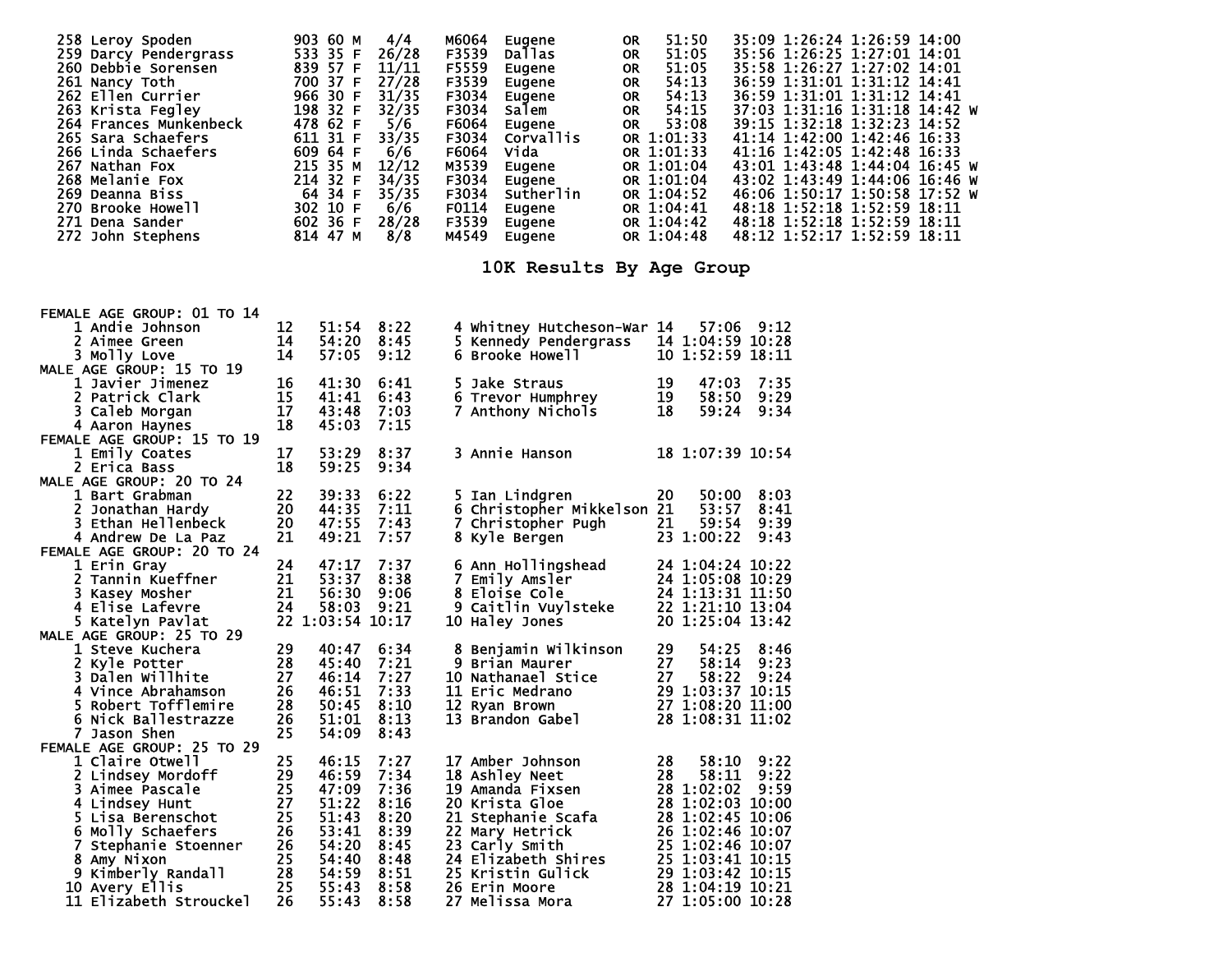| 258 Leroy Spoden<br>259 Darcy Pendergrass<br>260 Debbie Sorensen<br>261 Nancy Toth<br>262 Ellen Currier<br>263 Krista Fegley<br>264 Frances Munkenbeck<br>265 Sara Schaefers<br>266 Linda Schaefers<br>267 Nathan Fox<br>268 Melanie Fox<br>269 Deanna Biss<br>270 Brooke Howell<br>271 Dena Sander<br>272 John Stephens |          | 903 60 M<br>533 35 F<br>839 57 F<br>700 37 F<br>966 30 F<br>198 32 F<br>478 62 F<br>611 31 F<br>609 64 F<br>215 35 M<br>214 32 F<br>64 34 F<br>302 10 F<br>602 36 F<br>814 47 M | 4/4<br>26/28<br>11/11<br>27/28<br>31/35<br>32/35<br>5/6<br>33/35<br>6/6<br>12/12<br>34/35<br>35/35<br>6/6<br>28/28<br>8/8 | M6064<br>F3539<br>F5559<br>F3539<br>F3034<br>F3034<br>F6064<br>F3034<br>F6064<br>M3539<br>F3034<br>F3034<br>M4549 | F0114<br>F3539 | Eugene<br>Dallas<br>Eugene<br>Eugene<br>Eugene<br>Salem<br>Eugene<br>Corvallis<br>Vida<br>Eugene<br>Eugene<br>Sutherlin<br>Eugene<br>Eugene<br>Eugene<br>10K Results By Age Group | 0R<br>OR.<br>OR.<br>OR.<br>OR<br>OR.<br>OR. | OR 1:01:33<br>OR 1:01:33<br>OR 1:04:52<br>OR 1:04:42<br>OR 1:04:48 | 51:50<br>51:05<br>51:05<br>54:13<br>54:13<br>54:15<br>53:08<br>OR 1:01:04<br>OR 1:01:04<br>OR 1:04:41 |       |              | 35:09 1:26:24 1:26:59 14:00<br>35:56 1:26:25 1:27:01 14:01<br>35:58 1:26:27 1:27:02 14:01<br>36:59 1:31:01 1:31:12 14:41<br>36:59 1:31:01 1:31:12 14:41<br>37:03 1:31:16 1:31:18 14:42 W<br>39:15 1:32:18 1:32:23 14:52<br>41:14 1:42:00 1:42:46 16:33<br>41:16 1:42:05 1:42:48 16:33<br>43:01 1:43:48 1:44:04 16:45 W<br>43:02 1:43:49 1:44:06 16:46 W<br>46:06 1:50:17 1:50:58 17:52 W<br>48:18 1:52:18 1:52:59 18:11<br>48:18 1:52:18 1:52:59 18:11<br>48:12 1:52:17 1:52:59 18:11 |  |  |
|--------------------------------------------------------------------------------------------------------------------------------------------------------------------------------------------------------------------------------------------------------------------------------------------------------------------------|----------|---------------------------------------------------------------------------------------------------------------------------------------------------------------------------------|---------------------------------------------------------------------------------------------------------------------------|-------------------------------------------------------------------------------------------------------------------|----------------|-----------------------------------------------------------------------------------------------------------------------------------------------------------------------------------|---------------------------------------------|--------------------------------------------------------------------|-------------------------------------------------------------------------------------------------------|-------|--------------|---------------------------------------------------------------------------------------------------------------------------------------------------------------------------------------------------------------------------------------------------------------------------------------------------------------------------------------------------------------------------------------------------------------------------------------------------------------------------------------|--|--|
|                                                                                                                                                                                                                                                                                                                          |          |                                                                                                                                                                                 |                                                                                                                           |                                                                                                                   |                |                                                                                                                                                                                   |                                             |                                                                    |                                                                                                       |       |              |                                                                                                                                                                                                                                                                                                                                                                                                                                                                                       |  |  |
| FEMALE AGE GROUP: 01 TO 14<br>1 Andie Johnson                                                                                                                                                                                                                                                                            | 12       |                                                                                                                                                                                 | 51:54 8:22                                                                                                                |                                                                                                                   |                | 4 Whitney Hutcheson-War 14                                                                                                                                                        |                                             |                                                                    |                                                                                                       |       | 57:06 9:12   |                                                                                                                                                                                                                                                                                                                                                                                                                                                                                       |  |  |
| 2 Aimee Green                                                                                                                                                                                                                                                                                                            | 14       | 54:20                                                                                                                                                                           | 8:45                                                                                                                      |                                                                                                                   |                | 5 Kennedy Pendergrass                                                                                                                                                             |                                             |                                                                    | 14 1:04:59 10:28                                                                                      |       |              |                                                                                                                                                                                                                                                                                                                                                                                                                                                                                       |  |  |
| 3 Molly Love                                                                                                                                                                                                                                                                                                             | 14       | 57:05                                                                                                                                                                           | 9:12                                                                                                                      |                                                                                                                   |                | 6 Brooke Howell                                                                                                                                                                   |                                             |                                                                    | 10 1:52:59 18:11                                                                                      |       |              |                                                                                                                                                                                                                                                                                                                                                                                                                                                                                       |  |  |
| MALE AGE GROUP: 15 TO 19                                                                                                                                                                                                                                                                                                 |          |                                                                                                                                                                                 |                                                                                                                           |                                                                                                                   |                |                                                                                                                                                                                   |                                             |                                                                    |                                                                                                       |       |              |                                                                                                                                                                                                                                                                                                                                                                                                                                                                                       |  |  |
| 1 Javier Jimenez                                                                                                                                                                                                                                                                                                         | 16       | 41:30                                                                                                                                                                           | 6:41                                                                                                                      |                                                                                                                   |                | 5 Jake Straus                                                                                                                                                                     |                                             | 19                                                                 |                                                                                                       | 47:03 | 7:35         |                                                                                                                                                                                                                                                                                                                                                                                                                                                                                       |  |  |
| 2 Patrick Clark                                                                                                                                                                                                                                                                                                          | 15       | 41:41                                                                                                                                                                           | 6:43                                                                                                                      |                                                                                                                   |                | 6 Trevor Humphrey                                                                                                                                                                 |                                             | 19                                                                 |                                                                                                       | 58:50 | 9:29         |                                                                                                                                                                                                                                                                                                                                                                                                                                                                                       |  |  |
| 3 Caleb Morgan<br>4 Aaron Haynes                                                                                                                                                                                                                                                                                         | 17<br>18 | 43:48<br>45:03                                                                                                                                                                  | 7:03<br>7:15                                                                                                              |                                                                                                                   |                | 7 Anthony Nichols                                                                                                                                                                 |                                             | 18                                                                 |                                                                                                       | 59:24 | 9:34         |                                                                                                                                                                                                                                                                                                                                                                                                                                                                                       |  |  |
| FEMALE AGE GROUP: 15 TO 19                                                                                                                                                                                                                                                                                               |          |                                                                                                                                                                                 |                                                                                                                           |                                                                                                                   |                |                                                                                                                                                                                   |                                             |                                                                    |                                                                                                       |       |              |                                                                                                                                                                                                                                                                                                                                                                                                                                                                                       |  |  |
| 1 Emily Coates                                                                                                                                                                                                                                                                                                           | 17       | 53:29                                                                                                                                                                           | 8:37                                                                                                                      |                                                                                                                   |                | 3 Annie Hanson                                                                                                                                                                    |                                             |                                                                    | 18 1:07:39 10:54                                                                                      |       |              |                                                                                                                                                                                                                                                                                                                                                                                                                                                                                       |  |  |
| 2 Erica Bass                                                                                                                                                                                                                                                                                                             | 18       | 59:25                                                                                                                                                                           | 9:34                                                                                                                      |                                                                                                                   |                |                                                                                                                                                                                   |                                             |                                                                    |                                                                                                       |       |              |                                                                                                                                                                                                                                                                                                                                                                                                                                                                                       |  |  |
| MALE AGE GROUP: 20 TO 24                                                                                                                                                                                                                                                                                                 |          |                                                                                                                                                                                 |                                                                                                                           |                                                                                                                   |                |                                                                                                                                                                                   |                                             |                                                                    |                                                                                                       |       |              |                                                                                                                                                                                                                                                                                                                                                                                                                                                                                       |  |  |
| 1 Bart Grabman                                                                                                                                                                                                                                                                                                           | 22       | 39:33                                                                                                                                                                           | 6:22                                                                                                                      |                                                                                                                   |                | 5 Ian Lindgren                                                                                                                                                                    |                                             | 20                                                                 |                                                                                                       |       | 50:00 8:03   |                                                                                                                                                                                                                                                                                                                                                                                                                                                                                       |  |  |
| Jonathan Hardy<br>2.                                                                                                                                                                                                                                                                                                     | 20       | 44:35                                                                                                                                                                           | 7:11                                                                                                                      |                                                                                                                   |                | 6 Christopher Mikkelson 21                                                                                                                                                        |                                             |                                                                    |                                                                                                       | 53:57 |              | 8:41                                                                                                                                                                                                                                                                                                                                                                                                                                                                                  |  |  |
| 3 Ethan Hellenbeck<br>4 Andrew De La Paz                                                                                                                                                                                                                                                                                 | 20<br>21 | 47:55<br>49:21                                                                                                                                                                  | 7:43<br>7:57                                                                                                              |                                                                                                                   |                | 7 Christopher Pugh                                                                                                                                                                |                                             | 21                                                                 | 23 1:00:22                                                                                            | 59:54 | 9:39<br>9:43 |                                                                                                                                                                                                                                                                                                                                                                                                                                                                                       |  |  |
| FEMALE AGE GROUP: 20 TO 24                                                                                                                                                                                                                                                                                               |          |                                                                                                                                                                                 |                                                                                                                           |                                                                                                                   |                | 8 Kyle Bergen                                                                                                                                                                     |                                             |                                                                    |                                                                                                       |       |              |                                                                                                                                                                                                                                                                                                                                                                                                                                                                                       |  |  |
| 1 Erin Gray                                                                                                                                                                                                                                                                                                              | 24       | 47:17                                                                                                                                                                           | 7:37                                                                                                                      |                                                                                                                   |                | 6 Ann Hollingshead                                                                                                                                                                |                                             |                                                                    | 24 1:04:24 10:22                                                                                      |       |              |                                                                                                                                                                                                                                                                                                                                                                                                                                                                                       |  |  |
| 2 Tannin Kueffner                                                                                                                                                                                                                                                                                                        | 21       | 53:37                                                                                                                                                                           | 8:38                                                                                                                      |                                                                                                                   |                | 7 Emily Amsler                                                                                                                                                                    |                                             |                                                                    | 24 1:05:08 10:29                                                                                      |       |              |                                                                                                                                                                                                                                                                                                                                                                                                                                                                                       |  |  |
| 3 Kasey Mosher                                                                                                                                                                                                                                                                                                           | 21       | 56:30                                                                                                                                                                           | 9:06                                                                                                                      |                                                                                                                   |                | 8 Eloise Cole                                                                                                                                                                     |                                             |                                                                    | 24 1:13:31 11:50                                                                                      |       |              |                                                                                                                                                                                                                                                                                                                                                                                                                                                                                       |  |  |
| 4 Elise Lafevre                                                                                                                                                                                                                                                                                                          | 24       | 58:03                                                                                                                                                                           | 9:21                                                                                                                      |                                                                                                                   |                | 9 Caitlin Vuylsteke                                                                                                                                                               |                                             |                                                                    | 22 1:21:10 13:04                                                                                      |       |              |                                                                                                                                                                                                                                                                                                                                                                                                                                                                                       |  |  |
| 5 Katelyn Pavlat                                                                                                                                                                                                                                                                                                         |          | 22 1:03:54 10:17                                                                                                                                                                |                                                                                                                           |                                                                                                                   |                | 10 Haley Jones                                                                                                                                                                    |                                             |                                                                    | 20 1:25:04 13:42                                                                                      |       |              |                                                                                                                                                                                                                                                                                                                                                                                                                                                                                       |  |  |
| MALE AGE GROUP: 25 TO 29<br>1 Steve Kuchera                                                                                                                                                                                                                                                                              | 29       | 40:47                                                                                                                                                                           | 6:34                                                                                                                      |                                                                                                                   |                | 8 Benjamin Wilkinson                                                                                                                                                              |                                             | 29                                                                 |                                                                                                       |       | 54:25 8:46   |                                                                                                                                                                                                                                                                                                                                                                                                                                                                                       |  |  |
| 2 Kyle Potter                                                                                                                                                                                                                                                                                                            | 28       | 45:40                                                                                                                                                                           | 7:21                                                                                                                      |                                                                                                                   |                | 9 Brian Maurer                                                                                                                                                                    |                                             | 27                                                                 |                                                                                                       |       | 58:14 9:23   |                                                                                                                                                                                                                                                                                                                                                                                                                                                                                       |  |  |
| 3 Dalen Willhite                                                                                                                                                                                                                                                                                                         | 27       | 46:14                                                                                                                                                                           | 7:27                                                                                                                      |                                                                                                                   |                | 10 Nathanael Stice                                                                                                                                                                |                                             | 27                                                                 |                                                                                                       | 58:22 | 9:24         |                                                                                                                                                                                                                                                                                                                                                                                                                                                                                       |  |  |
| 4 Vince Abrahamson                                                                                                                                                                                                                                                                                                       | 26       | 46:51                                                                                                                                                                           | 7:33                                                                                                                      |                                                                                                                   |                | 11 Eric Medrano                                                                                                                                                                   |                                             |                                                                    | 29 1:03:37 10:15                                                                                      |       |              |                                                                                                                                                                                                                                                                                                                                                                                                                                                                                       |  |  |
| 5 Robert Tofflemire                                                                                                                                                                                                                                                                                                      | 28       | 50:45                                                                                                                                                                           | 8:10                                                                                                                      |                                                                                                                   |                | 12 Ryan Brown                                                                                                                                                                     |                                             |                                                                    | 27 1:08:20 11:00                                                                                      |       |              |                                                                                                                                                                                                                                                                                                                                                                                                                                                                                       |  |  |
| 6 Nick Ballestrazze                                                                                                                                                                                                                                                                                                      | 26       | 51:01                                                                                                                                                                           | 8:13                                                                                                                      |                                                                                                                   |                | 13 Brandon Gabel                                                                                                                                                                  |                                             |                                                                    | 28 1:08:31 11:02                                                                                      |       |              |                                                                                                                                                                                                                                                                                                                                                                                                                                                                                       |  |  |
| 7 Jason Shen                                                                                                                                                                                                                                                                                                             | 25       | 54:09                                                                                                                                                                           | 8:43                                                                                                                      |                                                                                                                   |                |                                                                                                                                                                                   |                                             |                                                                    |                                                                                                       |       |              |                                                                                                                                                                                                                                                                                                                                                                                                                                                                                       |  |  |
| FEMALE AGE GROUP: 25 TO 29                                                                                                                                                                                                                                                                                               | 25       | 46:15                                                                                                                                                                           | 7:27                                                                                                                      |                                                                                                                   |                | 17 Amber Johnson                                                                                                                                                                  |                                             | 28                                                                 |                                                                                                       |       | 58:10 9:22   |                                                                                                                                                                                                                                                                                                                                                                                                                                                                                       |  |  |
| 1 Claire Otwell<br>2 Lindsey Mordoff                                                                                                                                                                                                                                                                                     | 29       | 46:59                                                                                                                                                                           | 7:34                                                                                                                      |                                                                                                                   |                | 18 Ashley Neet                                                                                                                                                                    |                                             | 28                                                                 |                                                                                                       |       | 58:11 9:22   |                                                                                                                                                                                                                                                                                                                                                                                                                                                                                       |  |  |
| 3 Aimee Pascale                                                                                                                                                                                                                                                                                                          | 25       | 47:09                                                                                                                                                                           | 7:36                                                                                                                      |                                                                                                                   |                | 19 Amanda Fixsen                                                                                                                                                                  |                                             |                                                                    | 28 1:02:02 9:59                                                                                       |       |              |                                                                                                                                                                                                                                                                                                                                                                                                                                                                                       |  |  |
| 4 Lindsey Hunt                                                                                                                                                                                                                                                                                                           | 27       | 51:22                                                                                                                                                                           | 8:16                                                                                                                      |                                                                                                                   |                | 20 Krista Gloe                                                                                                                                                                    |                                             |                                                                    | 28 1:02:03 10:00                                                                                      |       |              |                                                                                                                                                                                                                                                                                                                                                                                                                                                                                       |  |  |
| 5 Lisa Berenschot                                                                                                                                                                                                                                                                                                        | 25       | 51:43                                                                                                                                                                           | 8:20                                                                                                                      |                                                                                                                   |                | 21 Stephanie Scafa                                                                                                                                                                |                                             |                                                                    | 28 1:02:45 10:06                                                                                      |       |              |                                                                                                                                                                                                                                                                                                                                                                                                                                                                                       |  |  |
| 6 Molly Schaefers                                                                                                                                                                                                                                                                                                        | 26       | 53:41                                                                                                                                                                           | 8:39                                                                                                                      |                                                                                                                   |                | 22 Mary Hetrick                                                                                                                                                                   |                                             |                                                                    | 26 1:02:46 10:07                                                                                      |       |              |                                                                                                                                                                                                                                                                                                                                                                                                                                                                                       |  |  |
| 7 Stephanie Stoenner                                                                                                                                                                                                                                                                                                     | 26       | 54:20                                                                                                                                                                           | 8:45                                                                                                                      |                                                                                                                   |                | 23 Carly Smith                                                                                                                                                                    |                                             |                                                                    | 25 1:02:46 10:07                                                                                      |       |              |                                                                                                                                                                                                                                                                                                                                                                                                                                                                                       |  |  |
| 8 Amy Nixon<br>9 Kimberly Randall                                                                                                                                                                                                                                                                                        | 25<br>28 | 54:40                                                                                                                                                                           | 8:48                                                                                                                      |                                                                                                                   |                | 24 Elizabeth Shires                                                                                                                                                               |                                             |                                                                    | 25 1:03:41 10:15                                                                                      |       |              |                                                                                                                                                                                                                                                                                                                                                                                                                                                                                       |  |  |
| 10 Avery Ellis                                                                                                                                                                                                                                                                                                           | 25       | 54:59                                                                                                                                                                           | 8:51<br>55:43 8:58                                                                                                        |                                                                                                                   |                | 25 Kristin Gulick<br>26 Erin Moore                                                                                                                                                |                                             |                                                                    | 29 1:03:42 10:15<br>28 1:04:19 10:21                                                                  |       |              |                                                                                                                                                                                                                                                                                                                                                                                                                                                                                       |  |  |
| 11 Elizabeth Strouckel                                                                                                                                                                                                                                                                                                   | 26       |                                                                                                                                                                                 | $55:43$ $8:58$                                                                                                            |                                                                                                                   |                | 27 Melissa Mora                                                                                                                                                                   |                                             |                                                                    | 27 1:05:00 10:28                                                                                      |       |              |                                                                                                                                                                                                                                                                                                                                                                                                                                                                                       |  |  |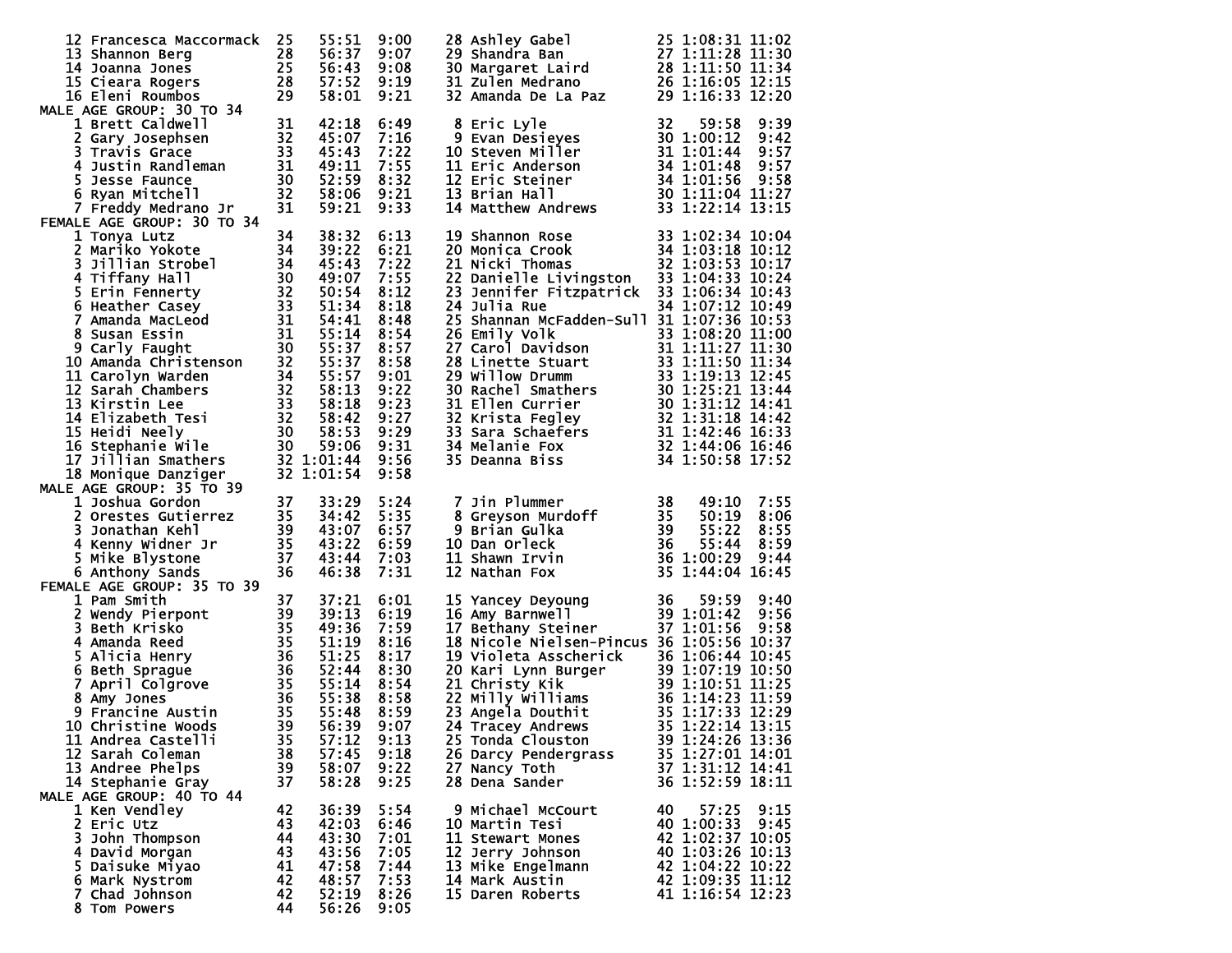| 12 Francesca Maccormack<br>13 Shannon Berg<br>14 Joanna Jones 25<br>15 Cieara Rogers 28<br>16 Eleni Roumbos 29<br>MALE AGE GROUP: 30 TO 34<br>1 Reatt Caldwall                                                                                                             | 25       | 55:51<br>56:37<br>56:43<br>57:52 | 9:00<br>9:07<br>9:08<br>9:19 | 28 Ashley Gabel 25 1:08:31 11:02<br>29 Shandra Ban 27 1:11:28 11:30<br>30 Margaret Laird 28 1:11:50 11:34<br>31 Zulen Medrano 26 1:16:05 12:15<br>32 Amanda De La Paz 29 1:16:33 12:20                                                                    |                                      |
|----------------------------------------------------------------------------------------------------------------------------------------------------------------------------------------------------------------------------------------------------------------------------|----------|----------------------------------|------------------------------|-----------------------------------------------------------------------------------------------------------------------------------------------------------------------------------------------------------------------------------------------------------|--------------------------------------|
|                                                                                                                                                                                                                                                                            |          | 58:01                            | 9:21                         |                                                                                                                                                                                                                                                           |                                      |
| Sosephsen<br>Sosephsen<br>32<br>33<br>4 Justin Randleman<br>5 Jesse Faunce<br>5 Ryan Mitchell<br>7 Freddy Medrano Jr<br>5 AGE GROUP<br>1001                                                                                                                                |          | 42:18<br>45:07                   | 6:49<br>7:16                 | 8 Eric Lyle<br>8 Eric Lyle 32 59:58 9:39<br>9 Evan Desieyes 30 1:00:12 9:42<br>10 Steven Miller 31 1:01:44 9:57<br>11 Eric Anderson 34 1:01:48 9:57<br>12 Eric Steiner 34 1:01:56 9:58<br>13 Brian Hall 30 1:11:04 11:27<br>14 Matthew Andrews 33 1:22:14 | 32<br>59:58<br>9:39                  |
|                                                                                                                                                                                                                                                                            |          | 45:43<br>49:11                   | 7:22<br>7:55                 |                                                                                                                                                                                                                                                           |                                      |
|                                                                                                                                                                                                                                                                            |          | 52:59                            | 8:32                         |                                                                                                                                                                                                                                                           |                                      |
|                                                                                                                                                                                                                                                                            |          | 58:06                            | 9:21                         |                                                                                                                                                                                                                                                           |                                      |
| FEMALE AGE GROUP: 30 TO 34                                                                                                                                                                                                                                                 |          | 59:21                            | 9:33                         |                                                                                                                                                                                                                                                           |                                      |
| 1 Tonya Lutz<br>MALE AGE GROUP: 30 10 34<br>1 Tonya Lutz<br>2 Mariko Yokote<br>31 11ian Strobel<br>4 Tiffany Hall<br>4 Tiffany Hall<br>5 Erin Fennerty<br>5 Erin Fennerty<br>32 50:54<br>6 Heather Casey<br>33 51:34<br>7 Amanda MacLeod<br>31 55:14<br>8 Susan Essin<br>9 | 34       | 38:32                            | 6:13                         | 19 Shannon Rose<br>20 Monica Crook<br>21 Nicki Thomas<br>22 1:03:53 10:12<br>23 1:03:53 10:12                                                                                                                                                             |                                      |
|                                                                                                                                                                                                                                                                            |          |                                  | 6:21                         |                                                                                                                                                                                                                                                           |                                      |
|                                                                                                                                                                                                                                                                            |          |                                  | 7:22<br>7:55                 | 21 Nicki Thomas<br>22 Danielle Livingston 33 1:04:33 10:17                                                                                                                                                                                                |                                      |
|                                                                                                                                                                                                                                                                            |          |                                  | 8:12                         | 23 Jennifer Fitzpatrick 33 1:06:34 10:43                                                                                                                                                                                                                  |                                      |
|                                                                                                                                                                                                                                                                            |          |                                  | 8:18                         | <b>24 Julia Rue</b>                                                                                                                                                                                                                                       | 34 1:07:12 10:49                     |
|                                                                                                                                                                                                                                                                            |          |                                  | 8:48<br>8:54                 | 25 Shannan McFadden-Sull 31 1:07:36 10:53                                                                                                                                                                                                                 |                                      |
|                                                                                                                                                                                                                                                                            |          |                                  | 8:57                         |                                                                                                                                                                                                                                                           |                                      |
|                                                                                                                                                                                                                                                                            |          | 55:37 8:58                       |                              |                                                                                                                                                                                                                                                           |                                      |
|                                                                                                                                                                                                                                                                            |          |                                  | 9:01<br>9:22                 |                                                                                                                                                                                                                                                           |                                      |
|                                                                                                                                                                                                                                                                            |          |                                  | 9:23                         |                                                                                                                                                                                                                                                           |                                      |
|                                                                                                                                                                                                                                                                            |          |                                  | 9:27                         |                                                                                                                                                                                                                                                           |                                      |
|                                                                                                                                                                                                                                                                            |          |                                  | 9:29                         |                                                                                                                                                                                                                                                           |                                      |
|                                                                                                                                                                                                                                                                            |          |                                  | 9:31<br>9:56                 |                                                                                                                                                                                                                                                           |                                      |
| 18 Monique Danziger                                                                                                                                                                                                                                                        |          | 32 1:01:54                       | 9:58                         | 26 Emily Volk<br>27 Carol Davidson<br>27 Carol Davidson<br>28 Linette Stuart<br>28 Linette Stuart<br>31 1:11:27 11:30<br>28 Linette Stuart<br>31 1:11:27 11:30<br>29 Willow Drumm<br>33 1:19:13 12:45<br>29 Willow Drumm<br>33 1:19:13 12:44<br>30 1:2    |                                      |
| MALE AGE GROUP: 35 TO 39                                                                                                                                                                                                                                                   |          |                                  |                              |                                                                                                                                                                                                                                                           |                                      |
| 1 Joshua Gordon<br>1 Joshua Goraon<br>2 Orestes Gutierrez 35<br>3 Jonathan Kehl 39<br>4 Kenny Widner Jr 35<br>5 Mike Blystone 37                                                                                                                                           | 37       | 33:29<br>34:42                   | 5:24<br>5:35                 |                                                                                                                                                                                                                                                           | 7:55<br>8:06                         |
|                                                                                                                                                                                                                                                                            |          | 43:07 6:57                       |                              |                                                                                                                                                                                                                                                           | 8:55                                 |
|                                                                                                                                                                                                                                                                            |          | 43:22                            | 6:59                         |                                                                                                                                                                                                                                                           | 8:59                                 |
| 6 Anthony Sands                                                                                                                                                                                                                                                            | 36       | 43:44<br>46:38                   | 7:03<br>7:31                 | 7 Jin Plummer<br>8 Greyson Murdoff<br>9 Brian Gulka<br>10 Dan Orleck<br>11 Shawn Irvin<br>12 Nathan Fox<br>12 Nathan Fox<br>13 36 1:00:29<br>12 Nathan Fox<br>13 1:44:04                                                                                  | 9:44<br>35 1:44:04 16:45             |
| FEMALE AGE GROUP: 35 TO 39                                                                                                                                                                                                                                                 |          |                                  |                              |                                                                                                                                                                                                                                                           |                                      |
| 37 37:.<br>37 37:.<br>39 39:1<br>4 Amanda Reed<br>4 Amanda Reed<br>5 Alicia Henry<br>5 35 51:11<br>5 Alicia Henry<br>36 51:25<br>6 Beth Sprague<br>7 April Colgrove<br>8 Amy Jones<br>9 Francine Austin<br>8 Francine Austin<br>8 S5:38<br>9 Francine Moods<br>            |          |                                  | 6:01                         | 15 Yancey Deyoung 36 59:59<br>16 Amy Barnwell 39 1:01:42<br>17 Bethany Steiner 37 1:01:56                                                                                                                                                                 | 9:40                                 |
|                                                                                                                                                                                                                                                                            |          |                                  | 6:19<br>7:59                 |                                                                                                                                                                                                                                                           | 9:56<br>9:58                         |
|                                                                                                                                                                                                                                                                            |          |                                  | 8:16                         | 18 Nicole Nielsen-Pincus 36 1:05:56 10:37                                                                                                                                                                                                                 |                                      |
|                                                                                                                                                                                                                                                                            |          |                                  | 8:17                         |                                                                                                                                                                                                                                                           |                                      |
|                                                                                                                                                                                                                                                                            |          |                                  | 8:30<br>8:54                 | 19 Violeta Asscherick 36 1:06:44 10:45<br>20 Kari Lynn Burger 39 1:07:19 10:50<br>21 Christy Kik 39 1:10:51 11:25<br>22 Milly Williams 36 1:14:23 11:59<br>23 Angela Douthit 35 1:17:33 12:29<br>24 Tracey Andrews 35 1:22:14 13:15                       |                                      |
|                                                                                                                                                                                                                                                                            |          |                                  | 8:58                         |                                                                                                                                                                                                                                                           |                                      |
|                                                                                                                                                                                                                                                                            |          |                                  | 8:59                         |                                                                                                                                                                                                                                                           |                                      |
|                                                                                                                                                                                                                                                                            |          | 56:39                            | 9:07                         | 24 Tracey Andrews 35 1:22:14 13:15                                                                                                                                                                                                                        |                                      |
|                                                                                                                                                                                                                                                                            |          |                                  | 9:13<br>9:18                 | 25 Tonda Clouston<br>26 Darcy Pendergrass                                                                                                                                                                                                                 | 39 1:24:26 13:36<br>35 1:27:01 14:01 |
| 13 Andree Phelps                                                                                                                                                                                                                                                           | 39       | 58:07                            | 9:22                         | 27 Nancy Toth                                                                                                                                                                                                                                             | 37 1:31:12 14:41                     |
| 14 Stephanie Gray                                                                                                                                                                                                                                                          | 37       | 58:28                            | 9:25                         | 28 Dena Sander                                                                                                                                                                                                                                            | 36 1:52:59 18:11                     |
| MALE AGE GROUP: 40 TO 44<br>1 Ken Vendley                                                                                                                                                                                                                                  | 42       | 36:39                            | 5:54                         | 9 Michael McCourt                                                                                                                                                                                                                                         | 40<br>57:25<br>9:15                  |
| 2 Eric Utz                                                                                                                                                                                                                                                                 | 43       | 42:03                            | 6:46                         | 10 Martin Tesi                                                                                                                                                                                                                                            | 40 1:00:33<br>9:45                   |
| 3 John Thompson                                                                                                                                                                                                                                                            | 44       | 43:30                            | 7:01                         | 11 Stewart Mones                                                                                                                                                                                                                                          | 42 1:02:37 10:05                     |
| 4 David Morgan<br>5 Daisuke Miyao                                                                                                                                                                                                                                          | 43<br>41 | 43:56<br>47:58                   | 7:05<br>7:44                 | 12 Jerry Johnson<br>13 Mike Engelmann                                                                                                                                                                                                                     | 40 1:03:26 10:13<br>42 1:04:22 10:22 |
| 6 Mark Nystrom                                                                                                                                                                                                                                                             | 42       | 48:57                            | 7:53                         | 14 Mark Austin                                                                                                                                                                                                                                            | 42 1:09:35 11:12                     |
| 7 Chad Johnson                                                                                                                                                                                                                                                             | 42       | 52:19                            | 8:26                         | 15 Daren Roberts                                                                                                                                                                                                                                          | 41 1:16:54 12:23                     |
| 8 Tom Powers                                                                                                                                                                                                                                                               | 44       | 56:26                            | 9:05                         |                                                                                                                                                                                                                                                           |                                      |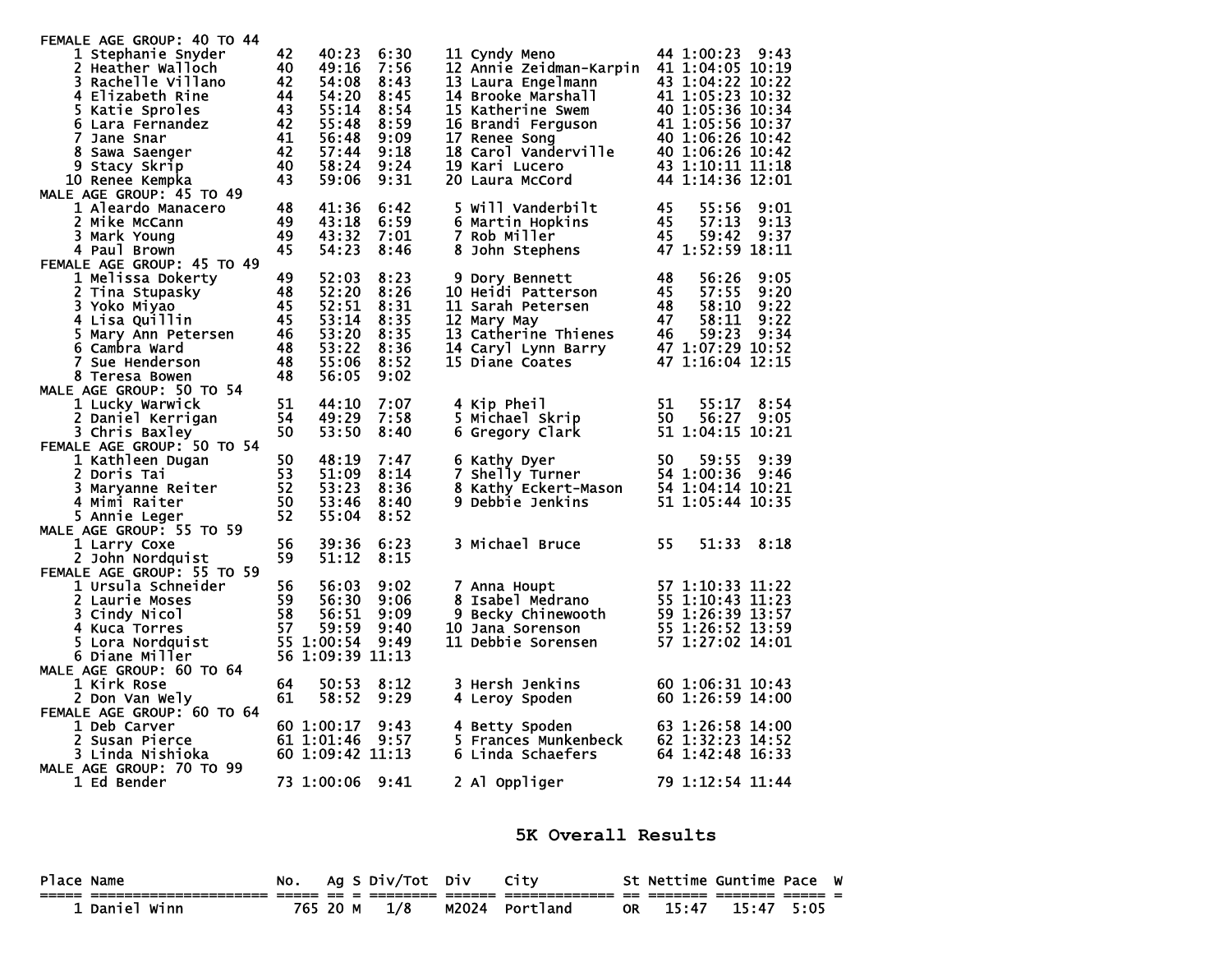| FEMALE AGE GROUP: 40 TO 44                                             |                 |                  |      |                                                                                                                                                                                                                                            |                                   |
|------------------------------------------------------------------------|-----------------|------------------|------|--------------------------------------------------------------------------------------------------------------------------------------------------------------------------------------------------------------------------------------------|-----------------------------------|
| 1 Stephanie Snyder                                                     | 42              | 40:23            | 6:30 | 11 Cyndy Meno                                                                                                                                                                                                                              | 44 1:00:23 9:43                   |
| 2 Heather Walloch                                                      | 40              | 49:16            | 7:56 | 12 Annie Zeidman-Karpin                                                                                                                                                                                                                    | 41 1:04:05 10:19                  |
| 3 Rachelle Villano                                                     |                 | 54:08            | 8:43 | 13 Laura Engelmann                                                                                                                                                                                                                         | 43 1:04:22 10:22                  |
| 4 Elizabeth Rine                                                       |                 | 54:20            | 8:45 |                                                                                                                                                                                                                                            |                                   |
| $\begin{array}{r} 42 \\ 44 \\ 43 \\ 43 \end{array}$<br>5 Katie Sproles |                 | 55:14            | 8:54 | 1: 04:22 10:22<br>15 Katherine Swem 40 1:05:23 10:32<br>16 Brandi Ferguson 40 1:05:36 10:34<br>16 Brandi Ferguson 41 1:05:56 10:37<br>17 Renee Song 40 1:06:26 10:42<br>18 Carol Vanderville 40 1:06:26 10:42<br>19 Kari Lucero 43 1:10:11 |                                   |
| 6 Lara Fernandez                                                       | $\frac{42}{41}$ | 55:48            | 8:59 |                                                                                                                                                                                                                                            |                                   |
| 7 Jane Snar                                                            |                 | 56:48            | 9:09 |                                                                                                                                                                                                                                            |                                   |
| 8 Sawa Saenger                                                         | 42              | 57:44            | 9:18 |                                                                                                                                                                                                                                            |                                   |
| 9 Stacy Skrip                                                          | 40              | 58:24            | 9:24 |                                                                                                                                                                                                                                            |                                   |
| 10 Renee Kempka                                                        | 43              | 59:06            | 9:31 |                                                                                                                                                                                                                                            |                                   |
| MALE AGE GROUP: 45 TO 49                                               |                 |                  |      |                                                                                                                                                                                                                                            |                                   |
| 1 Aleardo Manacero                                                     | 48              | 41:36            | 6:42 | 5 Will Vanderbilt                                                                                                                                                                                                                          | 45<br>55:56<br>9:01               |
| 2 Mike McCann                                                          | 49              | 43:18            | 6:59 | 6 Martin Hopkins                                                                                                                                                                                                                           | 45<br>57:13<br>9:13               |
| 3 Mark Young                                                           | 49              | 43:32            | 7:01 | 7 Rob Miller                                                                                                                                                                                                                               | 45<br>59:42<br>9:37               |
| 4 Paul Brown                                                           | 45              | 54:23            | 8:46 | 8 John Stephens                                                                                                                                                                                                                            | 47 1:52:59 18:11                  |
| FEMALE AGE GROUP: 45 TO 49                                             |                 |                  |      |                                                                                                                                                                                                                                            |                                   |
| 1 Melissa Dokerty                                                      | 49              | 52:03            | 8:23 | 9 Dory Bennett                                                                                                                                                                                                                             | 48<br>56:26<br>9:05               |
| 2 Tina Stupasky                                                        | 48              | 52:20            | 8:26 | 10 Heidi Patterson                                                                                                                                                                                                                         | 45<br>9:20<br>57:55               |
| 3 Yoko Miyao                                                           | -45             | 52:51            | 8:31 | 11 Sarah Petersen                                                                                                                                                                                                                          | -48<br>58:10<br>9:22              |
| 4 Lisa Quillin                                                         | 45              | 53:14            | 8:35 | 12 Mary May                                                                                                                                                                                                                                | 47<br>58:11<br>9:22               |
| 5 Mary Ann Petersen                                                    | 46              | 53:20            | 8:35 | 13 Catherine Thienes 46<br>14 Caryl Lynn Barry 47<br>15 Diane Coates 47                                                                                                                                                                    | 59:23<br>9:34<br>47 1:07:29 10:52 |
| 6 Cambra Ward                                                          | 48              | 53:22            | 8:36 |                                                                                                                                                                                                                                            |                                   |
| <b>7 Sue Henderson</b>                                                 | 48<br>48        | 55:06            | 8:52 | 15 Diane Coates                                                                                                                                                                                                                            | 47 1:16:04 12:15                  |
| 8 Teresa Bowen                                                         |                 | 56:05            | 9:02 |                                                                                                                                                                                                                                            |                                   |
| MALE AGE GROUP: 50 TO 54                                               | 51              | 44:10            | 7:07 | 4 Kip Pheil                                                                                                                                                                                                                                | 51<br>55:17<br>8:54               |
| 1 Lucky Warwick                                                        | 54              | 49:29            | 7:58 | 5 Michael Skrip                                                                                                                                                                                                                            | 50<br>56:27<br>9:05               |
| 2 Daniel Kerrigan                                                      | 50              | 53:50            | 8:40 |                                                                                                                                                                                                                                            | 51 1:04:15 10:21                  |
| 3 Chris Baxley<br>FEMALE AGE GROUP: 50 TO 54                           |                 |                  |      | 6 Gregory Clark                                                                                                                                                                                                                            |                                   |
| 1 Kathleen Dugan                                                       | 50              | 48:19            | 7:47 | 6 Kathy Dyer                                                                                                                                                                                                                               | 50<br>9:39<br>59:55               |
| 2 Doris Tai                                                            | 53              | 51:09            | 8:14 | 7 Shelly Turner                                                                                                                                                                                                                            | 54 1:00:36<br>9:46                |
| 3 Maryanne Reiter                                                      | 52              | 53:23            | 8:36 | 8 Kathy Eckert-Mason 54 1:04:14 10:21                                                                                                                                                                                                      |                                   |
| 4 Mimi Raiter                                                          | 50              | 53:46            | 8:40 | 9 Debbie Jenkins                                                                                                                                                                                                                           | 51 1:05:44 10:35                  |
| 5 Annie Leger                                                          | 52              | 55:04            | 8:52 |                                                                                                                                                                                                                                            |                                   |
| MALE AGE GROUP: 55 TO 59                                               |                 |                  |      |                                                                                                                                                                                                                                            |                                   |
| 1 Larry Coxe                                                           | 56              | 39:36            | 6:23 | 3 Michael Bruce                                                                                                                                                                                                                            | 55<br>51:33<br>8:18               |
| 2 John Nordquist                                                       | 59              | 51:12            | 8:15 |                                                                                                                                                                                                                                            |                                   |
| FEMALE AGE GROUP: 55 TO 59                                             |                 |                  |      |                                                                                                                                                                                                                                            |                                   |
| 1 Ursula Schneider                                                     | 56              | 56:03            | 9:02 | 7 Anna Houpt                                                                                                                                                                                                                               | 57 1:10:33 11:22                  |
| 2 Laurie Moses                                                         | 59              | 56:30            | 9:06 | 8 Isabel Medrano                                                                                                                                                                                                                           | 55 1:10:43 11:23                  |
| 3 Cindy Nicol                                                          | 58              | 56:51            | 9:09 | 9 Becky Chinewooth                                                                                                                                                                                                                         | 59 1:26:39 13:57                  |
| 4 Kuca Torres                                                          | 57              | 59:59            | 9:40 | 10 Jana Sorenson                                                                                                                                                                                                                           | 55 1:26:52 13:59                  |
| 5 Lora Nordquist                                                       |                 | 55 1:00:54       | 9:49 | 11 Debbie Sorensen                                                                                                                                                                                                                         | 57 1:27:02 14:01                  |
| 6 Diane Miller                                                         |                 | 56 1:09:39 11:13 |      |                                                                                                                                                                                                                                            |                                   |
| MALE AGE GROUP: 60 TO 64                                               |                 |                  |      |                                                                                                                                                                                                                                            |                                   |
| 1 Kirk Rose                                                            | 64              | 50:53            | 8:12 | 3 Hersh Jenkins                                                                                                                                                                                                                            | 60 1:06:31 10:43                  |
| 2 Don Van Wely                                                         | 61              | 58:52            | 9:29 | 4 Leroy Spoden                                                                                                                                                                                                                             | 60 1:26:59 14:00                  |
| FEMALE AGE GROUP: 60 TO 64                                             |                 |                  |      |                                                                                                                                                                                                                                            |                                   |
| 1 Deb Carver                                                           |                 | 60 1:00:17       | 9:43 | 4 Betty Spoden                                                                                                                                                                                                                             | 63 1:26:58 14:00                  |
| 2 Susan Pierce                                                         |                 | 61 1:01:46       | 9:57 | 5 Frances Munkenbeck                                                                                                                                                                                                                       | 62 1:32:23 14:52                  |
| 3 Linda Nishioka                                                       |                 | 60 1:09:42 11:13 |      | 6 Linda Schaefers                                                                                                                                                                                                                          | 64 1:42:48 16:33                  |
| MALE AGE GROUP: 70 TO 99                                               |                 |                  |      |                                                                                                                                                                                                                                            |                                   |
| 1 Ed Bender                                                            |                 | 73 1:00:06       | 9:41 | 2 Al Oppliger                                                                                                                                                                                                                              | 79 1:12:54 11:44                  |
|                                                                        |                 |                  |      |                                                                                                                                                                                                                                            |                                   |

**5K Overall Results** 

| Place Name  | NO. |          | Ag S Div/Tot Div |       | City     |    | St Nettime Guntime Pace |       |      | W |
|-------------|-----|----------|------------------|-------|----------|----|-------------------------|-------|------|---|
|             |     |          |                  |       |          |    |                         |       |      |   |
| Daniel Winn |     | 765 20 M | 1/8              | M2024 | Portland | OR | 15:47                   | 15:47 | 5:05 |   |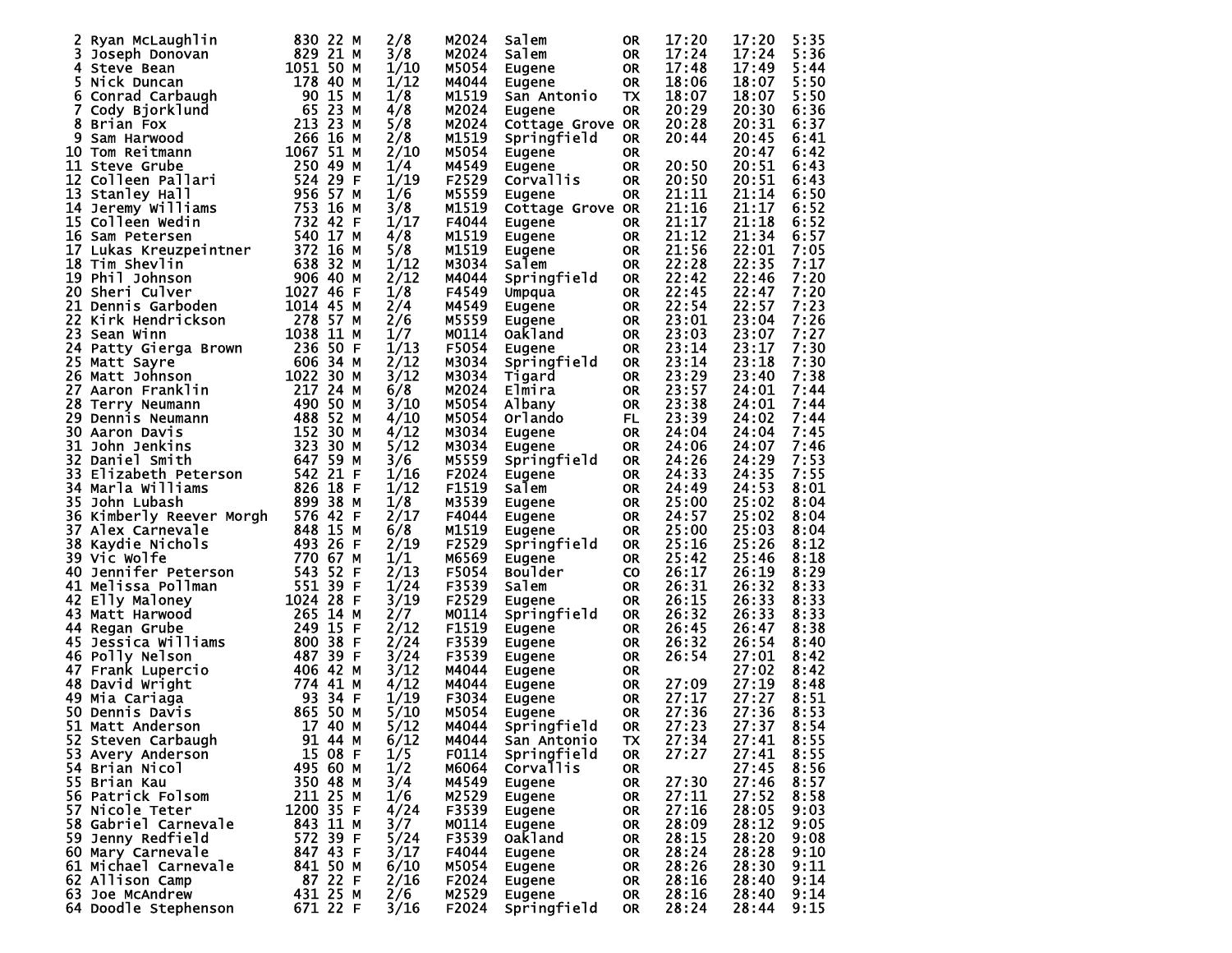| Ryan McLaughlin             | 830 22 M          | 2/8  | M2024 | Salem            | 0R        | 17:20 | 17:20 | 5:35 |
|-----------------------------|-------------------|------|-------|------------------|-----------|-------|-------|------|
| 3<br>Joseph Donovan         | 829 21<br>М       | 3/8  | M2024 | Salem            | <b>OR</b> | 17:24 | 17:24 | 5:36 |
|                             | 1051 50           |      | M5054 |                  |           | 17:48 | 17:49 | 5:44 |
| 4 Steve Bean                | м                 | 1/10 |       | Eugene           | <b>OR</b> |       |       |      |
| 5.<br>Nick Duncan           | 40<br>178<br>м    | 1/12 | M4044 | Eugene           | <b>OR</b> | 18:06 | 18:07 | 5:50 |
| Conrad Carbaugh<br>6        | 90<br>15<br>М     | 1/8  | M1519 | San Antonio      | <b>TX</b> | 18:07 | 18:07 | 5:50 |
|                             |                   |      |       |                  |           |       |       |      |
| 7<br>Cody Bjorklund         | 23<br>65<br>м     | 4/8  | M2024 | Eugene           | <b>OR</b> | 20:29 | 20:30 | 6:36 |
| 8<br>Brian Fox              | 213 23<br>м       | 5/8  | M2024 | Cottage Grove OR |           | 20:28 | 20:31 | 6:37 |
|                             |                   |      |       |                  |           |       |       |      |
| 9<br>Sam Harwood            | 266<br>-16<br>М   | 2/8  | M1519 | Springfield      | 0R        | 20:44 | 20:45 | 6:41 |
| 10 Tom Reitmann             | 51<br>1067<br>М   | 2/10 | M5054 | Eugene           | <b>OR</b> |       | 20:47 | 6:42 |
| <b>11 Steve Grube</b>       | 250 49<br>м       | 1/4  | M4549 |                  | <b>OR</b> | 20:50 | 20:51 | 6:43 |
|                             |                   |      |       | <b>Eugene</b>    |           |       |       |      |
| 12 Colleen Pallari          | 524.<br>29<br>F   | 1/19 | F2529 | Corvallis        | <b>OR</b> | 20:50 | 20:51 | 6:43 |
| 13<br>Stanley Hall          | 956 57<br>М       | 1/6  | M5559 | Eugene           | <b>OR</b> | 21:11 | 21:14 | 6:50 |
|                             |                   |      |       |                  |           |       |       |      |
| 14 Jeremy Williams          | 753 16<br>м       | 3/8  | M1519 | Cottage Grove OR |           | 21:16 | 21:17 | 6:52 |
| 15 Colleen Wedin            | 732 42<br>F       | 1/17 | F4044 | Eugene           | 0R        | 21:17 | 21:18 | 6:52 |
| 16 Sam Petersen             | 540 17<br>М       | 4/8  | M1519 | Eugene           | <b>OR</b> | 21:12 | 21:34 | 6:57 |
|                             |                   |      |       |                  |           |       |       |      |
| 17 Lukas Kreuzpeintner      | 372 16<br>м       | 5/8  | M1519 | Eugene           | <b>OR</b> | 21:56 | 22:01 | 7:05 |
| 18 Tim Shevlin              | 638<br>32<br>м    | 1/12 | M3034 | Salem            | <b>OR</b> | 22:28 | 22:35 | 7:17 |
| 19 Phil Johnson             |                   | 2/12 |       |                  |           |       |       |      |
|                             | 906 40<br>м       |      | M4044 | Springfield      | <b>OR</b> | 22:42 | 22:46 | 7:20 |
| 20 Sheri Culver             | 1027 46<br>F      | 1/8  | F4549 | Umpqua           | <b>OR</b> | 22:45 | 22:47 | 7:20 |
| 21<br>Dennis Garboden       | 1014 45<br>м      | 2/4  | M4549 | Eugene           | <b>OR</b> | 22:54 | 22:57 | 7:23 |
|                             |                   |      |       |                  |           |       |       |      |
| 22<br>Kirk Hendrickson      | 278 57<br>М       | 2/6  | M5559 | Eugene           | <b>OR</b> | 23:01 | 23:04 | 7:26 |
| 23<br>Sean Winn             | 11<br>1038<br>М   | 1/7  | M0114 | Oak1and          | <b>OR</b> | 23:03 | 23:07 | 7:27 |
|                             |                   |      |       |                  |           |       |       |      |
| 24 Patty Gierga Brown       | 236<br>-50<br>F   | 1/13 | F5054 | <b>Eugene</b>    | <b>OR</b> | 23:14 | 23:17 | 7:30 |
| 25 Matt Sayre               | 606 34<br>м       | 2/12 | M3034 | Springfield      | <b>OR</b> | 23:14 | 23:18 | 7:30 |
| 26 Matt Johnson             | 1022<br>-30<br>м  | 3/12 | M3034 | Tigard           | <b>OR</b> | 23:29 | 23:40 | 7:38 |
|                             |                   |      |       |                  |           |       |       |      |
| 27 Aaron Franklin           | 217<br>24<br>м    | 6/8  | M2024 | Elmira           | <b>OR</b> | 23:57 | 24:01 | 7:44 |
| 28<br>Terry Neumann         | 490<br>-50<br>м   | 3/10 | M5054 | Albany           | <b>OR</b> | 23:38 | 24:01 | 7:44 |
|                             |                   |      |       |                  |           |       |       |      |
| 29.<br>Dennis Neumann       | 488 52<br>М       | 4/10 | M5054 | <b>Orlando</b>   | <b>FL</b> | 23:39 | 24:02 | 7:44 |
| 30 Aaron Davis              | 152<br>30<br>м    | 4/12 | M3034 | Eugene           | <b>OR</b> | 24:04 | 24:04 | 7:45 |
| 31<br>John Jenkins          | 323<br>30<br>М    | 5/12 | M3034 | Eugene           | <b>OR</b> | 24:06 | 24:07 | 7:46 |
|                             |                   |      |       |                  |           |       |       |      |
| 32.<br>Daniel Smith         | 647 59<br>М       | 3/6  | M5559 | Springfield      | <b>OR</b> | 24:26 | 24:29 | 7:53 |
| 33<br>Elizabeth Peterson    | 542 21<br>F       | 1/16 | F2024 | Eugene           | <b>OR</b> | 24:33 | 24:35 | 7:55 |
|                             |                   |      |       |                  |           |       |       |      |
| 34 Marla Williams           | 826 18<br>F       | 1/12 | F1519 | Salem            | <b>OR</b> | 24:49 | 24:53 | 8:01 |
| 35<br>John Lubash           | 899 38<br>м       | 1/8  | M3539 | Eugene           | <b>OR</b> | 25:00 | 25:02 | 8:04 |
| Kimberly Reever Morgh<br>36 | 576 42<br>F       | 2/17 | F4044 | Eugene           | <b>OR</b> | 24:57 | 25:02 | 8:04 |
|                             |                   |      |       |                  |           |       |       |      |
| 37.<br>Alex Carnevale       | 848 15<br>М       | 6/8  | M1519 | Eugene           | <b>OR</b> | 25:00 | 25:03 | 8:04 |
| 38 Kaydie Nichols           | 26<br>493<br>F    | 2/19 | F2529 | Springfield      | <b>OR</b> | 25:16 | 25:26 | 8:12 |
|                             |                   |      |       |                  |           |       | 25:46 |      |
| <b>39 Vic wolfe</b>         | 770 67<br>М       | 1/1  | M6569 | Eugene           | <b>OR</b> | 25:42 |       | 8:18 |
| 40 Jennifer Peterson        | 52<br>543<br>F    | 2/13 | F5054 | <b>Boulder</b>   | <b>CO</b> | 26:17 | 26:19 | 8:29 |
| 41 Melissa Pollman          | 551 39<br>F       | 1/24 | F3539 | Salem            | <b>OR</b> | 26:31 | 26:32 | 8:33 |
|                             |                   |      |       |                  |           |       |       |      |
| 42 Elly Maloney             | 1024<br>-28<br>-F | 3/19 | F2529 | Eugene           | <b>OR</b> | 26:15 | 26:33 | 8:33 |
| 43 Matt Harwood             | 265 14<br>М       | 2/7  | M0114 | Springfield      | <b>OR</b> | 26:32 | 26:33 | 8:33 |
| 44 Regan Grube              | 249 15<br>F       | 2/12 | F1519 |                  |           | 26:45 | 26:47 | 8:38 |
|                             |                   |      |       | Eugene           | <b>OR</b> |       |       |      |
| 45 Jessica Williams         | 800 38<br>F       | 2/24 | F3539 | <b>Eugene</b>    | <b>OR</b> | 26:32 | 26:54 | 8:40 |
| 46 Polly Nelson             | 487 39<br>F       | 3/24 | F3539 | Eugene           | <b>OR</b> | 26:54 | 27:01 | 8:42 |
|                             |                   | 3/12 |       |                  |           |       |       |      |
| 47 Frank Lupercio           | 406 42<br>М       |      | M4044 | Eugene           | 0R        |       | 27:02 | 8:42 |
| 48 David Wright             | 41<br>774.<br>м   | 4/12 | M4044 | Eugene           | 0R        | 27:09 | 27:19 | 8:48 |
| 49 Mia Cariaga              | 93<br>-34<br>F    | 1/19 | F3034 | Eugene           | <b>OR</b> | 27:17 | 27:27 | 8:51 |
|                             |                   |      |       |                  |           |       |       |      |
| 50 Dennis Davis             | 865<br>-50<br>М   | 5/10 | M5054 | Eugene           | <b>OR</b> | 27:36 | 27:36 | 8:53 |
| 51 Matt Anderson            | 17 40 M           | 5/12 | M4044 | Springfield      | <b>OR</b> | 27:23 | 27:37 | 8:54 |
| 52 Steven Carbaugh          | 91 44 M           | 6/12 | M4044 | San Antonio      |           | 27:34 | 27:41 | 8:55 |
|                             |                   |      |       |                  | TX        |       |       |      |
| 53 Avery Anderson           | 15 08 F           | 1/5  | F0114 | Springfield      | 0R        | 27:27 | 27:41 | 8:55 |
| 54 Brian Nicol              | 495 60 M          | 1/2  | M6064 | Corvallis        | 0R        |       | 27:45 | 8:56 |
|                             |                   |      |       |                  |           |       |       |      |
| 55 Brian Kau                | 350 48 M          | 3/4  | M4549 | Eugene           | 0R        | 27:30 | 27:46 | 8:57 |
| 56 Patrick Folsom           | 211 25 M          | 1/6  | M2529 | Eugene           | 0R        | 27:11 | 27:52 | 8:58 |
| 57 Nicole Teter             | 1200 35 F         | 4/24 | F3539 | Eugene           |           | 27:16 | 28:05 | 9:03 |
|                             |                   |      |       |                  | 0R        |       |       |      |
| 58 Gabriel Carnevale        | 843 11 M          | 3/7  | M0114 | Eugene           | <b>OR</b> | 28:09 | 28:12 | 9:05 |
| 59 Jenny Redfield           | 572 39 F          | 5/24 | F3539 | Oak1and          | 0R        | 28:15 | 28:20 | 9:08 |
|                             |                   |      |       |                  |           |       |       |      |
| 60 Mary Carnevale           | 847 43 F          | 3/17 | F4044 | Eugene           | <b>OR</b> | 28:24 | 28:28 | 9:10 |
| 61 Michael Carnevale        | 841 50 M          | 6/10 | M5054 | Eugene           | 0R        | 28:26 | 28:30 | 9:11 |
| 62 Allison Camp             | 87 22 F           | 2/16 | F2024 | Eugene           | 0R        | 28:16 | 28:40 | 9:14 |
|                             |                   |      |       |                  |           |       |       |      |
| 63 Joe McAndrew             | 431 25 M          | 2/6  | M2529 | Eugene           | 0R        | 28:16 | 28:40 | 9:14 |
| 64 Doodle Stephenson        | 671 22 F          | 3/16 | F2024 | Springfield      | <b>OR</b> | 28:24 | 28:44 | 9:15 |
|                             |                   |      |       |                  |           |       |       |      |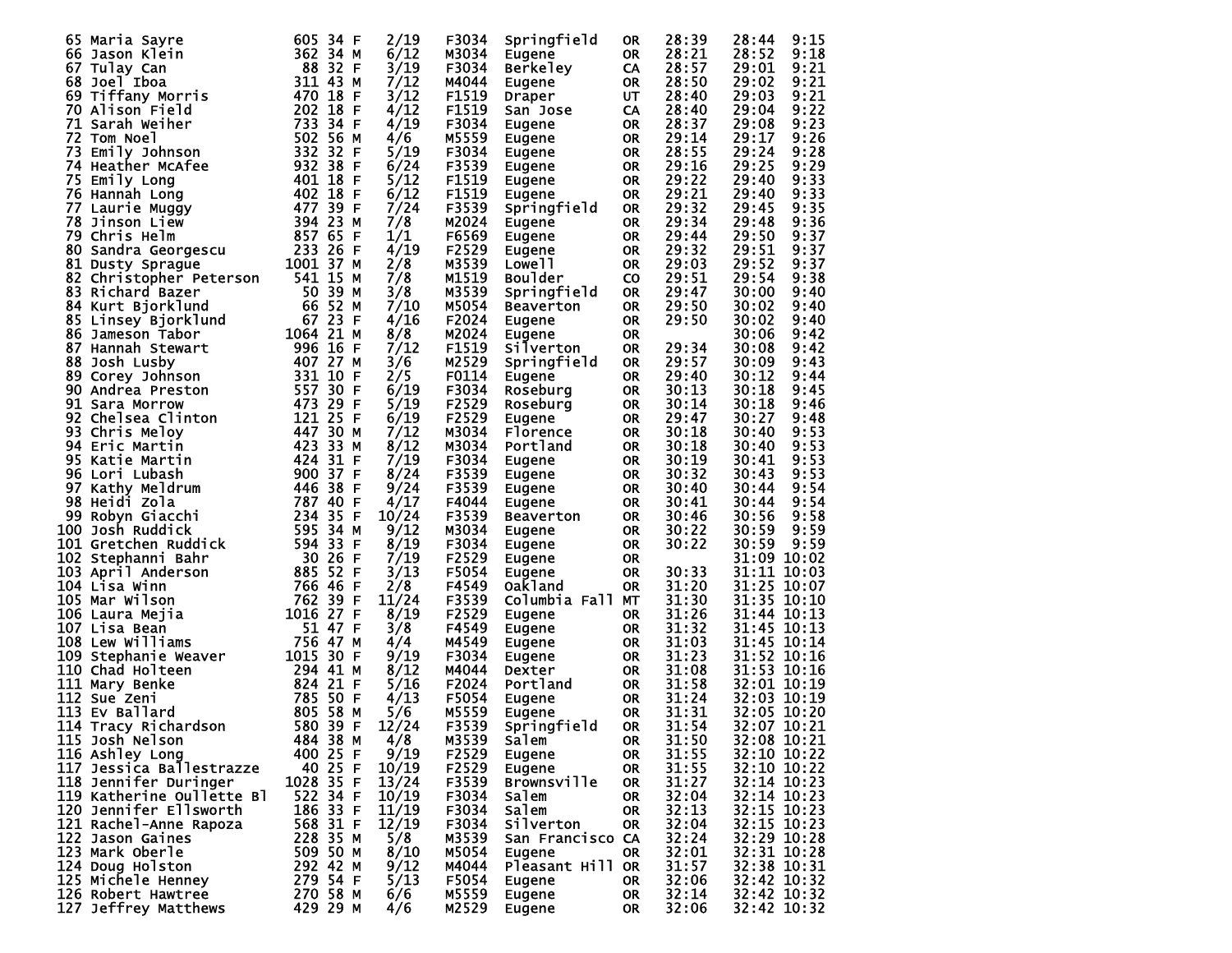| Maria Sayre<br>65                                                                                         | 605 34 F     | 2/19       | F3034 | Springfield        | <b>OR</b> | 28:39 | 9:15<br>28:44 |
|-----------------------------------------------------------------------------------------------------------|--------------|------------|-------|--------------------|-----------|-------|---------------|
| 66 Jason Klein                                                                                            | 362 34 M     | 6/12       | M3034 | Eugene             | <b>OR</b> | 28:21 | 28:52<br>9:18 |
| 67 Tulay Can                                                                                              | 88 32 F      | 3/19       | F3034 | <b>Berkeley</b>    | CA        | 28:57 | 29:01<br>9:21 |
| 68 Joel Iboa                                                                                              | 311 43<br>М  | 7/12       | M4044 | Eugene             | <b>OR</b> | 28:50 | 29:02<br>9:21 |
| 69 Tiffany Morris                                                                                         | 470 18<br>F  | 3/12       | F1519 | Draper             | UT        | 28:40 | 29:03<br>9:21 |
| 70 Alison Field                                                                                           | 202 18<br>F  | 4/12       | F1519 | San Jose           | CA        | 28:40 | 29:04<br>9:22 |
| 71 Sarah Weiher                                                                                           | 733 34 F     | 4/19       | F3034 | Eugene             | <b>OR</b> | 28:37 | 29:08<br>9:23 |
| 72 Tom Noel                                                                                               | 502 56 M     | 4/6        | M5559 | Eugene             | 0R        | 29:14 | 29:17<br>9:26 |
| 73<br>Emily Johnson                                                                                       | 332 32 F     | 5/19       | F3034 | Eugene             | <b>OR</b> | 28:55 | 29:24<br>9:28 |
| 74 Heather McAfee                                                                                         | 932 38<br>F  | 6/24       | F3539 | Eugene             | <b>OR</b> | 29:16 | 29:25<br>9:29 |
| Emily Long<br>75                                                                                          | 401 18<br>F  | 5/12       | F1519 | Eugene             | <b>OR</b> | 29:22 | 9:33<br>29:40 |
| 76 Hannah Long                                                                                            | 402 18<br>F  | 6/12       | F1519 | Eugene             | 0R        | 29:21 | 29:40<br>9:33 |
| 77 Laurie Muggy                                                                                           | 477 39 F     | 7/24       | F3539 | Springfield        | <b>OR</b> | 29:32 | 29:45<br>9:35 |
| 78 Jinson Liew                                                                                            | 394 23<br>М  | 7/8        | M2024 | Eugene             | <b>OR</b> | 29:34 | 29:48<br>9:36 |
| 79 Chris Helm                                                                                             | 857 65<br>F  | 1/1        | F6569 |                    | <b>OR</b> | 29:44 | 29:50<br>9:37 |
| 80 Sandra Georgescu                                                                                       | 233 26 F     | 4/19       | F2529 | Eugene<br>Eugene   | <b>OR</b> | 29:32 | 29:51<br>9:37 |
|                                                                                                           | 1001 37      |            |       |                    |           |       |               |
| 81 Dusty Sprague                                                                                          | М            | 2/8<br>7/8 | M3539 | Lowe <sub>11</sub> | <b>OR</b> | 29:03 | 29:52<br>9:37 |
| 82 Christopher Peterson                                                                                   | 541 15 M     |            | M1519 | <b>Boulder</b>     | <b>CO</b> | 29:51 | 29:54<br>9:38 |
| 83 Richard Bazer                                                                                          | 50 39<br>м   | 3/8        | M3539 | Springfield        | <b>OR</b> | 29:47 | 30:00<br>9:40 |
| 84 Kurt Bjorklund                                                                                         | 66 52<br>м   | 7/10       | M5054 | <b>Beaverton</b>   | <b>OR</b> | 29:50 | 30:02<br>9:40 |
| 85 Linsey Bjorklund                                                                                       | 67 23<br>F   | 4/16       | F2024 | <b>Eugene</b>      | <b>OR</b> | 29:50 | 30:02<br>9:40 |
| 86 Jameson Tabor                                                                                          | 1064 21 M    | 8/8        | M2024 | Eugene             | <b>OR</b> |       | 30:06<br>9:42 |
| 87 Hannah Stewart                                                                                         | 996 16<br>F  | 7/12       | F1519 | Silverton          | <b>OR</b> | 29:34 | 30:08<br>9:42 |
| 88 Josh Lusby                                                                                             | 407 27<br>М  | 3/6        | M2529 | Springfield        | <b>OR</b> | 29:57 | 30:09<br>9:43 |
| 89 Corey Johnson                                                                                          | 331 10<br>F  | 2/5        | F0114 | Eugene             | <b>OR</b> | 29:40 | 30:12<br>9:44 |
| 90 Andrea Preston                                                                                         | 557 30<br>F  | 6/19       | F3034 | Roseburg           | <b>OR</b> | 30:13 | 30:18<br>9:45 |
| 91 Sara Morrow                                                                                            | 473 29<br>F  | 5/19       | F2529 | Roseburg           | <b>OR</b> | 30:14 | 30:18<br>9:46 |
| 92 Chelsea Clinton                                                                                        | 121 25<br>F  | 6/19       | F2529 | Eugene             | <b>OR</b> | 29:47 | 30:27<br>9:48 |
| 93 Chris Meloy                                                                                            | 447 30 M     | 7/12       | M3034 | <b>Florence</b>    | <b>OR</b> | 30:18 | 30:40<br>9:53 |
| 94 Eric Martin                                                                                            | 423 33<br>м  | 8/12       | M3034 | Portland           | <b>OR</b> | 30:18 | 30:40<br>9:53 |
| 95 Katie Martin                                                                                           | 424 31 F     | 7/19       | F3034 | <b>Eugene</b>      | <b>OR</b> | 30:19 | 30:41<br>9:53 |
| 96 Lori Lubash                                                                                            | 900 37 F     | 8/24       | F3539 | Eugene             | 0R        | 30:32 | 30:43<br>9:53 |
| 97 Kathy Meldrum                                                                                          | 446 38<br>F  | 9/24       | F3539 | Eugene             | <b>OR</b> | 30:40 | 30:44<br>9:54 |
| 98 Heidi Zola                                                                                             | 787 40<br>F  | 4/17       | F4044 | Eugene             | 0R        | 30:41 | 30:44<br>9:54 |
| 99 Robyn Giacchi                                                                                          | 234 35 F     | 10/24      | F3539 | Beaverton          | <b>OR</b> | 30:46 | 30:56<br>9:58 |
| 100 Josh Ruddick                                                                                          | 595 34 M     | 9/12       | M3034 | Eugene             | <b>OR</b> | 30:22 | 30:59<br>9:59 |
| 101 Gretchen Ruddick                                                                                      | 594 33<br>F  | 8/19       | F3034 | Eugene             | <b>OR</b> | 30:22 | 9:59<br>30:59 |
| 102 Stephanni Bahr                                                                                        | 30 26<br>F   | 7/19       | F2529 | Eugene             | <b>OR</b> |       | 31:09 10:02   |
| 103 April Anderson                                                                                        | 885 52<br>F  | 3/13       | F5054 | Eugene             | <b>OR</b> | 30:33 | 31:11 10:03   |
| 104 Lisa Winn                                                                                             | 766 46<br>F  | 2/8        | F4549 | Oak1and            | 0R        | 31:20 | 31:25 10:07   |
| 105 Mar Wilson                                                                                            | 762 39<br>F  | 11/24      | F3539 | Columbia Fall MT   |           | 31:30 | 31:35 10:10   |
| 106 Laura Mejia                                                                                           | 1016 27<br>F | 8/19       | F2529 | Eugene             | 0R        | 31:26 | 31:44 10:13   |
| 107 Lisa Bean                                                                                             | 51 47<br>F   | 3/8        | F4549 | Eugene             | <b>OR</b> | 31:32 | 31:45 10:13   |
| 108 Lew Williams                                                                                          | 756 47<br>м  | 4/4        | M4549 | Eugene             | 0R        | 31:03 | 31:45 10:14   |
| 109 Stephanie Weaver                                                                                      | 1015 30 F    | 9/19       | F3034 | Eugene             | <b>OR</b> | 31:23 | 31:52 10:16   |
| 110 Chad Holteen                                                                                          | 294 41 M     | 8/12       | M4044 | Dexter             | <b>OR</b> | 31:08 | 31:53 10:16   |
| ver<br>$\begin{array}{r} 624 \\ 824 \\ 785 \\ 50 \\ 805 \\ 580 \\ 39 \\ 37 \end{array}$<br>111 Mary Benke | F            | 5/16       | F2024 | Portland           | <b>OR</b> | 31:58 | 32:01 10:19   |
| 112 Sue Zeni                                                                                              | F            | 4/13       | F5054 | Eugene             | <b>OR</b> | 31:24 | 32:03 10:19   |
| 113 Ev Ballard                                                                                            | М            | 5/6        | M5559 | Eugene             | <b>OR</b> | 31:31 | 32:05 10:20   |
| 114 Tracy Richardson                                                                                      | F            | 12/24      | F3539 | Springfield        | <b>OR</b> | 31:54 | 32:07 10:21   |
| 115 Josh Nelson                                                                                           | 484 38 M     | 4/8        | M3539 | <b>Salem</b>       | <b>OR</b> | 31:50 | 32:08 10:21   |
| 116 Ashley Long                                                                                           | 400 25 F     | 9/19       | F2529 | Eugene             | 0R        | 31:55 | 32:10 10:22   |
| 117 Jessica Ballestrazze                                                                                  | 40 25 F      | 10/19      | F2529 | Eugene             | OR        | 31:55 | 32:10 10:22   |
| 118 Jennifer Duringer                                                                                     | 1028 35 F    | 13/24      | F3539 | <b>Brownsville</b> | 0R        | 31:27 | 32:14 10:23   |
| 119 Katherine Oullette Bl                                                                                 | 522 34 F     | 10/19      | F3034 | Salem              |           | 32:04 | 32:14 10:23   |
| 120 Jennifer Ellsworth                                                                                    | 186 33 F     | 11/19      | F3034 | Salem              | 0R        | 32:13 | 32:15 10:23   |
|                                                                                                           |              |            |       |                    | 0R        |       | 32:15 10:23   |
| 121 Rachel-Anne Rapoza<br>122 Jason Gaines                                                                | 568 31 F     | 12/19      | F3034 | Silverton          | 0R        | 32:04 |               |
|                                                                                                           | 228 35 M     | 5/8        | M3539 | San Francisco CA   |           | 32:24 | 32:29 10:28   |
| 123 Mark Oberle                                                                                           | 509 50 M     | 8/10       | M5054 | Eugene             | OR        | 32:01 | 32:31 10:28   |
| 124 Doug Holston                                                                                          | 292 42 M     | 9/12       | M4044 | Pleasant Hill OR   |           | 31:57 | 32:38 10:31   |
| 125 Michele Henney                                                                                        | 279 54 F     | 5/13       | F5054 | Eugene             | OR.       | 32:06 | 32:42 10:32   |
| 126 Robert Hawtree                                                                                        | 270 58 M     | 6/6        | M5559 | Eugene             | OR.       | 32:14 | 32:42 10:32   |
| 127 Jeffrey Matthews                                                                                      | 429 29 M     | 4/6        | M2529 | Eugene             | OR.       | 32:06 | 32:42 10:32   |
|                                                                                                           |              |            |       |                    |           |       |               |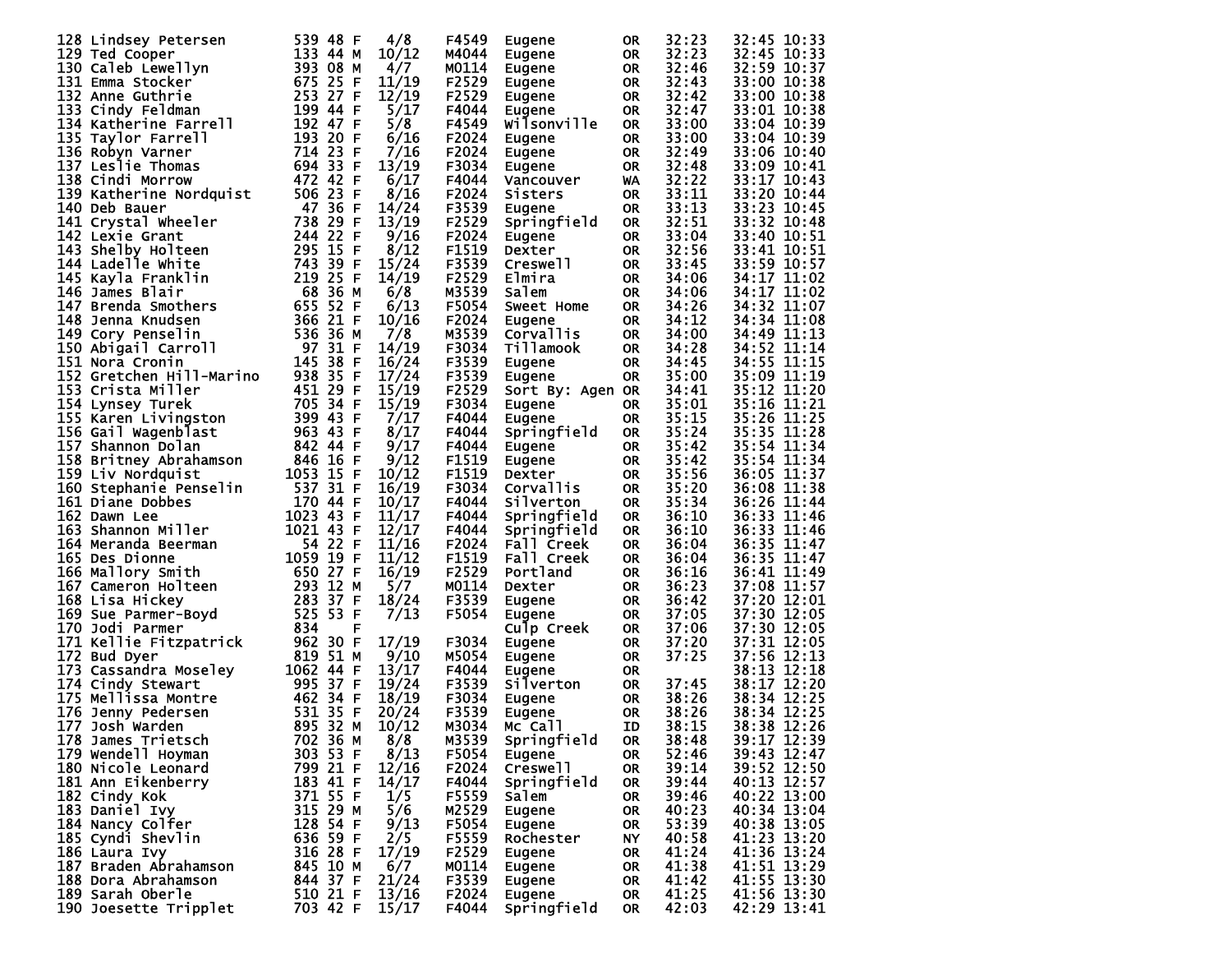| 128 Lindsey Petersen     | 539 48 F         | 4/8   | F4549 | Eugene               | 0R        | 32:23          | 32:45 10:33 |
|--------------------------|------------------|-------|-------|----------------------|-----------|----------------|-------------|
| 129 Ted Cooper           | 133 44 M         | 10/12 | M4044 | Eugene               | <b>OR</b> | 32:23          | 32:45 10:33 |
| 130 Caleb Lewellyn       | 393 08 M         | 4/7   | M0114 | Eugene               | <b>OR</b> | 32:46          | 32:59 10:37 |
| 131 Emma Stocker         | 675 25<br>-F     | 11/19 | F2529 |                      | <b>OR</b> | 32:43          | 33:00 10:38 |
|                          | 253 27 F         | 12/19 |       | Eugene               |           |                |             |
| 132 Anne Guthrie         |                  |       | F2529 | Eugene               | <b>OR</b> | 32:42          | 33:00 10:38 |
| 133 Cindy Feldman        | 199 44 F         | 5/17  | F4044 | Eugene               | <b>OR</b> | 32:47          | 33:01 10:38 |
| 134 Katherine Farrell    | 192 47 F         | 5/8   | F4549 | Wilsonville          | <b>OR</b> | 33:00          | 33:04 10:39 |
| 135 Taylor Farrell       | 193 20 F         | 6/16  | F2024 | Eugene               | <b>OR</b> | 33:00          | 33:04 10:39 |
| 136 Robyn Varner         | 714 23 F         | 7/16  | F2024 | Eugene               | <b>OR</b> | 32:49          | 33:06 10:40 |
| 137 Leslie Thomas        | 694 33 F         | 13/19 | F3034 | Eugene               | <b>OR</b> | 32:48          | 33:09 10:41 |
| 138 Cindi Morrow         | 472 42 F         | 6/17  | F4044 | Vancouver            | WA        | 32:22          | 33:17 10:43 |
| 139 Katherine Nordquist  | 506 23 F         | 8/16  | F2024 | Sisters              | <b>OR</b> | 33:11          | 33:20 10:44 |
| 140 Deb Bauer            | 47 36 F          | 14/24 | F3539 | Eugene               | <b>OR</b> | 33:13          | 33:23 10:45 |
| 141 Crystal Wheeler      | 738<br>29 F      | 13/19 | F2529 | Springfield          | <b>OR</b> | 32:51          | 33:32 10:48 |
| 142 Lexie Grant          | 22<br>244<br>-F  | 9/16  | F2024 | Eugene               | <b>OR</b> | 33:04          | 33:40 10:51 |
| 143 Shelby Holteen       | 295 15<br>-F     | 8/12  | F1519 | Dexter               | <b>OR</b> | 32:56          | 33:41 10:51 |
| 144 Ladelle White        | 743 39<br>F      | 15/24 | F3539 | Creswell             | <b>OR</b> | 33:45          | 33:59 10:57 |
|                          | 219 25<br>F      |       | F2529 |                      |           | 34:06          | 34:17 11:02 |
| 145 Kayla Franklin       |                  | 14/19 |       | Elmira               | <b>OR</b> |                |             |
| 146 James Blair          | 68<br>36 M       | 6/8   | M3539 | Salem                | <b>OR</b> | 34:06          | 34:17 11:02 |
| 147 Brenda Smothers      | 655<br>52 F      | 6/13  | F5054 | <b>Sweet Home</b>    | <b>OR</b> | 34:26          | 34:32 11:07 |
| 148 Jenna Knudsen        | 366<br>21 F      | 10/16 | F2024 | Eugene               | <b>OR</b> | 34:12          | 34:34 11:08 |
| 149 Cory Penselin        | 536 36 M         | 7/8   | M3539 | Corvallis            | <b>OR</b> | 34:00          | 34:49 11:13 |
| 150 Abigail Carroll      | 97 31 F          | 14/19 | F3034 | Tillamook            | <b>OR</b> | 34:28          | 34:52 11:14 |
| 151 Nora Cronin          | 145 38 F         | 16/24 | F3539 | Eugene               | <b>OR</b> | 34:45          | 34:55 11:15 |
| 152 Gretchen Hill-Marino | 938 35 F         | 17/24 | F3539 | Eugene               | <b>OR</b> | 35:00          | 35:09 11:19 |
| 153 Crista Miller        | 451 29 F         | 15/19 | F2529 | Sort By: Agen OR     |           | 34:41          | 35:12 11:20 |
| 154 Lynsey Turek         | 705 34 F         | 15/19 | F3034 | Eugene               | <b>OR</b> | 35:01          | 35:16 11:21 |
| 155 Karen Livingston     | 399 43 F         | 7/17  | F4044 | Eugene               | <b>OR</b> | 35:15          | 35:26 11:25 |
| 156 Gail Wagenblast      | 963 43 F         | 8/17  | F4044 | Springfield          | <b>OR</b> | 35:24          | 35:35 11:28 |
| 157 Shannon Dolan        | 842 44 F         | 9/17  | F4044 |                      | <b>OR</b> | 35:42          | 35:54 11:34 |
|                          | 846 16 F         | 9/12  | F1519 | Eugene               | <b>OR</b> | 35:42          | 35:54 11:34 |
| 158 Britney Abrahamson   |                  | 10/12 | F1519 | Eugene               |           |                | 36:05 11:37 |
| 159 Liv Nordquist        | 1053 15 F        |       |       | Dexter               | <b>OR</b> | 35:56<br>35:20 |             |
| 160 Stephanie Penselin   | 537 31 F         | 16/19 | F3034 | Corvallis            | <b>OR</b> |                | 36:08 11:38 |
| 161 Diane Dobbes         | 170 44 F         | 10/17 | F4044 | Silverton            | <b>OR</b> | 35:34          | 36:26 11:44 |
| 162 Dawn Lee             | 1023 43<br>-F    | 11/17 | F4044 | Springfield          | <b>OR</b> | 36:10          | 36:33 11:46 |
| 163 Shannon Miller       | 1021 43 F        | 12/17 | F4044 | Springfield          | <b>OR</b> | 36:10          | 36:33 11:46 |
| 164 Meranda Beerman      | 54 22 F          | 11/16 | F2024 | Fall Creek           | <b>OR</b> | 36:04          | 36:35 11:47 |
| 165 Des Dionne           | 1059 19<br>F     | 11/12 | F1519 | Fall Creek           | <b>OR</b> | 36:04          | 36:35 11:47 |
| 166 Mallory Smith        | 650 27 F         | 16/19 | F2529 | Portland             | <b>OR</b> | 36:16          | 36:41 11:49 |
| 167 Cameron Holteen      | 293 12<br>M      | 5/7   | M0114 | Dexter               | <b>OR</b> | 36:23          | 37:08 11:57 |
| 168 Lisa Hickey          | 283 37<br>-F     | 18/24 | F3539 | Eugene               | <b>OR</b> | 36:42          | 37:20 12:01 |
| 169 Sue Parmer-Boyd      | 525 53 F         | 7/13  | F5054 | Eugene               | <b>OR</b> | 37:05          | 37:30 12:05 |
| 170 Jodi Parmer          | 834<br>F         |       |       | Culp Creek           | <b>OR</b> | 37:06          | 37:30 12:05 |
| 171 Kellie Fitzpatrick   | 962 30 F         | 17/19 | F3034 | Eugene               | <b>OR</b> | 37:20          | 37:31 12:05 |
| 172 Bud Dyer             | 819 51 M         | 9/10  | M5054 | Eugene               | <b>OR</b> | 37:25          | 37:56 12:13 |
| 173 Cassandra Moseley    | 1062 44 F        | 13/17 | F4044 | Eugene               | <b>OR</b> |                | 38:13 12:18 |
| 174 Cindy Stewart        | 995<br>-37<br>-F | 19/24 | F3539 | Silverton            | <b>OR</b> | 37:45          | 38:17 12:20 |
| 175 Mellissa Montre      | 462 34 F         | 18/19 | F3034 | Eugene               | <b>OR</b> | 38:26          | 38:34 12:25 |
| 176 Jenny Pedersen       | 531<br>35<br>-F  | 20/24 | F3539 | Eugene               | <b>OR</b> | 38:26          | 38:34 12:25 |
| 177 Josh Warden          | 895 32 M         | 10/12 | M3034 | Mc <sup>-</sup> Call | <b>ID</b> | 38:15          | 38:38 12:26 |
| 178 James Trietsch       | 702 36 M         | 8/8   | M3539 | Springfield          | 0R        | 38:48          | 39:17 12:39 |
| 179 Wendell Hoyman       | 303 53 F         | 8/13  | F5054 | Eugene               | 0R        | 52:46          | 39:43 12:47 |
| 180 Nicole Leonard       | 799 21 F         | 12/16 | F2024 | Creswell             | <b>OR</b> | 39:14          | 39:52 12:50 |
|                          | 183 41 F         | 14/17 | F4044 |                      |           | 39:44          | 40:13 12:57 |
| 181 Ann Eikenberry       |                  |       |       | Springfield          | OR        |                |             |
| 182 Cindy_Kok            | 371 55 F         | 1/5   | F5559 | Salem                | <b>OR</b> | 39:46          | 40:22 13:00 |
| 183 Daniel Ivy           | 315 29 M         | 5/6   | M2529 | Eugene               | OR        | 40:23          | 40:34 13:04 |
| 184 Nancy Colfer         | 128 54 F         | 9/13  | F5054 | Eugene               | OR        | 53:39          | 40:38 13:05 |
| 185 Cyndi Shevlin        | 636 59 F         | 2/5   | F5559 | Rochester            | NY        | 40:58          | 41:23 13:20 |
| 186 Laura Ivy            | 316 28 F         | 17/19 | F2529 | Eugene               | 0R        | 41:24          | 41:36 13:24 |
| 187 Braden Abrahamson    | 845 10 M         | 6/7   | M0114 | Eugene               | 0R        | 41:38          | 41:51 13:29 |
| 188 Dora Abrahamson      | 844 37 F         | 21/24 | F3539 | Eugene               | 0R        | 41:42          | 41:55 13:30 |
| 189 Sarah Oberle         | 510 21 F         | 13/16 | F2024 | Eugene               | OR        | 41:25          | 41:56 13:30 |
| 190 Joesette Tripplet    | 703 42 F         | 15/17 | F4044 | Springfield          | 0R        | 42:03          | 42:29 13:41 |
|                          |                  |       |       |                      |           |                |             |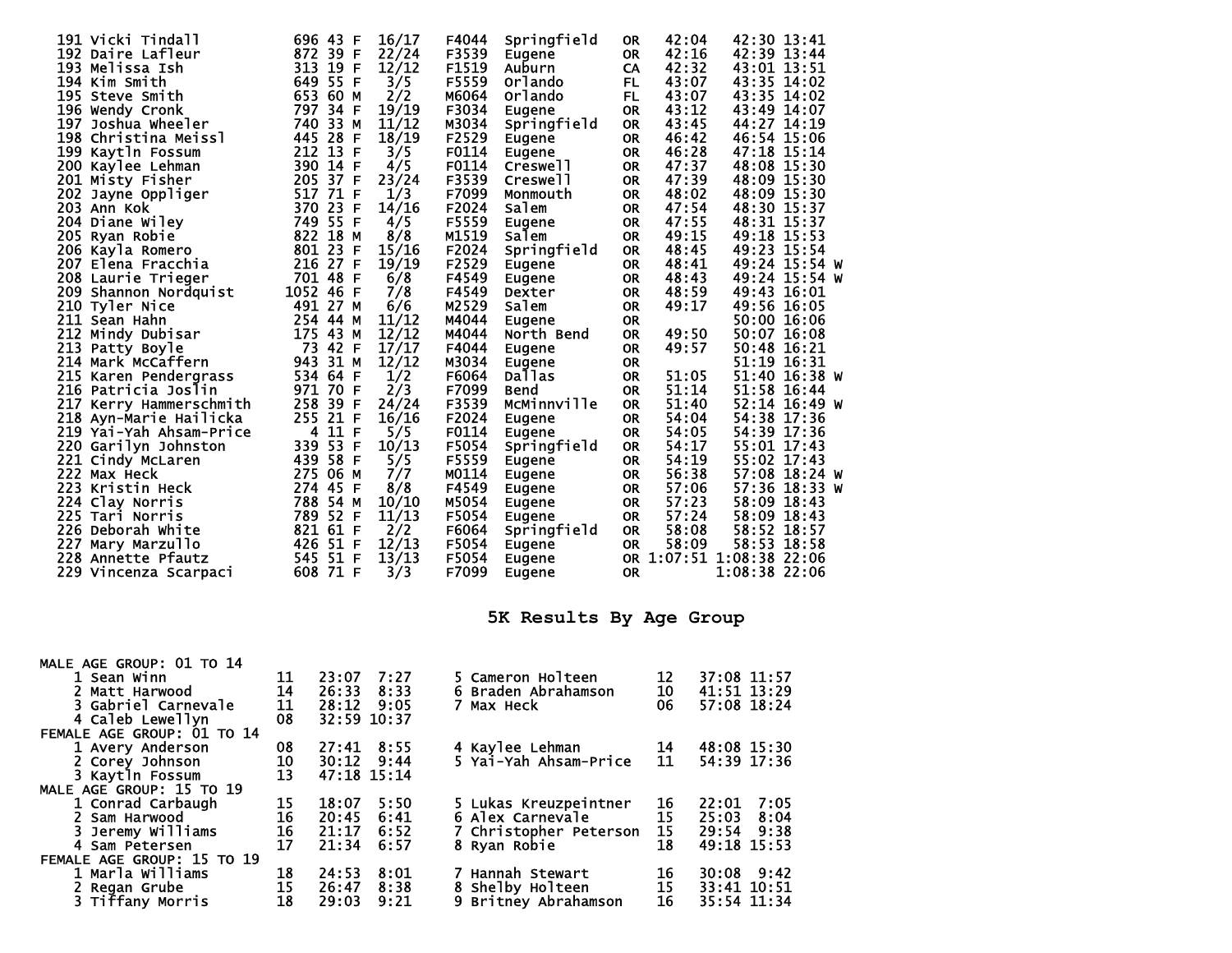| 191 Vicki Tindall       | 696 43<br>F    | 16/17 | F4044 | Springfield | <b>OR</b> | 42:04 | 42:30 13:41              |               |  |
|-------------------------|----------------|-------|-------|-------------|-----------|-------|--------------------------|---------------|--|
| 192 Daire Lafleur       | 872 39 F       | 22/24 | F3539 | Eugene      | <b>OR</b> | 42:16 | 42:39 13:44              |               |  |
| 193 Melissa Ish         | 313 19 F       | 12/12 | F1519 | Auburn      | CA        | 42:32 | 43:01 13:51              |               |  |
| 194 Kim Smith           | 649 55 F       | 3/5   | F5559 | Orlando     | <b>FL</b> | 43:07 | 43:35 14:02              |               |  |
| 195 Steve Smith         | 653 60 M       | 2/2   | M6064 | Orlando     | <b>FL</b> | 43:07 | 43:35 14:02              |               |  |
| 196 Wendy Cronk         | 797<br>34 F    | 19/19 | F3034 | Eugene      | <b>OR</b> | 43:12 | 43:49 14:07              |               |  |
| 197 Joshua Wheeler      | 33<br>740<br>M | 11/12 | M3034 | Springfield | <b>OR</b> | 43:45 | 44:27 14:19              |               |  |
| 198 Christina Meissl    | 445 28<br>F    | 18/19 | F2529 | Eugene      | <b>OR</b> | 46:42 | 46:54 15:06              |               |  |
| 199 Kaytln Fossum       | 212 13 F       | 3/5   | F0114 | Eugene      | <b>OR</b> | 46:28 | 47:18 15:14              |               |  |
| 200 Kaylee Lehman       | 390 14 F       | 4/5   | F0114 | Creswell    | <b>OR</b> | 47:37 | 48:08 15:30              |               |  |
| 201 Misty Fisher        | 205 37 F       | 23/24 | F3539 | Creswell    | <b>OR</b> | 47:39 | 48:09 15:30              |               |  |
| 202 Jayne Oppliger      | 517 71 F       | 1/3   | F7099 | Monmouth    | <b>OR</b> | 48:02 | 48:09 15:30              |               |  |
| 203 Ann Kok             | 370 23 F       | 14/16 | F2024 | Salem       | <b>OR</b> | 47:54 | 48:30 15:37              |               |  |
| 204 Diane Wiley         | 749 55 F       | 4/5   | F5559 | Eugene      | <b>OR</b> | 47:55 | 48:31 15:37              |               |  |
| 205 Ryan Robie          | 822 18 M       | 8/8   | M1519 | Salem       | <b>OR</b> | 49:15 | 49:18 15:53              |               |  |
| 206 Kayla Romero        | 801 23 F       | 15/16 | F2024 | Springfield | <b>OR</b> | 48:45 | 49:23 15:54              |               |  |
| 207 Elena Fracchia      | 216 27 F       | 19/19 | F2529 | Eugene      | <b>OR</b> | 48:41 |                          | 49:24 15:54 W |  |
| 208 Laurie Trieger      | 701 48 F       | 6/8   | F4549 | Eugene      | <b>OR</b> | 48:43 |                          | 49:24 15:54 W |  |
| 209 Shannon Nordquist   | 1052 46 F      | 7/8   | F4549 | Dexter      | <b>OR</b> | 48:59 | 49:43 16:01              |               |  |
| 210 Tyler Nice          | 491 27 M       | 6/6   | M2529 | Salem       | <b>OR</b> | 49:17 | 49:56 16:05              |               |  |
| 211 Sean Hahn           | 254 44 M       | 11/12 | M4044 | Eugene      | <b>OR</b> |       |                          | 50:00 16:06   |  |
| 212 Mindy Dubisar       | 175 43 M       | 12/12 | M4044 | North Bend  | <b>OR</b> | 49:50 |                          | 50:07 16:08   |  |
| 213 Patty Boyle         | 73 42 F        | 17/17 | F4044 | Eugene      | <b>OR</b> | 49:57 | 50:48 16:21              |               |  |
| 214 Mark McCaffern      | 943 31 M       | 12/12 | M3034 | Eugene      | <b>OR</b> |       | 51:19 16:31              |               |  |
| 215 Karen Pendergrass   | 534 64 F       | 1/2   | F6064 | Dallas      | <b>OR</b> | 51:05 |                          | 51:40 16:38 W |  |
| 216 Patricia Joslin     | 971 70<br>F    | 2/3   | F7099 | <b>Bend</b> | <b>OR</b> | 51:14 |                          | 51:58 16:44   |  |
| 217 Kerry Hammerschmith | 258<br>39<br>F | 24/24 | F3539 | McMinnville | <b>OR</b> | 51:40 |                          | 52:14 16:49 W |  |
| 218 Ayn-Marie Hailicka  | 255 21 F       | 16/16 | F2024 | Eugene      | <b>OR</b> | 54:04 |                          | 54:38 17:36   |  |
| 219 Yai-Yah Ahsam-Price | 4 11<br>F      | 5/5   | F0114 | Eugene      | <b>OR</b> | 54:05 | 54:39 17:36              |               |  |
| 220 Garilyn Johnston    | 339 53 F       | 10/13 | F5054 | Springfield | <b>OR</b> | 54:17 | 55:01 17:43              |               |  |
| 221 Cindy McLaren       | 439 58 F       | 5/5   | F5559 | Eugene      | <b>OR</b> | 54:19 | 55:02 17:43              |               |  |
| 222 Max Heck            | 275 06 M       | 7/7   | M0114 | Eugene      | <b>OR</b> | 56:38 |                          | 57:08 18:24 W |  |
| 223 Kristin Heck        | 274 45 F       | 8/8   | F4549 | Eugene      | <b>OR</b> | 57:06 |                          | 57:36 18:33 W |  |
| 224 Clay Norris         | 788 54 M       | 10/10 | M5054 | Eugene      | <b>OR</b> | 57:23 | 58:09 18:43              |               |  |
| 225 Tari Norris         | 789 52 F       | 11/13 | F5054 | Eugene      | <b>OR</b> | 57:24 | 58:09 18:43              |               |  |
| 226 Deborah White       | 821 61<br>F    | 2/2   | F6064 | Springfield | <b>OR</b> | 58:08 | 58:52 18:57              |               |  |
| 227<br>Mary Marzullo    | 426 51 F       | 12/13 | F5054 | Eugene      | <b>OR</b> | 58:09 |                          | 58:53 18:58   |  |
| 228 Annette Pfautz      | 545 51 F       | 13/13 | F5054 | Eugene      |           |       | OR 1:07:51 1:08:38 22:06 |               |  |
| 229 Vincenza Scarpaci   | 608 71 F       | 3/3   | F7099 | Eugene      | <b>OR</b> |       | 1:08:38 22:06            |               |  |
|                         |                |       |       |             |           |       |                          |               |  |

## **5K Results By Age Group**

| MALE AGE GROUP: 01 TO 14   |                 |             |      |                                                |               |
|----------------------------|-----------------|-------------|------|------------------------------------------------|---------------|
| 1 Sean Winn                | 11              | 23:07       | 7:27 | 5 Cameron Holteen<br>12                        | 37:08 11:57   |
| 2 Matt Harwood             | 14              | 26:33       | 8:33 | 10<br>6 Braden Abrahamson                      | 41:51 13:29   |
| 3 Gabriel Carnevale        | 11              | 28:12       | 9:05 | 06<br>7 Max Heck                               | 57:08 18:24   |
| 4 Caleb Lewellyn           | 08              | 32:59 10:37 |      |                                                |               |
| FEMALE AGE GROUP: 01 TO 14 |                 |             |      |                                                |               |
| 1 Avery Anderson           | 08              | 27:41 8:55  |      | 4 Kaylee Lehman<br>5 Yai-Yah Ahsam-Price<br>14 | 48:08 15:30   |
| 2 Corey Johnson            | $\frac{10}{13}$ | 30:12 9:44  |      | 11                                             | 54:39 17:36   |
| 3 Kaytln Fossum            |                 | 47:18 15:14 |      |                                                |               |
| MALE AGE GROUP: 15 TO 19   |                 |             |      |                                                |               |
| 1 Conrad Carbaugh          | $\frac{15}{16}$ | 18:07       | 5:50 | 16<br>5 Lukas Kreuzpeintner                    | 22:01<br>7:05 |
| 2 Sam Harwood              |                 | 20:45       | 6:41 | 15<br>6 Alex Carnevale                         | 8:04<br>25:03 |
| 3 Jeremy Williams          | 16              | 21:17       | 6:52 | 15<br>7 Christopher Peterson                   | 29:54 9:38    |
| 4 Sam Petersen             | 17              | 21:34       | 6:57 | 8 Ryan Robie<br>18                             | 49:18 15:53   |
| FEMALE AGE GROUP: 15 TO 19 |                 |             |      |                                                |               |
| 1 Marla Williams           | 18              | 24:53       | 8:01 | 7 Hannah Stewart<br>16                         | $30:08$ 9:42  |
| 2 Regan Grube              | 15              | 26:47       | 8:38 | 15<br>8 Shelby Holteen                         | 33:41 10:51   |
| 3 Tiffany Morris           | 18              | 29:03       | 9:21 | $\overline{16}$<br>9 Britney Abrahamson        | 35:54 11:34   |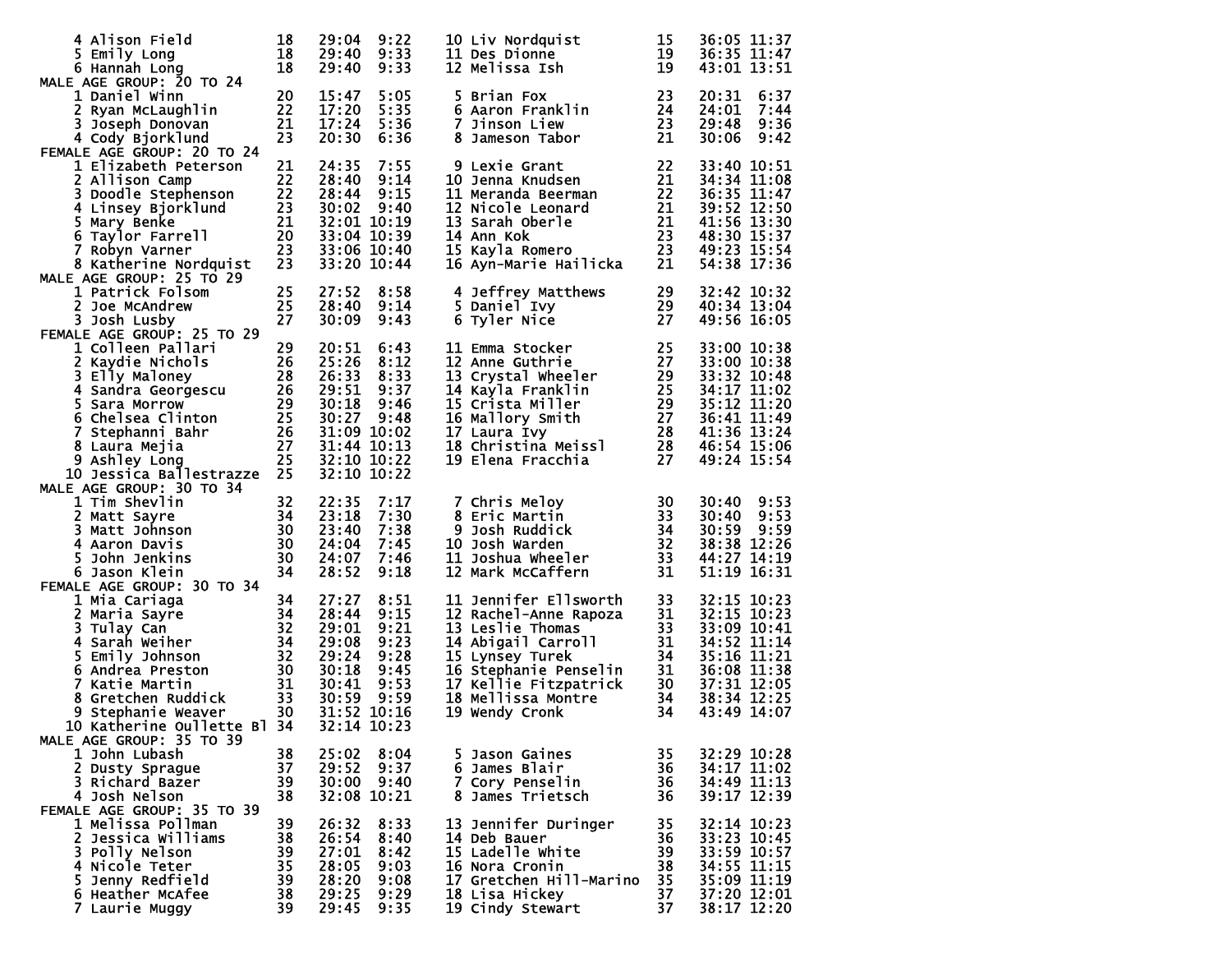| 4 Alison Field<br>5 Emily Long                                                                                                                                                                                                    | 18<br>18 | 29:04                      | 9:22<br>29:40 9:33 | 10 Liv Nordquist<br>11 Des Dionne                                                                                                                                                                                                   | 15<br>19        | 36:05 11:37<br>36:35 11:47     |
|-----------------------------------------------------------------------------------------------------------------------------------------------------------------------------------------------------------------------------------|----------|----------------------------|--------------------|-------------------------------------------------------------------------------------------------------------------------------------------------------------------------------------------------------------------------------------|-----------------|--------------------------------|
| 6 Hannah Long<br>MALE AGE GROUP: 20 TO 24                                                                                                                                                                                         | 18       | 29:40                      | 9:33               | 12 Melissa Ish                                                                                                                                                                                                                      | 19              | 43:01 13:51                    |
| 1 Daniel Winn                                                                                                                                                                                                                     | 20       | 15:47                      | 5:05               | 5 Brian Fox                                                                                                                                                                                                                         | 23              | 20:31<br>6:37                  |
| 2 Ryan McLaughlin<br>3 Joseph Donovan                                                                                                                                                                                             | 22<br>21 | 17:20<br>17:24             | 5:35<br>5:36       | 6 Aaron Franklin<br>7 Jinson Liew                                                                                                                                                                                                   | 24<br>23        | 24:01<br>7:44<br>29:48<br>9:36 |
| 4 Cody Bjorklund                                                                                                                                                                                                                  | 23       | 20:30                      | 6:36               | 8 Jameson Tabor                                                                                                                                                                                                                     | 21              | 30:06<br>9:42                  |
| FEMALE AGE GROUP: 20 TO 24                                                                                                                                                                                                        |          |                            |                    |                                                                                                                                                                                                                                     |                 |                                |
| 1 Elizabeth Peterson<br>2 Allison Camp                                                                                                                                                                                            | 21<br>22 | 24:35<br>28:40             | 7:55               | 9 Lexie Grant                                                                                                                                                                                                                       | 22<br>21        | 33:40 10:51                    |
|                                                                                                                                                                                                                                   |          | 28:44                      | 9:14<br>9:15       | 10 Jenna Knudsen<br>11 Meranda Beerman                                                                                                                                                                                              | 22              | 34:34 11:08<br>36:35 11:47     |
|                                                                                                                                                                                                                                   |          | 30:02                      | 9:40               |                                                                                                                                                                                                                                     | $\overline{21}$ | 39:52 12:50                    |
| 22<br>23 Doodle Stephenson<br>23 A Linsey Bjorklund<br>23 S Mary Benke<br>6 Taylor Farrell<br>20 Z Robyn Varner<br>23                                                                                                             |          |                            | 32:01 10:19        | 12 Nicole Leonard<br>13 Sarah Oberle<br>13 Sarah Oberle<br>14 Ann Kok<br>15 Kayla Romero<br>16 Ayn-Marie Hailicka<br>21                                                                                                             |                 | 41:56 13:30                    |
|                                                                                                                                                                                                                                   |          | 33:06 10:40                | 33:04 10:39        |                                                                                                                                                                                                                                     |                 | 48:30 15:37<br>49:23 15:54     |
| 8 Katherine Nordquist                                                                                                                                                                                                             | 23       |                            | 33:20 10:44        |                                                                                                                                                                                                                                     |                 | 54:38 17:36                    |
| MALE AGE GROUP: 25 TO 29                                                                                                                                                                                                          |          |                            |                    |                                                                                                                                                                                                                                     |                 |                                |
| 1 Patrick Folsom                                                                                                                                                                                                                  | 25       | 27:52                      | 8:58               | 4 Jeffrey Matthews                                                                                                                                                                                                                  | 29              | 32:42 10:32                    |
| 2 Joe McAndrew<br>3 Josh Lusby                                                                                                                                                                                                    | 25<br>27 | 28:40<br>30:09             | 9:14<br>9:43       | 5 Daniel Ivy<br>6 Tyler Nice                                                                                                                                                                                                        | 29<br>27        | 40:34 13:04<br>49:56 16:05     |
| FEMALE AGE GROUP: 25 TO 29                                                                                                                                                                                                        |          |                            |                    |                                                                                                                                                                                                                                     |                 |                                |
| 1 Colleen Pallari                                                                                                                                                                                                                 | 29       | 20:51                      | 6:43               | 11 Emma Stocker                                                                                                                                                                                                                     | 25              | 33:00 10:38                    |
|                                                                                                                                                                                                                                   |          | 25:26<br>26:33             | 8:12<br>8:33       | 12 Anne Guthrie<br>13 Crystal Wheeler 29                                                                                                                                                                                            | 27              | 33:00 10:38<br>33:32 10:48     |
|                                                                                                                                                                                                                                   |          | 29:51                      | 9:37               | 14 Kayla Franklin                                                                                                                                                                                                                   | 25              | 34:17 11:02                    |
|                                                                                                                                                                                                                                   |          | 30:18                      | 9:46               |                                                                                                                                                                                                                                     |                 | 35:12 11:20                    |
|                                                                                                                                                                                                                                   |          |                            | 30:27 9:48         |                                                                                                                                                                                                                                     | $\overline{28}$ | 36:41 11:49                    |
|                                                                                                                                                                                                                                   |          | 31:09 10:02<br>31:44 10:13 |                    |                                                                                                                                                                                                                                     |                 | 41:36 13:24<br>46:54 15:06     |
|                                                                                                                                                                                                                                   |          | 32:10 10:22                |                    | 14 Nayle Franklin<br>15 Crista Miller<br>16 Mallory Smith 27<br>17 Laura Ivy 28<br>18 Christina Meissl 28<br>19 Elena Fracchia 27                                                                                                   |                 | 49:24 15:54                    |
| 29<br>3 Elly Maloney<br>4 Sandra Georgescu<br>5 Sara Morrow<br>5 Schelsea Clinton<br>6 Chelsea Clinton<br>7 Stephanni Bahr<br>7 Ashley Long<br>27 Ashley Long<br>25 Jessica Ballestrazzon<br>4GE GROUP<br>10 Jessica Ballestrazze |          | 32:10 10:22                |                    |                                                                                                                                                                                                                                     |                 |                                |
| MALE AGE GROUP: 30 TO 34<br>1 Tim Shevlin<br>$\frac{32}{34}$<br>$\frac{34}{30}$                                                                                                                                                   |          | 22:35                      | 7:17               | 7 Chris Meloy                                                                                                                                                                                                                       | 30              | 30:40<br>9:53                  |
| 2 Matt Sayre                                                                                                                                                                                                                      |          | 23:18                      | 7:30               | 8 Eric Martin                                                                                                                                                                                                                       | - 33            | 30:40<br>9:53                  |
| 3.<br>Matt Johnson                                                                                                                                                                                                                |          | 23:40                      | 7:38               | 9 Josh Ruddick                                                                                                                                                                                                                      |                 | 9:59<br>30:59                  |
| 4 Aaron Davis                                                                                                                                                                                                                     |          | 24:04                      | 7:45               | 10 Josh Warden                                                                                                                                                                                                                      | $\frac{3}{32}$  | 38:38 12:26                    |
| 5.<br>John Jenkins<br>6 Jason Klein                                                                                                                                                                                               | 30<br>34 | 24:07<br>28:52             | 7:46<br>9:18       | 11 Joshua Wheeler<br>12 Mark McCaffern<br>12 Mark McCaffern                                                                                                                                                                         | - 33<br>31      | 44:27 14:19<br>51:19 16:31     |
| FEMALE AGE GROUP: 30 TO 34                                                                                                                                                                                                        |          |                            |                    |                                                                                                                                                                                                                                     |                 |                                |
| 1 Mia Cariaga<br>$\begin{array}{c} 34 \\ 34 \\ 32 \end{array}$                                                                                                                                                                    | 34       | 27:27                      | 8:51               | 11 Jennifer Ellsworth<br>12 Rachel-Anne Rapoza 31<br>13 Leslie Thomas 33<br>14 Abigail Carroll 31<br>15 Lynsey Turek 34<br>16 Stephanie Penselin 31<br>17 Kellie Fitzpatrick 30<br>17 Mellie Fitzpatrick 30<br>19 Mellies Montre 34 |                 | 32:15 10:23                    |
| 2 Maria Sayre<br>3 Tulay Can                                                                                                                                                                                                      |          | 28:44<br>29:01             | 9:15<br>9:21       |                                                                                                                                                                                                                                     |                 | 32:15 10:23<br>33:09 10:41     |
| 4 Sarah Weiher                                                                                                                                                                                                                    | 34       | 29:08                      | 9:23               |                                                                                                                                                                                                                                     |                 | 34:52 11:14                    |
| 5 Emily Johnson                                                                                                                                                                                                                   | 32       | 29:24                      | 9:28               |                                                                                                                                                                                                                                     |                 | 35:16 11:21                    |
| Andrea Preston (1997)<br>Katie Martin (1998)<br>Stephanie Weaver (1998)<br>Stephanie Weaver (1998)<br>Katherine (1998)<br>6 Andrea Preston                                                                                        |          | 30:18                      | 9:45               |                                                                                                                                                                                                                                     |                 | 36:08 11:38                    |
| 7 Katie Martin<br>8                                                                                                                                                                                                               |          | 30:41<br>30:59 9:59        | 9:53               | 18 Mellissa Montre                                                                                                                                                                                                                  | 34              | 37:31 12:05<br>38:34 12:25     |
| 9 Stephanie Weaver                                                                                                                                                                                                                |          |                            | 31:52 10:16        | 19 Wendy Cronk                                                                                                                                                                                                                      | 34              | 43:49 14:07                    |
| 10 Katherine Oullette Bl 34                                                                                                                                                                                                       |          | 32:14 10:23                |                    |                                                                                                                                                                                                                                     |                 |                                |
| MALE AGE GROUP: 35 TO 39<br>1 John Lubash                                                                                                                                                                                         | 38       | 25:02                      | 8:04               | 5 Jason Gaines                                                                                                                                                                                                                      | 35              | 32:29 10:28                    |
| 2 Dusty Sprague                                                                                                                                                                                                                   | 37       | 29:52                      | 9:37               | 6 James Blair                                                                                                                                                                                                                       | 36              | 34:17 11:02                    |
| 3 Richard Bazer                                                                                                                                                                                                                   | 39       |                            | $30:00$ $9:40$     | 7 Cory Penselin                                                                                                                                                                                                                     | 36              | 34:49 11:13                    |
| 4 Josh Nelson                                                                                                                                                                                                                     | 38       |                            | 32:08 10:21        | 8 James Trietsch                                                                                                                                                                                                                    | 36              | 39:17 12:39                    |
| FEMALE AGE GROUP: 35 TO 39<br>1 Melissa Pollman                                                                                                                                                                                   | 39       | 26:32                      | 8:33               | 13 Jennifer Duringer                                                                                                                                                                                                                | 35              | 32:14 10:23                    |
| 2 Jessica Williams                                                                                                                                                                                                                | 38       | 26:54                      | 8:40               | 14 Deb Bauer                                                                                                                                                                                                                        | 36              | 33:23 10:45                    |
| 3 Polly Nelson                                                                                                                                                                                                                    | 39       | 27:01                      | 8:42               | 15 Ladelle White                                                                                                                                                                                                                    | 39              | 33:59 10:57                    |
| 4 Nicole Teter<br>5 Jenny Redfield                                                                                                                                                                                                | 35<br>39 | 28:05<br>28:20             | 9:03<br>9:08       | 16 Nora Cronin<br>17 Gretchen Hill-Marino                                                                                                                                                                                           | 38<br>35        | 34:55 11:15<br>35:09 11:19     |
| 6 Heather McAfee                                                                                                                                                                                                                  | 38       | 29:25                      | 9:29               | 18 Lisa Hickey                                                                                                                                                                                                                      | 37              | 37:20 12:01                    |
| 7 Laurie Muggy                                                                                                                                                                                                                    | 39       | 29:45                      | 9:35               | 19 Cindy Stewart                                                                                                                                                                                                                    | 37              | 38:17 12:20                    |